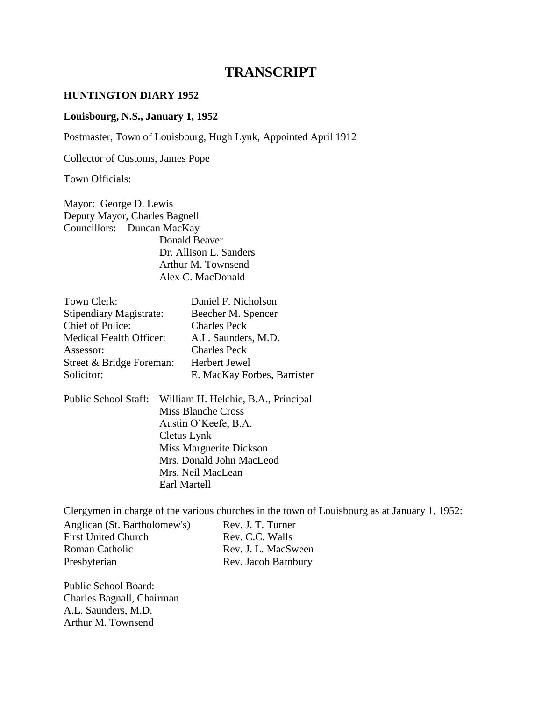# **TRANSCRIPT**

#### **HUNTINGTON DIARY 1952**

#### **Louisbourg, N.S., January 1, 1952**

Postmaster, Town of Louisbourg, Hugh Lynk, Appointed April 1912

Collector of Customs, James Pope

Town Officials:

Mayor: George D. Lewis Deputy Mayor, Charles Bagnell Councillors: Duncan MacKay Donald Beaver Dr. Allison L. Sanders Arthur M. Townsend Alex C. MacDonald

| Town Clerk:                                               |                                                           | Daniel F. Nicholson                        |  |
|-----------------------------------------------------------|-----------------------------------------------------------|--------------------------------------------|--|
| <b>Stipendiary Magistrate:</b>                            |                                                           | Beecher M. Spencer                         |  |
| <b>Chief of Police:</b><br><b>Medical Health Officer:</b> |                                                           | <b>Charles Peck</b><br>A.L. Saunders, M.D. |  |
|                                                           |                                                           |                                            |  |
| Street & Bridge Foreman:                                  |                                                           | Herbert Jewel                              |  |
| Solicitor:                                                |                                                           | E. MacKay Forbes, Barrister                |  |
| Public School Staff:                                      | William H. Helchie, B.A., Principal<br>Miss Blanche Cross |                                            |  |
| Austin O'Keefe, B.A.                                      |                                                           |                                            |  |
| Cletus Lynk                                               |                                                           |                                            |  |
| Miss Marguerite Dickson                                   |                                                           |                                            |  |
| Mrs. Donald John MacLeod                                  |                                                           |                                            |  |
|                                                           |                                                           | Mrs. Neil MacLean                          |  |
|                                                           | Earl Martell                                              |                                            |  |

Clergymen in charge of the various churches in the town of Louisbourg as at January 1, 1952: Anglican (St. Bartholomew's) Rev. J. T. Turner<br>First United Church Rev. C.C. Walls First United Church Roman Catholic Rev. J. L. MacSween Presbyterian Rev. Jacob Barnbury

Public School Board: Charles Bagnall, Chairman A.L. Saunders, M.D. Arthur M. Townsend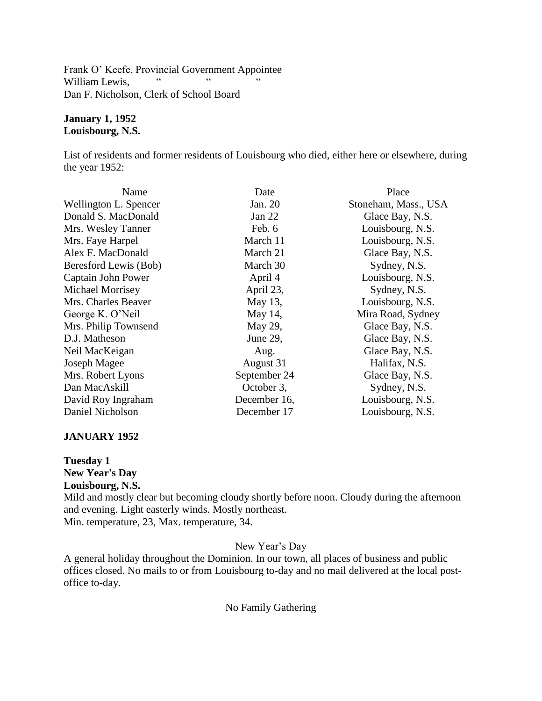Frank O' Keefe, Provincial Government Appointee<br>William Louis William Lewis, " " " " Dan F. Nicholson, Clerk of School Board

## **January 1, 1952 Louisbourg, N.S.**

List of residents and former residents of Louisbourg who died, either here or elsewhere, during the year 1952:

| Name                  | Date         | Place                |
|-----------------------|--------------|----------------------|
| Wellington L. Spencer | Jan. 20      | Stoneham, Mass., USA |
| Donald S. MacDonald   | Jan $22$     | Glace Bay, N.S.      |
| Mrs. Wesley Tanner    | Feb. 6       | Louisbourg, N.S.     |
| Mrs. Faye Harpel      | March 11     | Louisbourg, N.S.     |
| Alex F. MacDonald     | March 21     | Glace Bay, N.S.      |
| Beresford Lewis (Bob) | March 30     | Sydney, N.S.         |
| Captain John Power    | April 4      | Louisbourg, N.S.     |
| Michael Morrisey      | April 23,    | Sydney, N.S.         |
| Mrs. Charles Beaver   | May 13,      | Louisbourg, N.S.     |
| George K. O'Neil      | May 14,      | Mira Road, Sydney    |
| Mrs. Philip Townsend  | May 29,      | Glace Bay, N.S.      |
| D.J. Matheson         | June 29,     | Glace Bay, N.S.      |
| Neil MacKeigan        | Aug.         | Glace Bay, N.S.      |
| Joseph Magee          | August 31    | Halifax, N.S.        |
| Mrs. Robert Lyons     | September 24 | Glace Bay, N.S.      |
| Dan MacAskill         | October 3,   | Sydney, N.S.         |
| David Roy Ingraham    | December 16, | Louisbourg, N.S.     |
| Daniel Nicholson      | December 17  | Louisbourg, N.S.     |

## **JANUARY 1952**

**Tuesday 1 New Year's Day Louisbourg, N.S.**

Mild and mostly clear but becoming cloudy shortly before noon. Cloudy during the afternoon and evening. Light easterly winds. Mostly northeast. Min. temperature, 23, Max. temperature, 34.

New Year's Day

A general holiday throughout the Dominion. In our town, all places of business and public offices closed. No mails to or from Louisbourg to-day and no mail delivered at the local postoffice to-day.

No Family Gathering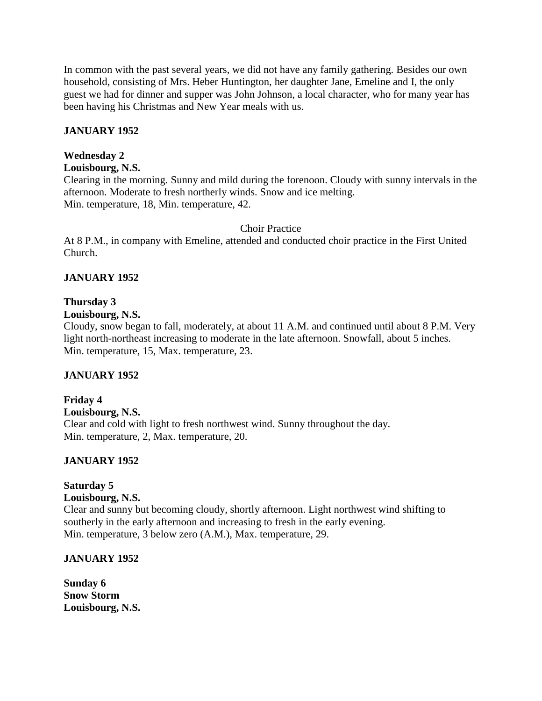In common with the past several years, we did not have any family gathering. Besides our own household, consisting of Mrs. Heber Huntington, her daughter Jane, Emeline and I, the only guest we had for dinner and supper was John Johnson, a local character, who for many year has been having his Christmas and New Year meals with us.

## **JANUARY 1952**

## **Wednesday 2**

## **Louisbourg, N.S.**

Clearing in the morning. Sunny and mild during the forenoon. Cloudy with sunny intervals in the afternoon. Moderate to fresh northerly winds. Snow and ice melting. Min. temperature, 18, Min. temperature, 42.

## Choir Practice

At 8 P.M., in company with Emeline, attended and conducted choir practice in the First United Church.

## **JANUARY 1952**

## **Thursday 3**

## **Louisbourg, N.S.**

Cloudy, snow began to fall, moderately, at about 11 A.M. and continued until about 8 P.M. Very light north-northeast increasing to moderate in the late afternoon. Snowfall, about 5 inches. Min. temperature, 15, Max. temperature, 23.

## **JANUARY 1952**

## **Friday 4 Louisbourg, N.S.** Clear and cold with light to fresh northwest wind. Sunny throughout the day. Min. temperature, 2, Max. temperature, 20.

## **JANUARY 1952**

## **Saturday 5**

## **Louisbourg, N.S.**

Clear and sunny but becoming cloudy, shortly afternoon. Light northwest wind shifting to southerly in the early afternoon and increasing to fresh in the early evening. Min. temperature, 3 below zero (A.M.), Max. temperature, 29.

## **JANUARY 1952**

**Sunday 6 Snow Storm Louisbourg, N.S.**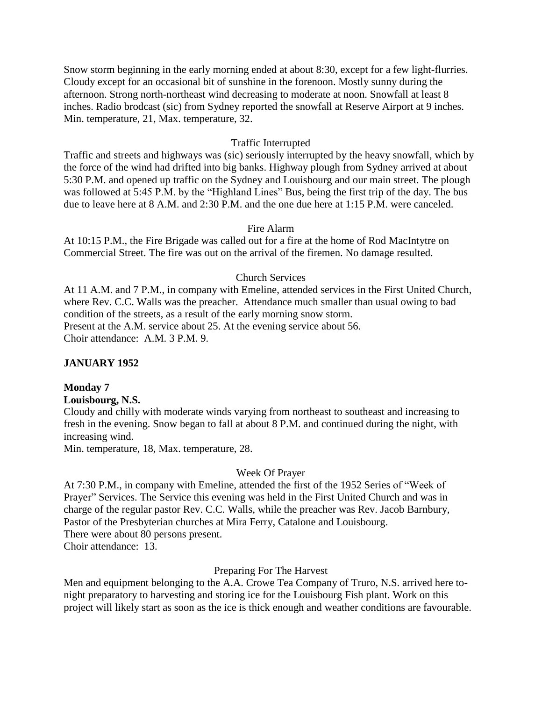Snow storm beginning in the early morning ended at about 8:30, except for a few light-flurries. Cloudy except for an occasional bit of sunshine in the forenoon. Mostly sunny during the afternoon. Strong north-northeast wind decreasing to moderate at noon. Snowfall at least 8 inches. Radio brodcast (sic) from Sydney reported the snowfall at Reserve Airport at 9 inches. Min. temperature, 21, Max. temperature, 32.

#### Traffic Interrupted

Traffic and streets and highways was (sic) seriously interrupted by the heavy snowfall, which by the force of the wind had drifted into big banks. Highway plough from Sydney arrived at about 5:30 P.M. and opened up traffic on the Sydney and Louisbourg and our main street. The plough was followed at 5:45 P.M. by the "Highland Lines" Bus, being the first trip of the day. The bus due to leave here at 8 A.M. and 2:30 P.M. and the one due here at 1:15 P.M. were canceled.

### Fire Alarm

At 10:15 P.M., the Fire Brigade was called out for a fire at the home of Rod MacIntytre on Commercial Street. The fire was out on the arrival of the firemen. No damage resulted.

### Church Services

At 11 A.M. and 7 P.M., in company with Emeline, attended services in the First United Church, where Rev. C.C. Walls was the preacher. Attendance much smaller than usual owing to bad condition of the streets, as a result of the early morning snow storm. Present at the A.M. service about 25. At the evening service about 56. Choir attendance: A.M. 3 P.M. 9.

#### **JANUARY 1952**

#### **Monday 7**

## **Louisbourg, N.S.**

Cloudy and chilly with moderate winds varying from northeast to southeast and increasing to fresh in the evening. Snow began to fall at about 8 P.M. and continued during the night, with increasing wind.

Min. temperature, 18, Max. temperature, 28.

#### Week Of Prayer

At 7:30 P.M., in company with Emeline, attended the first of the 1952 Series of "Week of Prayer" Services. The Service this evening was held in the First United Church and was in charge of the regular pastor Rev. C.C. Walls, while the preacher was Rev. Jacob Barnbury, Pastor of the Presbyterian churches at Mira Ferry, Catalone and Louisbourg. There were about 80 persons present.

Choir attendance: 13.

#### Preparing For The Harvest

Men and equipment belonging to the A.A. Crowe Tea Company of Truro, N.S. arrived here tonight preparatory to harvesting and storing ice for the Louisbourg Fish plant. Work on this project will likely start as soon as the ice is thick enough and weather conditions are favourable.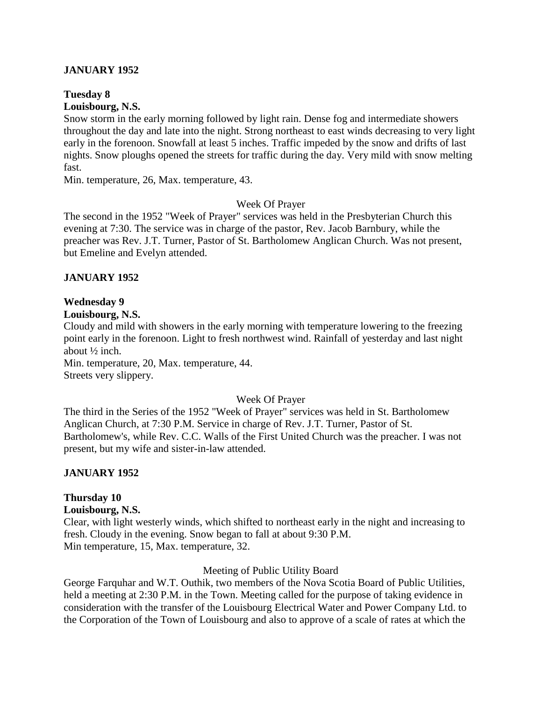## **JANUARY 1952**

# **Tuesday 8**

## **Louisbourg, N.S.**

Snow storm in the early morning followed by light rain. Dense fog and intermediate showers throughout the day and late into the night. Strong northeast to east winds decreasing to very light early in the forenoon. Snowfall at least 5 inches. Traffic impeded by the snow and drifts of last nights. Snow ploughs opened the streets for traffic during the day. Very mild with snow melting fast.

Min. temperature, 26, Max. temperature, 43.

## Week Of Prayer

The second in the 1952 "Week of Prayer" services was held in the Presbyterian Church this evening at 7:30. The service was in charge of the pastor, Rev. Jacob Barnbury, while the preacher was Rev. J.T. Turner, Pastor of St. Bartholomew Anglican Church. Was not present, but Emeline and Evelyn attended.

## **JANUARY 1952**

## **Wednesday 9**

#### **Louisbourg, N.S.**

Cloudy and mild with showers in the early morning with temperature lowering to the freezing point early in the forenoon. Light to fresh northwest wind. Rainfall of yesterday and last night about ½ inch.

Min. temperature, 20, Max. temperature, 44. Streets very slippery.

## Week Of Prayer

The third in the Series of the 1952 "Week of Prayer" services was held in St. Bartholomew Anglican Church, at 7:30 P.M. Service in charge of Rev. J.T. Turner, Pastor of St. Bartholomew's, while Rev. C.C. Walls of the First United Church was the preacher. I was not present, but my wife and sister-in-law attended.

## **JANUARY 1952**

## **Thursday 10**

## **Louisbourg, N.S.**

Clear, with light westerly winds, which shifted to northeast early in the night and increasing to fresh. Cloudy in the evening. Snow began to fall at about 9:30 P.M. Min temperature, 15, Max. temperature, 32.

## Meeting of Public Utility Board

George Farquhar and W.T. Outhik, two members of the Nova Scotia Board of Public Utilities, held a meeting at 2:30 P.M. in the Town. Meeting called for the purpose of taking evidence in consideration with the transfer of the Louisbourg Electrical Water and Power Company Ltd. to the Corporation of the Town of Louisbourg and also to approve of a scale of rates at which the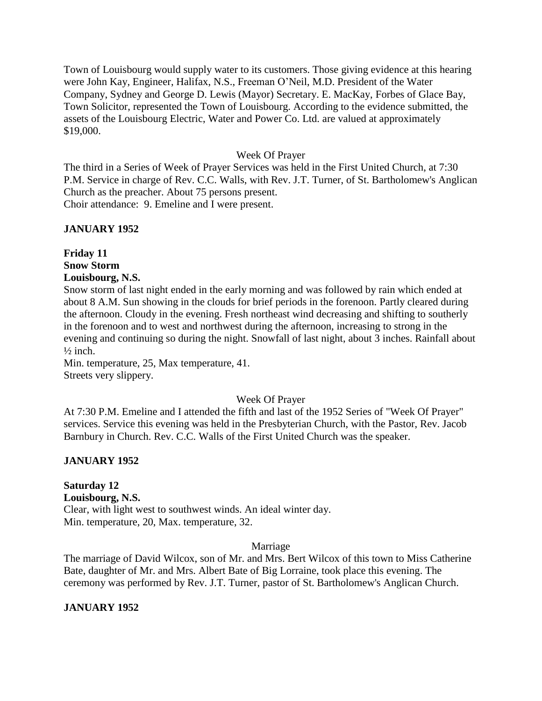Town of Louisbourg would supply water to its customers. Those giving evidence at this hearing were John Kay, Engineer, Halifax, N.S., Freeman O'Neil, M.D. President of the Water Company, Sydney and George D. Lewis (Mayor) Secretary. E. MacKay, Forbes of Glace Bay, Town Solicitor, represented the Town of Louisbourg. According to the evidence submitted, the assets of the Louisbourg Electric, Water and Power Co. Ltd. are valued at approximately \$19,000.

#### Week Of Prayer

The third in a Series of Week of Prayer Services was held in the First United Church, at 7:30 P.M. Service in charge of Rev. C.C. Walls, with Rev. J.T. Turner, of St. Bartholomew's Anglican Church as the preacher. About 75 persons present.

Choir attendance: 9. Emeline and I were present.

## **JANUARY 1952**

## **Friday 11 Snow Storm Louisbourg, N.S.**

Snow storm of last night ended in the early morning and was followed by rain which ended at about 8 A.M. Sun showing in the clouds for brief periods in the forenoon. Partly cleared during the afternoon. Cloudy in the evening. Fresh northeast wind decreasing and shifting to southerly in the forenoon and to west and northwest during the afternoon, increasing to strong in the evening and continuing so during the night. Snowfall of last night, about 3 inches. Rainfall about  $\frac{1}{2}$  inch.

Min. temperature, 25, Max temperature, 41. Streets very slippery.

#### Week Of Prayer

At 7:30 P.M. Emeline and I attended the fifth and last of the 1952 Series of "Week Of Prayer" services. Service this evening was held in the Presbyterian Church, with the Pastor, Rev. Jacob Barnbury in Church. Rev. C.C. Walls of the First United Church was the speaker.

## **JANUARY 1952**

## **Saturday 12**

#### **Louisbourg, N.S.**

Clear, with light west to southwest winds. An ideal winter day. Min. temperature, 20, Max. temperature, 32.

#### Marriage

The marriage of David Wilcox, son of Mr. and Mrs. Bert Wilcox of this town to Miss Catherine Bate, daughter of Mr. and Mrs. Albert Bate of Big Lorraine, took place this evening. The ceremony was performed by Rev. J.T. Turner, pastor of St. Bartholomew's Anglican Church.

## **JANUARY 1952**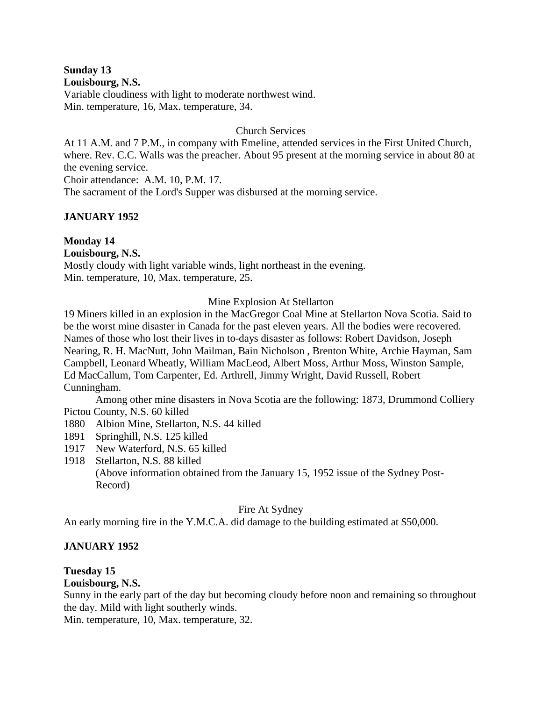**Sunday 13 Louisbourg, N.S.**

Variable cloudiness with light to moderate northwest wind. Min. temperature, 16, Max. temperature, 34.

## Church Services

At 11 A.M. and 7 P.M., in company with Emeline, attended services in the First United Church, where. Rev. C.C. Walls was the preacher. About 95 present at the morning service in about 80 at the evening service.

Choir attendance: A.M. 10, P.M. 17.

The sacrament of the Lord's Supper was disbursed at the morning service.

## **JANUARY 1952**

## **Monday 14**

**Louisbourg, N.S.** Mostly cloudy with light variable winds, light northeast in the evening. Min. temperature, 10, Max. temperature, 25.

## Mine Explosion At Stellarton

19 Miners killed in an explosion in the MacGregor Coal Mine at Stellarton Nova Scotia. Said to be the worst mine disaster in Canada for the past eleven years. All the bodies were recovered. Names of those who lost their lives in to-days disaster as follows: Robert Davidson, Joseph Nearing, R. H. MacNutt, John Mailman, Bain Nicholson , Brenton White, Archie Hayman, Sam Campbell, Leonard Wheatly, William MacLeod, Albert Moss, Arthur Moss, Winston Sample, Ed MacCallum, Tom Carpenter, Ed. Arthrell, Jimmy Wright, David Russell, Robert Cunningham.

Among other mine disasters in Nova Scotia are the following: 1873, Drummond Colliery Pictou County, N.S. 60 killed

- 1880 Albion Mine, Stellarton, N.S. 44 killed
- 1891 Springhill, N.S. 125 killed
- 1917 New Waterford, N.S. 65 killed
- 1918 Stellarton, N.S. 88 killed (Above information obtained from the January 15, 1952 issue of the Sydney Post-Record)

## Fire At Sydney

An early morning fire in the Y.M.C.A. did damage to the building estimated at \$50,000.

## **JANUARY 1952**

## **Tuesday 15**

## **Louisbourg, N.S.**

Sunny in the early part of the day but becoming cloudy before noon and remaining so throughout the day. Mild with light southerly winds.

Min. temperature, 10, Max. temperature, 32.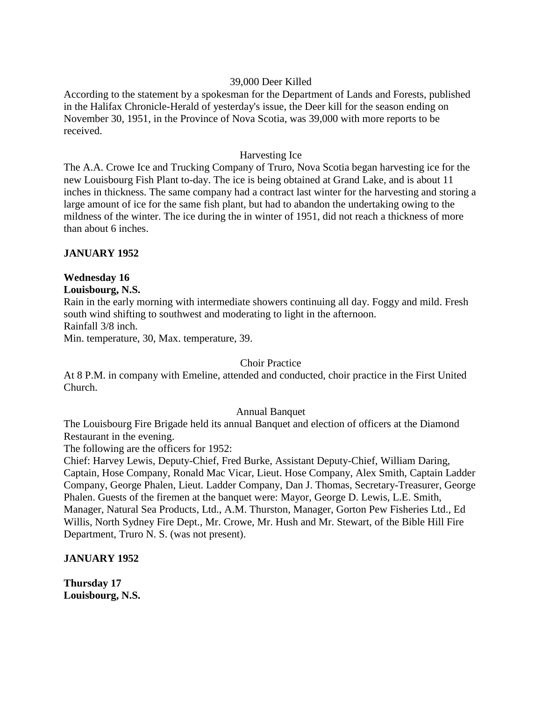### 39,000 Deer Killed

According to the statement by a spokesman for the Department of Lands and Forests, published in the Halifax Chronicle-Herald of yesterday's issue, the Deer kill for the season ending on November 30, 1951, in the Province of Nova Scotia, was 39,000 with more reports to be received.

#### Harvesting Ice

The A.A. Crowe Ice and Trucking Company of Truro, Nova Scotia began harvesting ice for the new Louisbourg Fish Plant to-day. The ice is being obtained at Grand Lake, and is about 11 inches in thickness. The same company had a contract last winter for the harvesting and storing a large amount of ice for the same fish plant, but had to abandon the undertaking owing to the mildness of the winter. The ice during the in winter of 1951, did not reach a thickness of more than about 6 inches.

## **JANUARY 1952**

## **Wednesday 16**

## **Louisbourg, N.S.**

Rain in the early morning with intermediate showers continuing all day. Foggy and mild. Fresh south wind shifting to southwest and moderating to light in the afternoon. Rainfall 3/8 inch.

Min. temperature, 30, Max. temperature, 39.

## Choir Practice

At 8 P.M. in company with Emeline, attended and conducted, choir practice in the First United Church.

## Annual Banquet

The Louisbourg Fire Brigade held its annual Banquet and election of officers at the Diamond Restaurant in the evening.

The following are the officers for 1952:

Chief: Harvey Lewis, Deputy-Chief, Fred Burke, Assistant Deputy-Chief, William Daring, Captain, Hose Company, Ronald Mac Vicar, Lieut. Hose Company, Alex Smith, Captain Ladder Company, George Phalen, Lieut. Ladder Company, Dan J. Thomas, Secretary-Treasurer, George Phalen. Guests of the firemen at the banquet were: Mayor, George D. Lewis, L.E. Smith, Manager, Natural Sea Products, Ltd., A.M. Thurston, Manager, Gorton Pew Fisheries Ltd., Ed Willis, North Sydney Fire Dept., Mr. Crowe, Mr. Hush and Mr. Stewart, of the Bible Hill Fire Department, Truro N. S. (was not present).

## **JANUARY 1952**

**Thursday 17 Louisbourg, N.S.**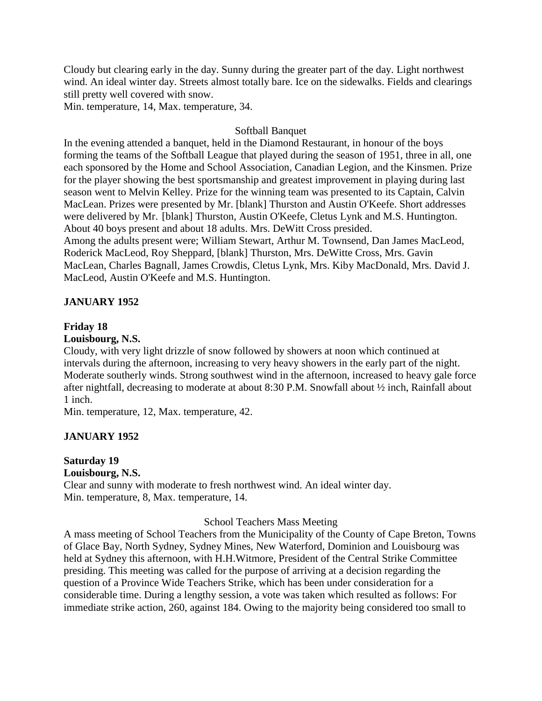Cloudy but clearing early in the day. Sunny during the greater part of the day. Light northwest wind. An ideal winter day. Streets almost totally bare. Ice on the sidewalks. Fields and clearings still pretty well covered with snow.

Min. temperature, 14, Max. temperature, 34.

## Softball Banquet

In the evening attended a banquet, held in the Diamond Restaurant, in honour of the boys forming the teams of the Softball League that played during the season of 1951, three in all, one each sponsored by the Home and School Association, Canadian Legion, and the Kinsmen. Prize for the player showing the best sportsmanship and greatest improvement in playing during last season went to Melvin Kelley. Prize for the winning team was presented to its Captain, Calvin MacLean. Prizes were presented by Mr. [blank] Thurston and Austin O'Keefe. Short addresses were delivered by Mr. [blank] Thurston, Austin O'Keefe, Cletus Lynk and M.S. Huntington. About 40 boys present and about 18 adults. Mrs. DeWitt Cross presided. Among the adults present were; William Stewart, Arthur M. Townsend, Dan James MacLeod, Roderick MacLeod, Roy Sheppard, [blank] Thurston, Mrs. DeWitte Cross, Mrs. Gavin MacLean, Charles Bagnall, James Crowdis, Cletus Lynk, Mrs. Kiby MacDonald, Mrs. David J.

## **JANUARY 1952**

## **Friday 18**

#### **Louisbourg, N.S.**

Cloudy, with very light drizzle of snow followed by showers at noon which continued at intervals during the afternoon, increasing to very heavy showers in the early part of the night. Moderate southerly winds. Strong southwest wind in the afternoon, increased to heavy gale force after nightfall, decreasing to moderate at about 8:30 P.M. Snowfall about ½ inch, Rainfall about 1 inch.

Min. temperature, 12, Max. temperature, 42.

MacLeod, Austin O'Keefe and M.S. Huntington.

## **JANUARY 1952**

#### **Saturday 19 Louisbourg, N.S.**

Clear and sunny with moderate to fresh northwest wind. An ideal winter day. Min. temperature, 8, Max. temperature, 14.

## School Teachers Mass Meeting

A mass meeting of School Teachers from the Municipality of the County of Cape Breton, Towns of Glace Bay, North Sydney, Sydney Mines, New Waterford, Dominion and Louisbourg was held at Sydney this afternoon, with H.H.Witmore, President of the Central Strike Committee presiding. This meeting was called for the purpose of arriving at a decision regarding the question of a Province Wide Teachers Strike, which has been under consideration for a considerable time. During a lengthy session, a vote was taken which resulted as follows: For immediate strike action, 260, against 184. Owing to the majority being considered too small to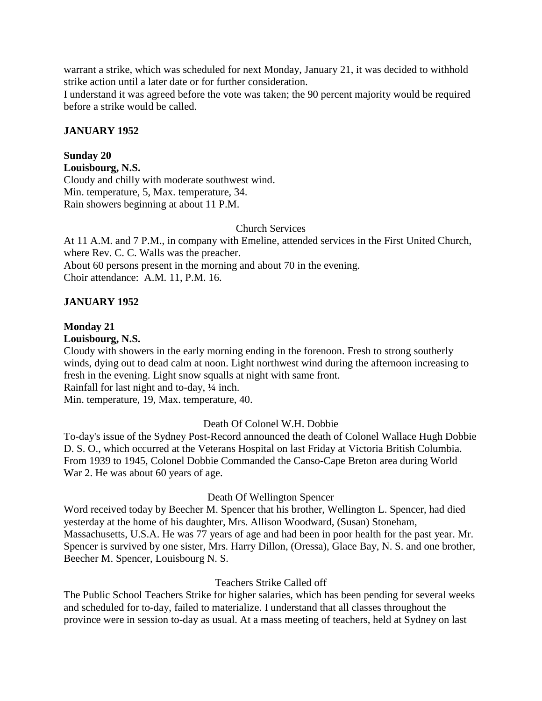warrant a strike, which was scheduled for next Monday, January 21, it was decided to withhold strike action until a later date or for further consideration.

I understand it was agreed before the vote was taken; the 90 percent majority would be required before a strike would be called.

## **JANUARY 1952**

## **Sunday 20**

**Louisbourg, N.S.** Cloudy and chilly with moderate southwest wind. Min. temperature, 5, Max. temperature, 34. Rain showers beginning at about 11 P.M.

### Church Services

At 11 A.M. and 7 P.M., in company with Emeline, attended services in the First United Church, where Rev. C. C. Walls was the preacher. About 60 persons present in the morning and about 70 in the evening. Choir attendance: A.M. 11, P.M. 16.

## **JANUARY 1952**

## **Monday 21**

#### **Louisbourg, N.S.**

Cloudy with showers in the early morning ending in the forenoon. Fresh to strong southerly winds, dying out to dead calm at noon. Light northwest wind during the afternoon increasing to fresh in the evening. Light snow squalls at night with same front.

Rainfall for last night and to-day, ¼ inch.

Min. temperature, 19, Max. temperature, 40.

## Death Of Colonel W.H. Dobbie

To-day's issue of the Sydney Post-Record announced the death of Colonel Wallace Hugh Dobbie D. S. O., which occurred at the Veterans Hospital on last Friday at Victoria British Columbia. From 1939 to 1945, Colonel Dobbie Commanded the Canso-Cape Breton area during World War 2. He was about 60 years of age.

## Death Of Wellington Spencer

Word received today by Beecher M. Spencer that his brother, Wellington L. Spencer, had died yesterday at the home of his daughter, Mrs. Allison Woodward, (Susan) Stoneham, Massachusetts, U.S.A. He was 77 years of age and had been in poor health for the past year. Mr. Spencer is survived by one sister, Mrs. Harry Dillon, (Oressa), Glace Bay, N. S. and one brother, Beecher M. Spencer, Louisbourg N. S.

## Teachers Strike Called off

The Public School Teachers Strike for higher salaries, which has been pending for several weeks and scheduled for to-day, failed to materialize. I understand that all classes throughout the province were in session to-day as usual. At a mass meeting of teachers, held at Sydney on last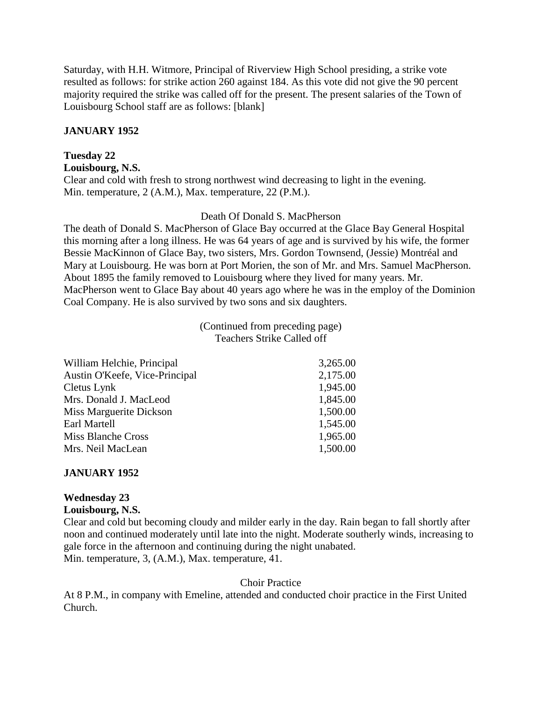Saturday, with H.H. Witmore, Principal of Riverview High School presiding, a strike vote resulted as follows: for strike action 260 against 184. As this vote did not give the 90 percent majority required the strike was called off for the present. The present salaries of the Town of Louisbourg School staff are as follows: [blank]

## **JANUARY 1952**

# **Tuesday 22**

**Louisbourg, N.S.**

Clear and cold with fresh to strong northwest wind decreasing to light in the evening. Min. temperature, 2 (A.M.), Max. temperature, 22 (P.M.).

## Death Of Donald S. MacPherson

The death of Donald S. MacPherson of Glace Bay occurred at the Glace Bay General Hospital this morning after a long illness. He was 64 years of age and is survived by his wife, the former Bessie MacKinnon of Glace Bay, two sisters, Mrs. Gordon Townsend, (Jessie) Montréal and Mary at Louisbourg. He was born at Port Morien, the son of Mr. and Mrs. Samuel MacPherson. About 1895 the family removed to Louisbourg where they lived for many years. Mr. MacPherson went to Glace Bay about 40 years ago where he was in the employ of the Dominion Coal Company. He is also survived by two sons and six daughters.

> (Continued from preceding page) Teachers Strike Called off

| William Helchie, Principal     | 3,265.00 |
|--------------------------------|----------|
| Austin O'Keefe, Vice-Principal | 2,175.00 |
| Cletus Lynk                    | 1,945.00 |
| Mrs. Donald J. MacLeod         | 1,845.00 |
| Miss Marguerite Dickson        | 1,500.00 |
| Earl Martell                   | 1,545.00 |
| <b>Miss Blanche Cross</b>      | 1,965.00 |
| Mrs. Neil MacLean              | 1,500.00 |
|                                |          |

## **JANUARY 1952**

## **Wednesday 23**

## **Louisbourg, N.S.**

Clear and cold but becoming cloudy and milder early in the day. Rain began to fall shortly after noon and continued moderately until late into the night. Moderate southerly winds, increasing to gale force in the afternoon and continuing during the night unabated. Min. temperature, 3, (A.M.), Max. temperature, 41.

## Choir Practice

At 8 P.M., in company with Emeline, attended and conducted choir practice in the First United Church.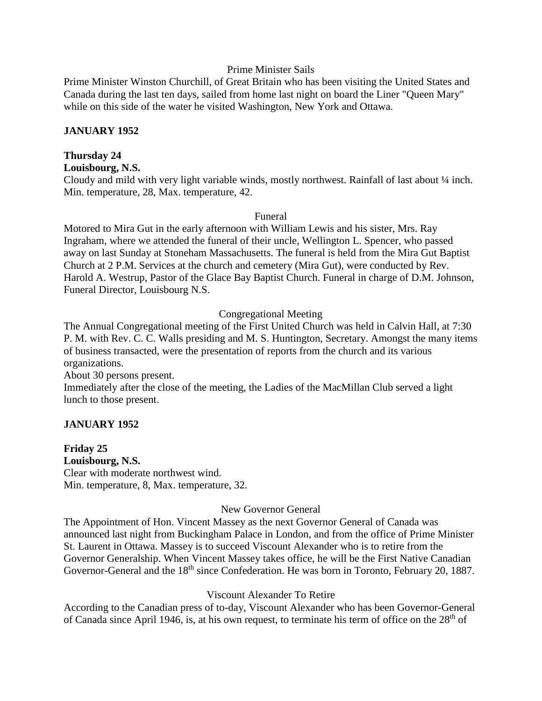### Prime Minister Sails

Prime Minister Winston Churchill, of Great Britain who has been visiting the United States and Canada during the last ten days, sailed from home last night on board the Liner "Queen Mary" while on this side of the water he visited Washington, New York and Ottawa.

### **JANUARY 1952**

## **Thursday 24**

**Louisbourg, N.S.**

Cloudy and mild with very light variable winds, mostly northwest. Rainfall of last about ¼ inch. Min. temperature, 28, Max. temperature, 42.

#### Funeral

Motored to Mira Gut in the early afternoon with William Lewis and his sister, Mrs. Ray Ingraham, where we attended the funeral of their uncle, Wellington L. Spencer, who passed away on last Sunday at Stoneham Massachusetts. The funeral is held from the Mira Gut Baptist Church at 2 P.M. Services at the church and cemetery (Mira Gut), were conducted by Rev. Harold A. Westrup, Pastor of the Glace Bay Baptist Church. Funeral in charge of D.M. Johnson, Funeral Director, Louisbourg N.S.

## Congregational Meeting

The Annual Congregational meeting of the First United Church was held in Calvin Hall, at 7:30 P. M. with Rev. C. C. Walls presiding and M. S. Huntington, Secretary. Amongst the many items of business transacted, were the presentation of reports from the church and its various organizations.

About 30 persons present.

Immediately after the close of the meeting, the Ladies of the MacMillan Club served a light lunch to those present.

## **JANUARY 1952**

**Friday 25**

**Louisbourg, N.S.** Clear with moderate northwest wind. Min. temperature, 8, Max. temperature, 32.

## New Governor General

The Appointment of Hon. Vincent Massey as the next Governor General of Canada was announced last night from Buckingham Palace in London, and from the office of Prime Minister St. Laurent in Ottawa. Massey is to succeed Viscount Alexander who is to retire from the Governor Generalship. When Vincent Massey takes office, he will be the First Native Canadian Governor-General and the 18<sup>th</sup> since Confederation. He was born in Toronto, February 20, 1887.

## Viscount Alexander To Retire

According to the Canadian press of to-day, Viscount Alexander who has been Governor-General of Canada since April 1946, is, at his own request, to terminate his term of office on the 28<sup>th</sup> of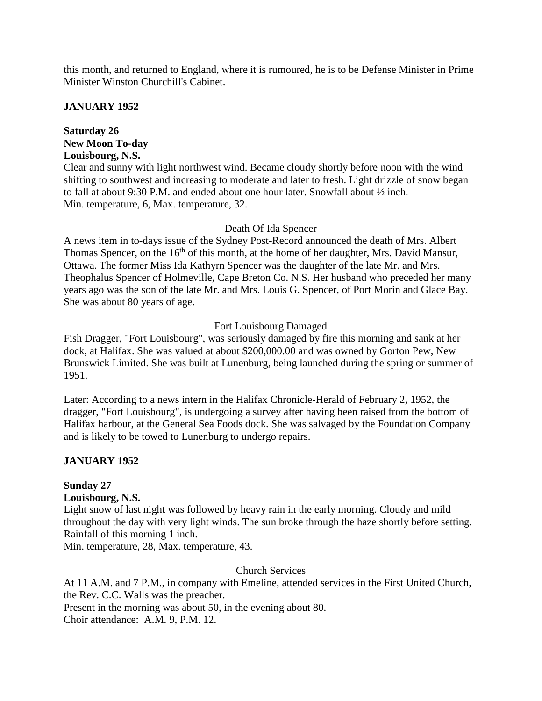this month, and returned to England, where it is rumoured, he is to be Defense Minister in Prime Minister Winston Churchill's Cabinet.

## **JANUARY 1952**

## **Saturday 26 New Moon To-day Louisbourg, N.S.**

Clear and sunny with light northwest wind. Became cloudy shortly before noon with the wind shifting to southwest and increasing to moderate and later to fresh. Light drizzle of snow began to fall at about 9:30 P.M. and ended about one hour later. Snowfall about ½ inch. Min. temperature, 6, Max. temperature, 32.

## Death Of Ida Spencer

A news item in to-days issue of the Sydney Post-Record announced the death of Mrs. Albert Thomas Spencer, on the 16<sup>th</sup> of this month, at the home of her daughter, Mrs. David Mansur, Ottawa. The former Miss Ida Kathyrn Spencer was the daughter of the late Mr. and Mrs. Theophalus Spencer of Holmeville, Cape Breton Co. N.S. Her husband who preceded her many years ago was the son of the late Mr. and Mrs. Louis G. Spencer, of Port Morin and Glace Bay. She was about 80 years of age.

## Fort Louisbourg Damaged

Fish Dragger, "Fort Louisbourg", was seriously damaged by fire this morning and sank at her dock, at Halifax. She was valued at about \$200,000.00 and was owned by Gorton Pew, New Brunswick Limited. She was built at Lunenburg, being launched during the spring or summer of 1951.

Later: According to a news intern in the Halifax Chronicle-Herald of February 2, 1952, the dragger, "Fort Louisbourg", is undergoing a survey after having been raised from the bottom of Halifax harbour, at the General Sea Foods dock. She was salvaged by the Foundation Company and is likely to be towed to Lunenburg to undergo repairs.

## **JANUARY 1952**

## **Sunday 27**

## **Louisbourg, N.S.**

Light snow of last night was followed by heavy rain in the early morning. Cloudy and mild throughout the day with very light winds. The sun broke through the haze shortly before setting. Rainfall of this morning 1 inch.

Min. temperature, 28, Max. temperature, 43.

## Church Services

At 11 A.M. and 7 P.M., in company with Emeline, attended services in the First United Church, the Rev. C.C. Walls was the preacher.

Present in the morning was about 50, in the evening about 80.

Choir attendance: A.M. 9, P.M. 12.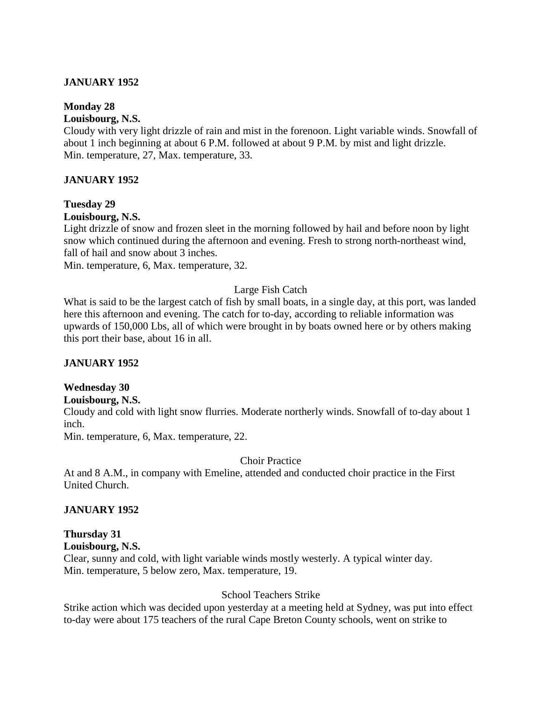## **JANUARY 1952**

### **Monday 28**

## **Louisbourg, N.S.**

Cloudy with very light drizzle of rain and mist in the forenoon. Light variable winds. Snowfall of about 1 inch beginning at about 6 P.M. followed at about 9 P.M. by mist and light drizzle. Min. temperature, 27, Max. temperature, 33.

## **JANUARY 1952**

## **Tuesday 29**

## **Louisbourg, N.S.**

Light drizzle of snow and frozen sleet in the morning followed by hail and before noon by light snow which continued during the afternoon and evening. Fresh to strong north-northeast wind, fall of hail and snow about 3 inches.

Min. temperature, 6, Max. temperature, 32.

## Large Fish Catch

What is said to be the largest catch of fish by small boats, in a single day, at this port, was landed here this afternoon and evening. The catch for to-day, according to reliable information was upwards of 150,000 Lbs, all of which were brought in by boats owned here or by others making this port their base, about 16 in all.

## **JANUARY 1952**

## **Wednesday 30**

## **Louisbourg, N.S.**

Cloudy and cold with light snow flurries. Moderate northerly winds. Snowfall of to-day about 1 inch.

Min. temperature, 6, Max. temperature, 22.

## Choir Practice

At and 8 A.M., in company with Emeline, attended and conducted choir practice in the First United Church.

## **JANUARY 1952**

# **Thursday 31**

**Louisbourg, N.S.**

Clear, sunny and cold, with light variable winds mostly westerly. A typical winter day. Min. temperature, 5 below zero, Max. temperature, 19.

## School Teachers Strike

Strike action which was decided upon yesterday at a meeting held at Sydney, was put into effect to-day were about 175 teachers of the rural Cape Breton County schools, went on strike to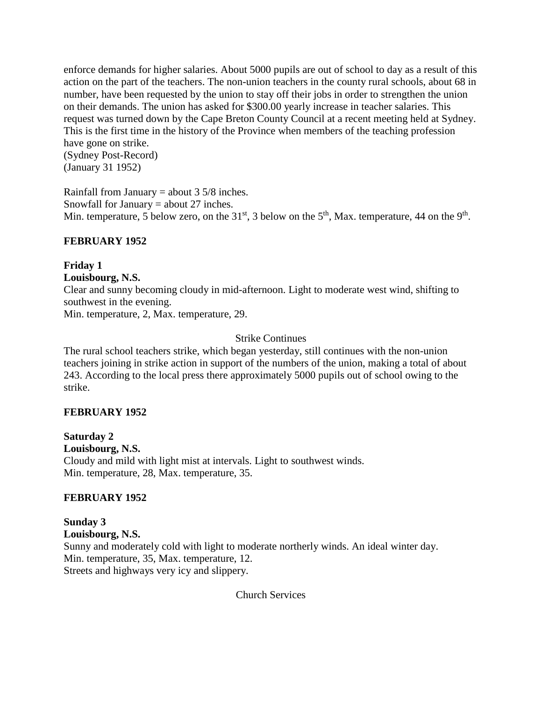enforce demands for higher salaries. About 5000 pupils are out of school to day as a result of this action on the part of the teachers. The non-union teachers in the county rural schools, about 68 in number, have been requested by the union to stay off their jobs in order to strengthen the union on their demands. The union has asked for \$300.00 yearly increase in teacher salaries. This request was turned down by the Cape Breton County Council at a recent meeting held at Sydney. This is the first time in the history of the Province when members of the teaching profession have gone on strike. (Sydney Post-Record) (January 31 1952)

Rainfall from January = about  $3\frac{5}{8}$  inches. Snowfall for January = about 27 inches. Min. temperature, 5 below zero, on the 31<sup>st</sup>, 3 below on the 5<sup>th</sup>, Max. temperature, 44 on the 9<sup>th</sup>.

## **FEBRUARY 1952**

**Friday 1**

**Louisbourg, N.S.**

Clear and sunny becoming cloudy in mid-afternoon. Light to moderate west wind, shifting to southwest in the evening.

Min. temperature, 2, Max. temperature, 29.

## Strike Continues

The rural school teachers strike, which began yesterday, still continues with the non-union teachers joining in strike action in support of the numbers of the union, making a total of about 243. According to the local press there approximately 5000 pupils out of school owing to the strike.

## **FEBRUARY 1952**

**Saturday 2 Louisbourg, N.S.** Cloudy and mild with light mist at intervals. Light to southwest winds. Min. temperature, 28, Max. temperature, 35.

## **FEBRUARY 1952**

**Sunday 3 Louisbourg, N.S.** Sunny and moderately cold with light to moderate northerly winds. An ideal winter day. Min. temperature, 35, Max. temperature, 12. Streets and highways very icy and slippery.

Church Services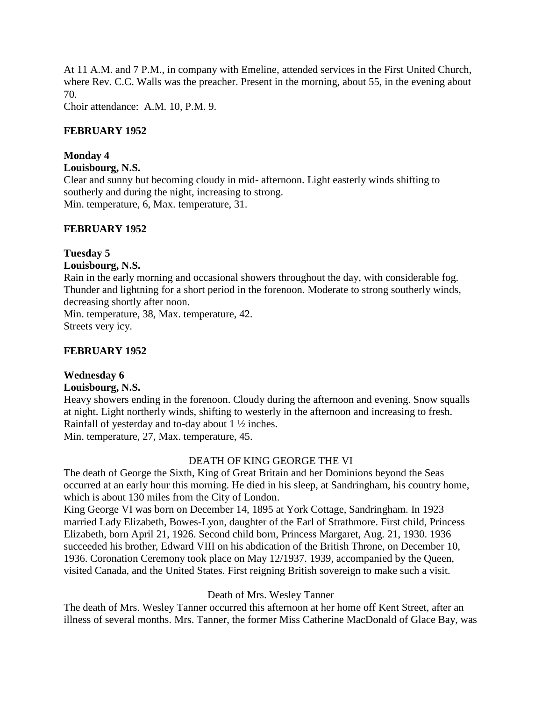At 11 A.M. and 7 P.M., in company with Emeline, attended services in the First United Church, where Rev. C.C. Walls was the preacher. Present in the morning, about 55, in the evening about 70.

Choir attendance: A.M. 10, P.M. 9.

## **FEBRUARY 1952**

## **Monday 4**

## **Louisbourg, N.S.**

Clear and sunny but becoming cloudy in mid- afternoon. Light easterly winds shifting to southerly and during the night, increasing to strong. Min. temperature, 6, Max. temperature, 31.

## **FEBRUARY 1952**

## **Tuesday 5**

## **Louisbourg, N.S.**

Rain in the early morning and occasional showers throughout the day, with considerable fog. Thunder and lightning for a short period in the forenoon. Moderate to strong southerly winds, decreasing shortly after noon.

Min. temperature, 38, Max. temperature, 42. Streets very icy.

## **FEBRUARY 1952**

## **Wednesday 6**

## **Louisbourg, N.S.**

Heavy showers ending in the forenoon. Cloudy during the afternoon and evening. Snow squalls at night. Light northerly winds, shifting to westerly in the afternoon and increasing to fresh. Rainfall of yesterday and to-day about 1 ½ inches. Min. temperature, 27, Max. temperature, 45.

## DEATH OF KING GEORGE THE VI

The death of George the Sixth, King of Great Britain and her Dominions beyond the Seas occurred at an early hour this morning. He died in his sleep, at Sandringham, his country home, which is about 130 miles from the City of London.

King George VI was born on December 14, 1895 at York Cottage, Sandringham. In 1923 married Lady Elizabeth, Bowes-Lyon, daughter of the Earl of Strathmore. First child, Princess Elizabeth, born April 21, 1926. Second child born, Princess Margaret, Aug. 21, 1930. 1936 succeeded his brother, Edward VIII on his abdication of the British Throne, on December 10, 1936. Coronation Ceremony took place on May 12/1937. 1939, accompanied by the Queen, visited Canada, and the United States. First reigning British sovereign to make such a visit.

## Death of Mrs. Wesley Tanner

The death of Mrs. Wesley Tanner occurred this afternoon at her home off Kent Street, after an illness of several months. Mrs. Tanner, the former Miss Catherine MacDonald of Glace Bay, was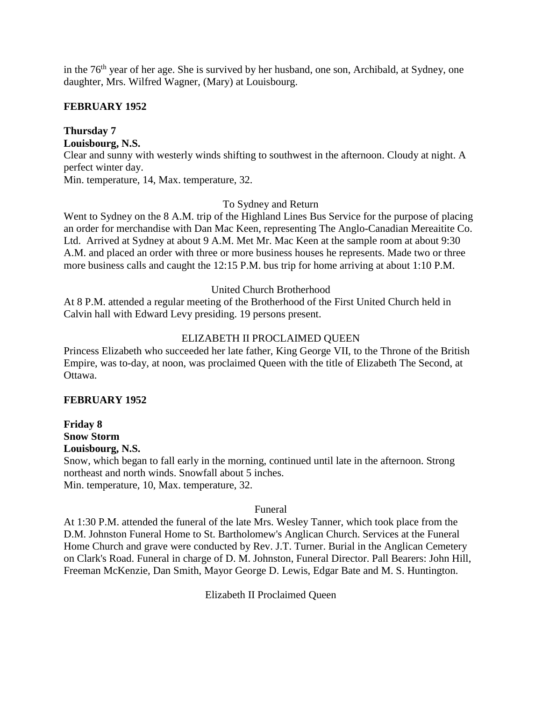in the 76<sup>th</sup> year of her age. She is survived by her husband, one son, Archibald, at Sydney, one daughter, Mrs. Wilfred Wagner, (Mary) at Louisbourg.

## **FEBRUARY 1952**

# **Thursday 7**

**Louisbourg, N.S.**

Clear and sunny with westerly winds shifting to southwest in the afternoon. Cloudy at night. A perfect winter day.

Min. temperature, 14, Max. temperature, 32.

## To Sydney and Return

Went to Sydney on the 8 A.M. trip of the Highland Lines Bus Service for the purpose of placing an order for merchandise with Dan Mac Keen, representing The Anglo-Canadian Mereaitite Co. Ltd. Arrived at Sydney at about 9 A.M. Met Mr. Mac Keen at the sample room at about 9:30 A.M. and placed an order with three or more business houses he represents. Made two or three more business calls and caught the 12:15 P.M. bus trip for home arriving at about 1:10 P.M.

## United Church Brotherhood

At 8 P.M. attended a regular meeting of the Brotherhood of the First United Church held in Calvin hall with Edward Levy presiding. 19 persons present.

## ELIZABETH II PROCLAIMED QUEEN

Princess Elizabeth who succeeded her late father, King George VII, to the Throne of the British Empire, was to-day, at noon, was proclaimed Queen with the title of Elizabeth The Second, at Ottawa.

## **FEBRUARY 1952**

**Friday 8 Snow Storm Louisbourg, N.S.**

Snow, which began to fall early in the morning, continued until late in the afternoon. Strong northeast and north winds. Snowfall about 5 inches. Min. temperature, 10, Max. temperature, 32.

## Funeral

At 1:30 P.M. attended the funeral of the late Mrs. Wesley Tanner, which took place from the D.M. Johnston Funeral Home to St. Bartholomew's Anglican Church. Services at the Funeral Home Church and grave were conducted by Rev. J.T. Turner. Burial in the Anglican Cemetery on Clark's Road. Funeral in charge of D. M. Johnston, Funeral Director. Pall Bearers: John Hill, Freeman McKenzie, Dan Smith, Mayor George D. Lewis, Edgar Bate and M. S. Huntington.

Elizabeth II Proclaimed Queen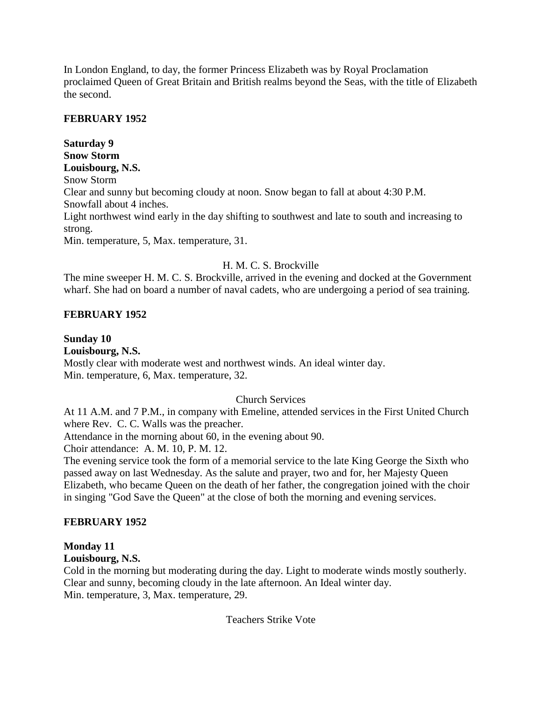In London England, to day, the former Princess Elizabeth was by Royal Proclamation proclaimed Queen of Great Britain and British realms beyond the Seas, with the title of Elizabeth the second.

## **FEBRUARY 1952**

**Saturday 9 Snow Storm Louisbourg, N.S.** Snow Storm Clear and sunny but becoming cloudy at noon. Snow began to fall at about 4:30 P.M. Snowfall about 4 inches. Light northwest wind early in the day shifting to southwest and late to south and increasing to strong. Min. temperature, 5, Max. temperature, 31.

## H. M. C. S. Brockville

The mine sweeper H. M. C. S. Brockville, arrived in the evening and docked at the Government wharf. She had on board a number of naval cadets, who are undergoing a period of sea training.

## **FEBRUARY 1952**

## **Sunday 10 Louisbourg, N.S.** Mostly clear with moderate west and northwest winds. An ideal winter day. Min. temperature, 6, Max. temperature, 32.

## Church Services

At 11 A.M. and 7 P.M., in company with Emeline, attended services in the First United Church where Rev. C. C. Walls was the preacher.

Attendance in the morning about 60, in the evening about 90.

Choir attendance: A. M. 10, P. M. 12.

The evening service took the form of a memorial service to the late King George the Sixth who passed away on last Wednesday. As the salute and prayer, two and for, her Majesty Queen Elizabeth, who became Queen on the death of her father, the congregation joined with the choir in singing "God Save the Queen" at the close of both the morning and evening services.

## **FEBRUARY 1952**

## **Monday 11**

## **Louisbourg, N.S.**

Cold in the morning but moderating during the day. Light to moderate winds mostly southerly. Clear and sunny, becoming cloudy in the late afternoon. An Ideal winter day. Min. temperature, 3, Max. temperature, 29.

## Teachers Strike Vote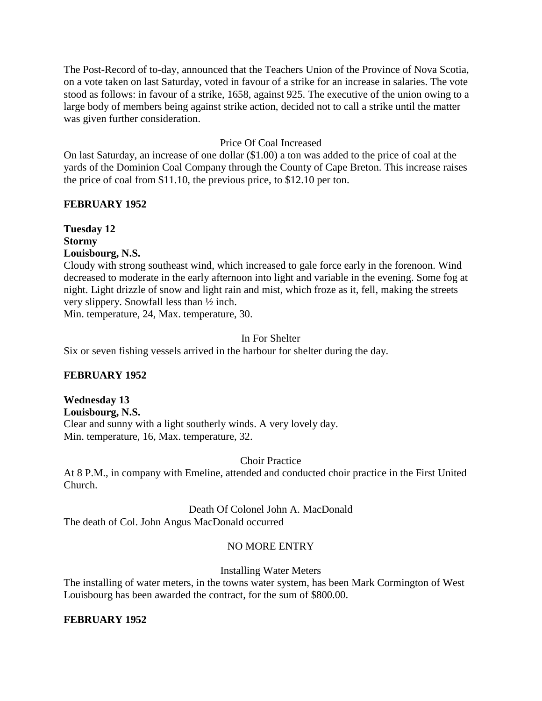The Post-Record of to-day, announced that the Teachers Union of the Province of Nova Scotia, on a vote taken on last Saturday, voted in favour of a strike for an increase in salaries. The vote stood as follows: in favour of a strike, 1658, against 925. The executive of the union owing to a large body of members being against strike action, decided not to call a strike until the matter was given further consideration.

## Price Of Coal Increased

On last Saturday, an increase of one dollar (\$1.00) a ton was added to the price of coal at the yards of the Dominion Coal Company through the County of Cape Breton. This increase raises the price of coal from \$11.10, the previous price, to \$12.10 per ton.

## **FEBRUARY 1952**

**Tuesday 12 Stormy Louisbourg, N.S.**

Cloudy with strong southeast wind, which increased to gale force early in the forenoon. Wind decreased to moderate in the early afternoon into light and variable in the evening. Some fog at night. Light drizzle of snow and light rain and mist, which froze as it, fell, making the streets very slippery. Snowfall less than ½ inch.

Min. temperature, 24, Max. temperature, 30.

## In For Shelter

Six or seven fishing vessels arrived in the harbour for shelter during the day.

## **FEBRUARY 1952**

# **Wednesday 13**

**Louisbourg, N.S.** Clear and sunny with a light southerly winds. A very lovely day. Min. temperature, 16, Max. temperature, 32.

## Choir Practice

At 8 P.M., in company with Emeline, attended and conducted choir practice in the First United Church.

# Death Of Colonel John A. MacDonald

The death of Col. John Angus MacDonald occurred

## NO MORE ENTRY

Installing Water Meters

The installing of water meters, in the towns water system, has been Mark Cormington of West Louisbourg has been awarded the contract, for the sum of \$800.00.

## **FEBRUARY 1952**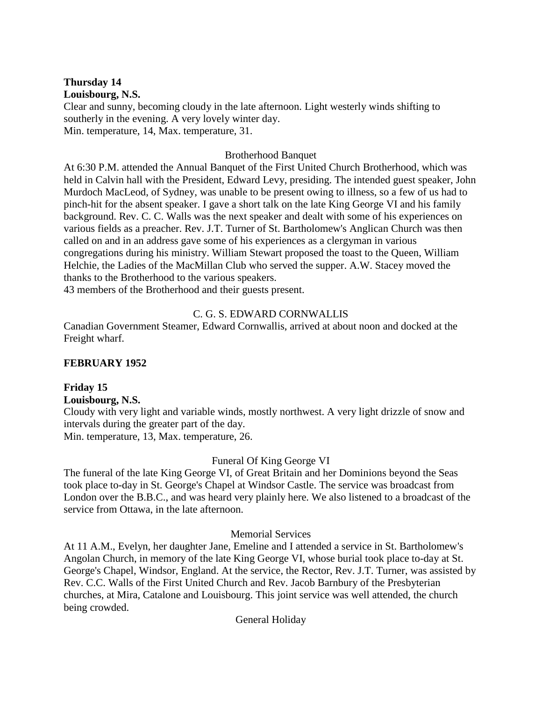# **Thursday 14**

**Louisbourg, N.S.**

Clear and sunny, becoming cloudy in the late afternoon. Light westerly winds shifting to southerly in the evening. A very lovely winter day. Min. temperature, 14, Max. temperature, 31.

## Brotherhood Banquet

At 6:30 P.M. attended the Annual Banquet of the First United Church Brotherhood, which was held in Calvin hall with the President, Edward Levy, presiding. The intended guest speaker, John Murdoch MacLeod, of Sydney, was unable to be present owing to illness, so a few of us had to pinch-hit for the absent speaker. I gave a short talk on the late King George VI and his family background. Rev. C. C. Walls was the next speaker and dealt with some of his experiences on various fields as a preacher. Rev. J.T. Turner of St. Bartholomew's Anglican Church was then called on and in an address gave some of his experiences as a clergyman in various congregations during his ministry. William Stewart proposed the toast to the Queen, William Helchie, the Ladies of the MacMillan Club who served the supper. A.W. Stacey moved the thanks to the Brotherhood to the various speakers.

43 members of the Brotherhood and their guests present.

## C. G. S. EDWARD CORNWALLIS

Canadian Government Steamer, Edward Cornwallis, arrived at about noon and docked at the Freight wharf.

## **FEBRUARY 1952**

## **Friday 15**

**Louisbourg, N.S.**

Cloudy with very light and variable winds, mostly northwest. A very light drizzle of snow and intervals during the greater part of the day. Min. temperature, 13, Max. temperature, 26.

## Funeral Of King George VI

The funeral of the late King George VI, of Great Britain and her Dominions beyond the Seas took place to-day in St. George's Chapel at Windsor Castle. The service was broadcast from London over the B.B.C., and was heard very plainly here. We also listened to a broadcast of the service from Ottawa, in the late afternoon.

## Memorial Services

At 11 A.M., Evelyn, her daughter Jane, Emeline and I attended a service in St. Bartholomew's Angolan Church, in memory of the late King George VI, whose burial took place to-day at St. George's Chapel, Windsor, England. At the service, the Rector, Rev. J.T. Turner, was assisted by Rev. C.C. Walls of the First United Church and Rev. Jacob Barnbury of the Presbyterian churches, at Mira, Catalone and Louisbourg. This joint service was well attended, the church being crowded.

General Holiday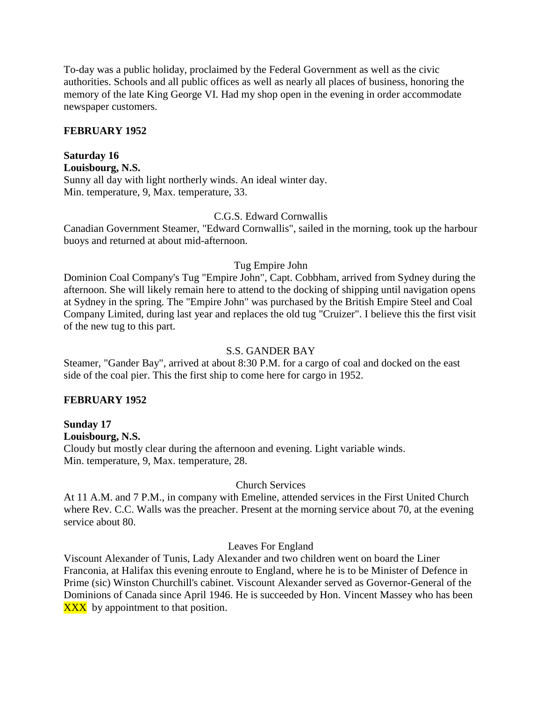To-day was a public holiday, proclaimed by the Federal Government as well as the civic authorities. Schools and all public offices as well as nearly all places of business, honoring the memory of the late King George VI. Had my shop open in the evening in order accommodate newspaper customers.

## **FEBRUARY 1952**

## **Saturday 16**

**Louisbourg, N.S.**

Sunny all day with light northerly winds. An ideal winter day. Min. temperature, 9, Max. temperature, 33.

## C.G.S. Edward Cornwallis

Canadian Government Steamer, "Edward Cornwallis", sailed in the morning, took up the harbour buoys and returned at about mid-afternoon.

#### Tug Empire John

Dominion Coal Company's Tug "Empire John", Capt. Cobbham, arrived from Sydney during the afternoon. She will likely remain here to attend to the docking of shipping until navigation opens at Sydney in the spring. The "Empire John" was purchased by the British Empire Steel and Coal Company Limited, during last year and replaces the old tug "Cruizer". I believe this the first visit of the new tug to this part.

#### S.S. GANDER BAY

Steamer, "Gander Bay", arrived at about 8:30 P.M. for a cargo of coal and docked on the east side of the coal pier. This the first ship to come here for cargo in 1952.

## **FEBRUARY 1952**

## **Sunday 17**

**Louisbourg, N.S.** Cloudy but mostly clear during the afternoon and evening. Light variable winds. Min. temperature, 9, Max. temperature, 28.

## Church Services

At 11 A.M. and 7 P.M., in company with Emeline, attended services in the First United Church where Rev. C.C. Walls was the preacher. Present at the morning service about 70, at the evening service about 80.

## Leaves For England

Viscount Alexander of Tunis, Lady Alexander and two children went on board the Liner Franconia, at Halifax this evening enroute to England, where he is to be Minister of Defence in Prime (sic) Winston Churchill's cabinet. Viscount Alexander served as Governor-General of the Dominions of Canada since April 1946. He is succeeded by Hon. Vincent Massey who has been **XXX** by appointment to that position.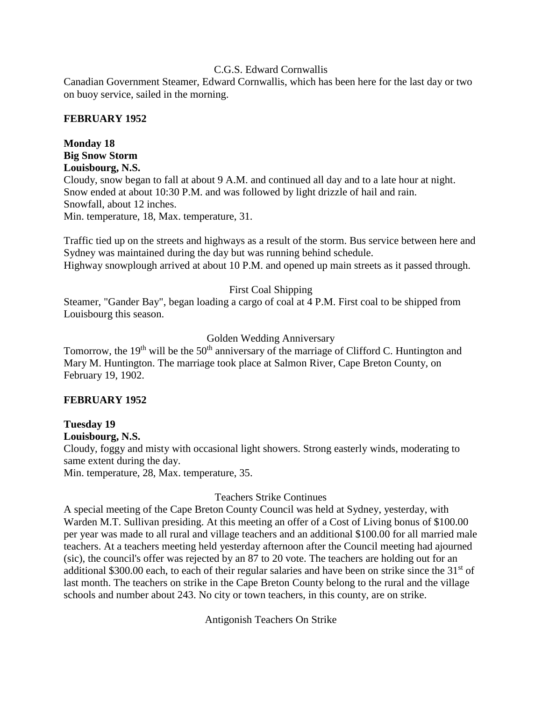## C.G.S. Edward Cornwallis

Canadian Government Steamer, Edward Cornwallis, which has been here for the last day or two on buoy service, sailed in the morning.

## **FEBRUARY 1952**

## **Monday 18 Big Snow Storm Louisbourg, N.S.**

Cloudy, snow began to fall at about 9 A.M. and continued all day and to a late hour at night. Snow ended at about 10:30 P.M. and was followed by light drizzle of hail and rain. Snowfall, about 12 inches. Min. temperature, 18, Max. temperature, 31.

Traffic tied up on the streets and highways as a result of the storm. Bus service between here and Sydney was maintained during the day but was running behind schedule. Highway snowplough arrived at about 10 P.M. and opened up main streets as it passed through.

## First Coal Shipping

Steamer, "Gander Bay", began loading a cargo of coal at 4 P.M. First coal to be shipped from Louisbourg this season.

## Golden Wedding Anniversary

Tomorrow, the  $19<sup>th</sup>$  will be the 50<sup>th</sup> anniversary of the marriage of Clifford C. Huntington and Mary M. Huntington. The marriage took place at Salmon River, Cape Breton County, on February 19, 1902.

## **FEBRUARY 1952**

## **Tuesday 19 Louisbourg, N.S.** Cloudy, foggy and misty with occasional light showers. Strong easterly winds, moderating to same extent during the day. Min. temperature, 28, Max. temperature, 35.

## Teachers Strike Continues

A special meeting of the Cape Breton County Council was held at Sydney, yesterday, with Warden M.T. Sullivan presiding. At this meeting an offer of a Cost of Living bonus of \$100.00 per year was made to all rural and village teachers and an additional \$100.00 for all married male teachers. At a teachers meeting held yesterday afternoon after the Council meeting had ajourned (sic), the council's offer was rejected by an 87 to 20 vote. The teachers are holding out for an additional \$300.00 each, to each of their regular salaries and have been on strike since the  $31<sup>st</sup>$  of last month. The teachers on strike in the Cape Breton County belong to the rural and the village schools and number about 243. No city or town teachers, in this county, are on strike.

Antigonish Teachers On Strike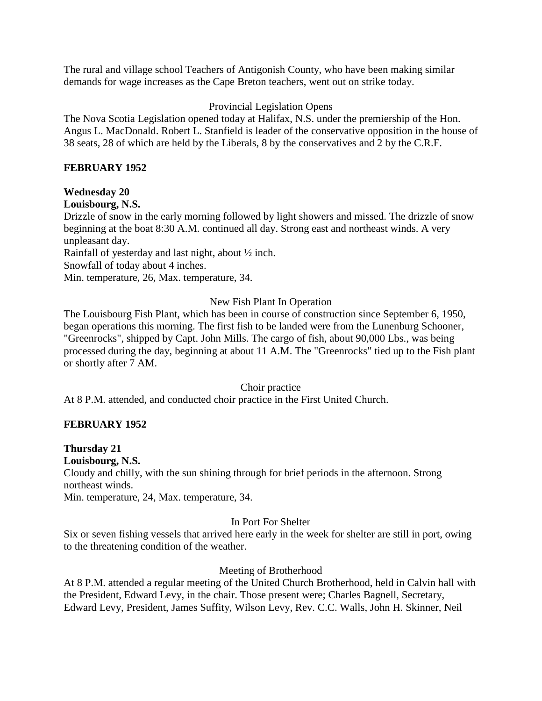The rural and village school Teachers of Antigonish County, who have been making similar demands for wage increases as the Cape Breton teachers, went out on strike today.

## Provincial Legislation Opens

The Nova Scotia Legislation opened today at Halifax, N.S. under the premiership of the Hon. Angus L. MacDonald. Robert L. Stanfield is leader of the conservative opposition in the house of 38 seats, 28 of which are held by the Liberals, 8 by the conservatives and 2 by the C.R.F.

## **FEBRUARY 1952**

## **Wednesday 20**

## **Louisbourg, N.S.**

Drizzle of snow in the early morning followed by light showers and missed. The drizzle of snow beginning at the boat 8:30 A.M. continued all day. Strong east and northeast winds. A very unpleasant day.

Rainfall of yesterday and last night, about ½ inch.

Snowfall of today about 4 inches.

Min. temperature, 26, Max. temperature, 34.

## New Fish Plant In Operation

The Louisbourg Fish Plant, which has been in course of construction since September 6, 1950, began operations this morning. The first fish to be landed were from the Lunenburg Schooner, "Greenrocks", shipped by Capt. John Mills. The cargo of fish, about 90,000 Lbs., was being processed during the day, beginning at about 11 A.M. The "Greenrocks" tied up to the Fish plant or shortly after 7 AM.

## Choir practice

At 8 P.M. attended, and conducted choir practice in the First United Church.

## **FEBRUARY 1952**

## **Thursday 21**

## **Louisbourg, N.S.**

Cloudy and chilly, with the sun shining through for brief periods in the afternoon. Strong northeast winds.

Min. temperature, 24, Max. temperature, 34.

## In Port For Shelter

Six or seven fishing vessels that arrived here early in the week for shelter are still in port, owing to the threatening condition of the weather.

## Meeting of Brotherhood

At 8 P.M. attended a regular meeting of the United Church Brotherhood, held in Calvin hall with the President, Edward Levy, in the chair. Those present were; Charles Bagnell, Secretary, Edward Levy, President, James Suffity, Wilson Levy, Rev. C.C. Walls, John H. Skinner, Neil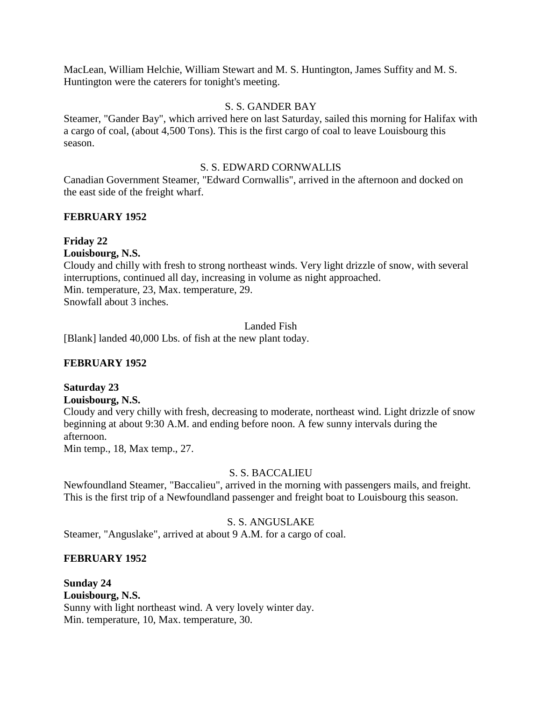MacLean, William Helchie, William Stewart and M. S. Huntington, James Suffity and M. S. Huntington were the caterers for tonight's meeting.

## S. S. GANDER BAY

Steamer, "Gander Bay", which arrived here on last Saturday, sailed this morning for Halifax with a cargo of coal, (about 4,500 Tons). This is the first cargo of coal to leave Louisbourg this season.

### S. S. EDWARD CORNWALLIS

Canadian Government Steamer, "Edward Cornwallis", arrived in the afternoon and docked on the east side of the freight wharf.

## **FEBRUARY 1952**

## **Friday 22**

**Louisbourg, N.S.** Cloudy and chilly with fresh to strong northeast winds. Very light drizzle of snow, with several interruptions, continued all day, increasing in volume as night approached. Min. temperature, 23, Max. temperature, 29. Snowfall about 3 inches.

## Landed Fish

[Blank] landed 40,000 Lbs. of fish at the new plant today.

## **FEBRUARY 1952**

## **Saturday 23**

**Louisbourg, N.S.**

Cloudy and very chilly with fresh, decreasing to moderate, northeast wind. Light drizzle of snow beginning at about 9:30 A.M. and ending before noon. A few sunny intervals during the afternoon.

Min temp., 18, Max temp., 27.

## S. S. BACCALIEU

Newfoundland Steamer, "Baccalieu", arrived in the morning with passengers mails, and freight. This is the first trip of a Newfoundland passenger and freight boat to Louisbourg this season.

## S. S. ANGUSLAKE

Steamer, "Anguslake", arrived at about 9 A.M. for a cargo of coal.

#### **FEBRUARY 1952**

## **Sunday 24 Louisbourg, N.S.** Sunny with light northeast wind. A very lovely winter day. Min. temperature, 10, Max. temperature, 30.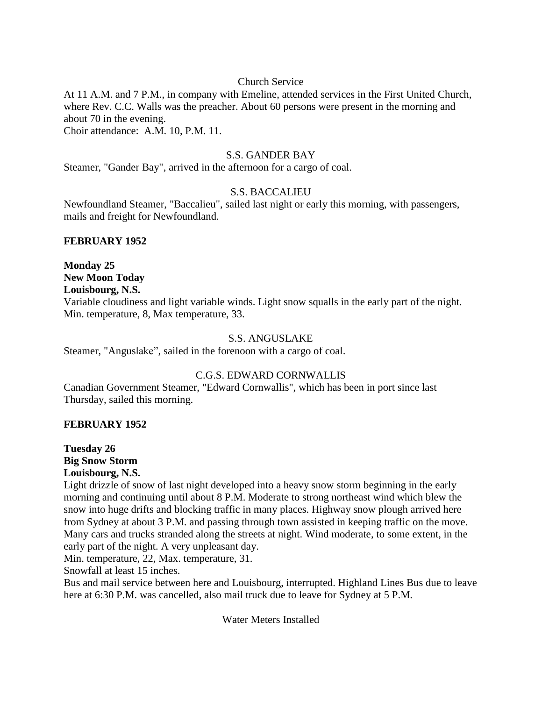## Church Service

At 11 A.M. and 7 P.M., in company with Emeline, attended services in the First United Church, where Rev. C.C. Walls was the preacher. About 60 persons were present in the morning and about 70 in the evening. Choir attendance: A.M. 10, P.M. 11.

### S.S. GANDER BAY

Steamer, "Gander Bay", arrived in the afternoon for a cargo of coal.

## S.S. BACCALIEU

Newfoundland Steamer, "Baccalieu", sailed last night or early this morning, with passengers, mails and freight for Newfoundland.

#### **FEBRUARY 1952**

**Monday 25 New Moon Today Louisbourg, N.S.**

Variable cloudiness and light variable winds. Light snow squalls in the early part of the night. Min. temperature, 8, Max temperature, 33.

### S.S. ANGUSLAKE

Steamer, "Anguslake", sailed in the forenoon with a cargo of coal.

## C.G.S. EDWARD CORNWALLIS

Canadian Government Steamer, "Edward Cornwallis", which has been in port since last Thursday, sailed this morning.

## **FEBRUARY 1952**

**Tuesday 26 Big Snow Storm Louisbourg, N.S.**

Light drizzle of snow of last night developed into a heavy snow storm beginning in the early morning and continuing until about 8 P.M. Moderate to strong northeast wind which blew the snow into huge drifts and blocking traffic in many places. Highway snow plough arrived here from Sydney at about 3 P.M. and passing through town assisted in keeping traffic on the move. Many cars and trucks stranded along the streets at night. Wind moderate, to some extent, in the early part of the night. A very unpleasant day.

Min. temperature, 22, Max. temperature, 31.

Snowfall at least 15 inches.

Bus and mail service between here and Louisbourg, interrupted. Highland Lines Bus due to leave here at 6:30 P.M. was cancelled, also mail truck due to leave for Sydney at 5 P.M.

Water Meters Installed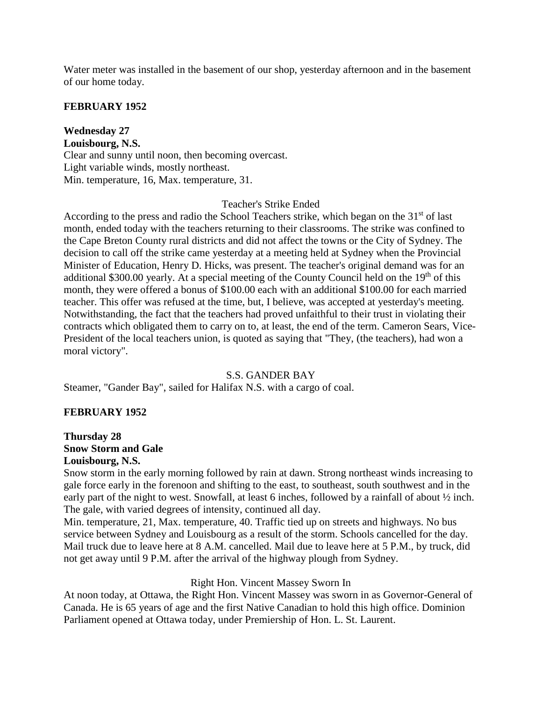Water meter was installed in the basement of our shop, yesterday afternoon and in the basement of our home today.

## **FEBRUARY 1952**

**Wednesday 27 Louisbourg, N.S.** Clear and sunny until noon, then becoming overcast. Light variable winds, mostly northeast. Min. temperature, 16, Max. temperature, 31.

## Teacher's Strike Ended

According to the press and radio the School Teachers strike, which began on the 31<sup>st</sup> of last month, ended today with the teachers returning to their classrooms. The strike was confined to the Cape Breton County rural districts and did not affect the towns or the City of Sydney. The decision to call off the strike came yesterday at a meeting held at Sydney when the Provincial Minister of Education, Henry D. Hicks, was present. The teacher's original demand was for an additional \$300.00 yearly. At a special meeting of the County Council held on the 19<sup>th</sup> of this month, they were offered a bonus of \$100.00 each with an additional \$100.00 for each married teacher. This offer was refused at the time, but, I believe, was accepted at yesterday's meeting. Notwithstanding, the fact that the teachers had proved unfaithful to their trust in violating their contracts which obligated them to carry on to, at least, the end of the term. Cameron Sears, Vice-President of the local teachers union, is quoted as saying that "They, (the teachers), had won a moral victory".

## S.S. GANDER BAY

Steamer, "Gander Bay", sailed for Halifax N.S. with a cargo of coal.

## **FEBRUARY 1952**

### **Thursday 28 Snow Storm and Gale Louisbourg, N.S.**

Snow storm in the early morning followed by rain at dawn. Strong northeast winds increasing to gale force early in the forenoon and shifting to the east, to southeast, south southwest and in the early part of the night to west. Snowfall, at least 6 inches, followed by a rainfall of about ½ inch. The gale, with varied degrees of intensity, continued all day.

Min. temperature, 21, Max. temperature, 40. Traffic tied up on streets and highways. No bus service between Sydney and Louisbourg as a result of the storm. Schools cancelled for the day. Mail truck due to leave here at 8 A.M. cancelled. Mail due to leave here at 5 P.M., by truck, did not get away until 9 P.M. after the arrival of the highway plough from Sydney.

#### Right Hon. Vincent Massey Sworn In

At noon today, at Ottawa, the Right Hon. Vincent Massey was sworn in as Governor-General of Canada. He is 65 years of age and the first Native Canadian to hold this high office. Dominion Parliament opened at Ottawa today, under Premiership of Hon. L. St. Laurent.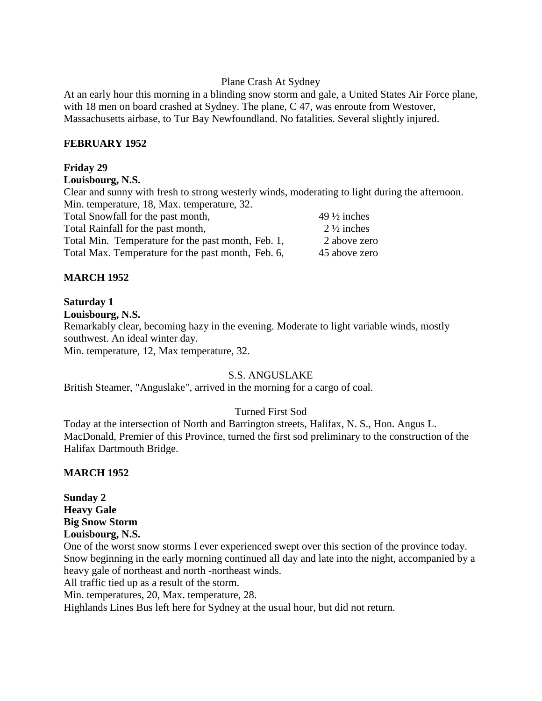#### Plane Crash At Sydney

At an early hour this morning in a blinding snow storm and gale, a United States Air Force plane, with 18 men on board crashed at Sydney. The plane, C 47, was enroute from Westover, Massachusetts airbase, to Tur Bay Newfoundland. No fatalities. Several slightly injured.

### **FEBRUARY 1952**

### **Friday 29**

#### **Louisbourg, N.S.**

Clear and sunny with fresh to strong westerly winds, moderating to light during the afternoon. Min. temperature, 18, Max. temperature, 32.

| Total Snowfall for the past month,                 | 49 $\frac{1}{2}$ inches |
|----------------------------------------------------|-------------------------|
| Total Rainfall for the past month,                 | $2\frac{1}{2}$ inches   |
| Total Min. Temperature for the past month, Feb. 1, | 2 above zero            |
| Total Max. Temperature for the past month, Feb. 6, | 45 above zero           |

## **MARCH 1952**

#### **Saturday 1**

**Louisbourg, N.S.**

Remarkably clear, becoming hazy in the evening. Moderate to light variable winds, mostly southwest. An ideal winter day.

Min. temperature, 12, Max temperature, 32.

## S.S. ANGUSLAKE

British Steamer, "Anguslake", arrived in the morning for a cargo of coal.

## Turned First Sod

Today at the intersection of North and Barrington streets, Halifax, N. S., Hon. Angus L. MacDonald, Premier of this Province, turned the first sod preliminary to the construction of the Halifax Dartmouth Bridge.

#### **MARCH 1952**

## **Sunday 2 Heavy Gale Big Snow Storm Louisbourg, N.S.**

One of the worst snow storms I ever experienced swept over this section of the province today. Snow beginning in the early morning continued all day and late into the night, accompanied by a heavy gale of northeast and north -northeast winds.

All traffic tied up as a result of the storm.

Min. temperatures, 20, Max. temperature, 28.

Highlands Lines Bus left here for Sydney at the usual hour, but did not return.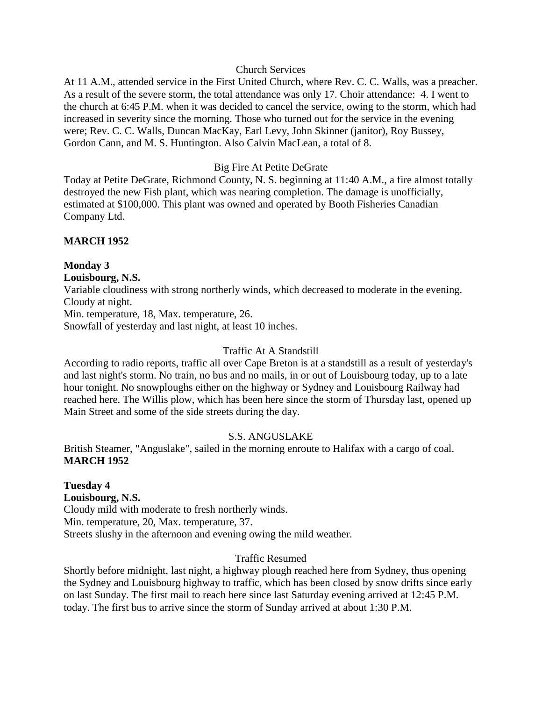## Church Services

At 11 A.M., attended service in the First United Church, where Rev. C. C. Walls, was a preacher. As a result of the severe storm, the total attendance was only 17. Choir attendance: 4. I went to the church at 6:45 P.M. when it was decided to cancel the service, owing to the storm, which had increased in severity since the morning. Those who turned out for the service in the evening were; Rev. C. C. Walls, Duncan MacKay, Earl Levy, John Skinner (janitor), Roy Bussey, Gordon Cann, and M. S. Huntington. Also Calvin MacLean, a total of 8.

### Big Fire At Petite DeGrate

Today at Petite DeGrate, Richmond County, N. S. beginning at 11:40 A.M., a fire almost totally destroyed the new Fish plant, which was nearing completion. The damage is unofficially, estimated at \$100,000. This plant was owned and operated by Booth Fisheries Canadian Company Ltd.

## **MARCH 1952**

## **Monday 3**

## **Louisbourg, N.S.**

Variable cloudiness with strong northerly winds, which decreased to moderate in the evening. Cloudy at night.

Min. temperature, 18, Max. temperature, 26.

Snowfall of yesterday and last night, at least 10 inches.

### Traffic At A Standstill

According to radio reports, traffic all over Cape Breton is at a standstill as a result of yesterday's and last night's storm. No train, no bus and no mails, in or out of Louisbourg today, up to a late hour tonight. No snowploughs either on the highway or Sydney and Louisbourg Railway had reached here. The Willis plow, which has been here since the storm of Thursday last, opened up Main Street and some of the side streets during the day.

## S.S. ANGUSLAKE

British Steamer, "Anguslake", sailed in the morning enroute to Halifax with a cargo of coal. **MARCH 1952**

# **Tuesday 4**

## **Louisbourg, N.S.**

Cloudy mild with moderate to fresh northerly winds. Min. temperature, 20, Max. temperature, 37. Streets slushy in the afternoon and evening owing the mild weather.

## Traffic Resumed

Shortly before midnight, last night, a highway plough reached here from Sydney, thus opening the Sydney and Louisbourg highway to traffic, which has been closed by snow drifts since early on last Sunday. The first mail to reach here since last Saturday evening arrived at 12:45 P.M. today. The first bus to arrive since the storm of Sunday arrived at about 1:30 P.M.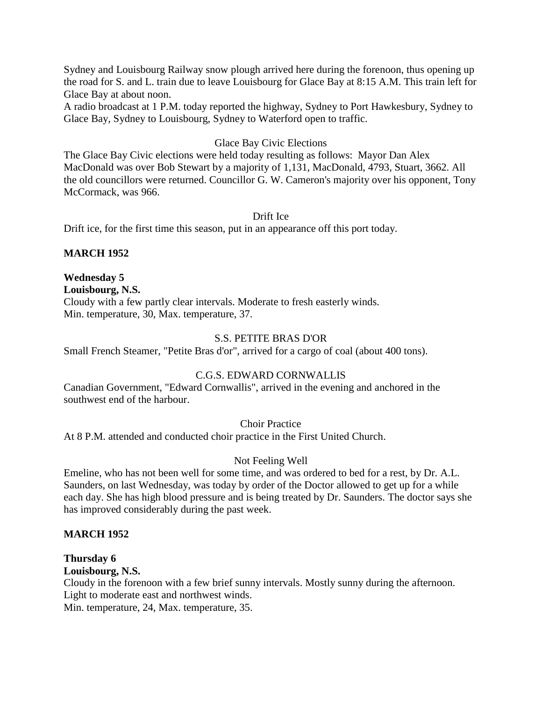Sydney and Louisbourg Railway snow plough arrived here during the forenoon, thus opening up the road for S. and L. train due to leave Louisbourg for Glace Bay at 8:15 A.M. This train left for Glace Bay at about noon.

A radio broadcast at 1 P.M. today reported the highway, Sydney to Port Hawkesbury, Sydney to Glace Bay, Sydney to Louisbourg, Sydney to Waterford open to traffic.

## Glace Bay Civic Elections

The Glace Bay Civic elections were held today resulting as follows: Mayor Dan Alex MacDonald was over Bob Stewart by a majority of 1,131, MacDonald, 4793, Stuart, 3662. All the old councillors were returned. Councillor G. W. Cameron's majority over his opponent, Tony McCormack, was 966.

Drift Ice

Drift ice, for the first time this season, put in an appearance off this port today.

## **MARCH 1952**

## **Wednesday 5**

**Louisbourg, N.S.** Cloudy with a few partly clear intervals. Moderate to fresh easterly winds. Min. temperature, 30, Max. temperature, 37.

## S.S. PETITE BRAS D'OR

Small French Steamer, "Petite Bras d'or", arrived for a cargo of coal (about 400 tons).

## C.G.S. EDWARD CORNWALLIS

Canadian Government, "Edward Cornwallis", arrived in the evening and anchored in the southwest end of the harbour.

Choir Practice

At 8 P.M. attended and conducted choir practice in the First United Church.

## Not Feeling Well

Emeline, who has not been well for some time, and was ordered to bed for a rest, by Dr. A.L. Saunders, on last Wednesday, was today by order of the Doctor allowed to get up for a while each day. She has high blood pressure and is being treated by Dr. Saunders. The doctor says she has improved considerably during the past week.

## **MARCH 1952**

**Thursday 6**

## **Louisbourg, N.S.**

Cloudy in the forenoon with a few brief sunny intervals. Mostly sunny during the afternoon. Light to moderate east and northwest winds.

Min. temperature, 24, Max. temperature, 35.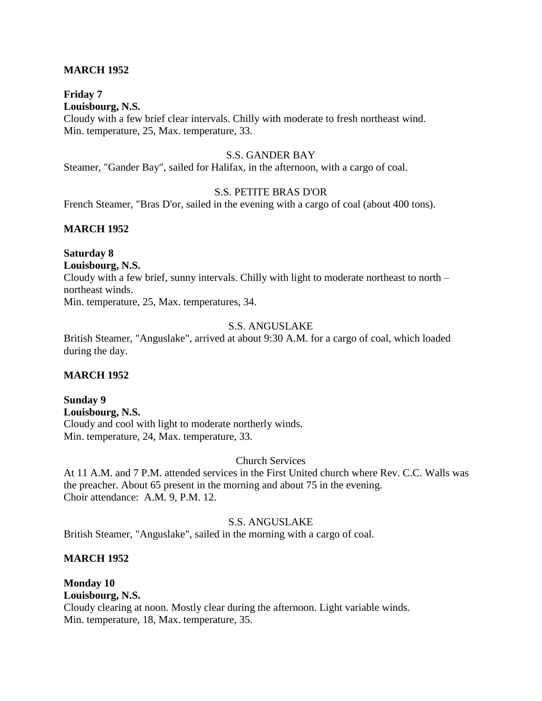## **MARCH 1952**

## **Friday 7**

**Louisbourg, N.S.** Cloudy with a few brief clear intervals. Chilly with moderate to fresh northeast wind. Min. temperature, 25, Max. temperature, 33.

## S.S. GANDER BAY

Steamer, "Gander Bay", sailed for Halifax, in the afternoon, with a cargo of coal.

## S.S. PETITE BRAS D'OR

French Steamer, "Bras D'or, sailed in the evening with a cargo of coal (about 400 tons).

## **MARCH 1952**

## **Saturday 8**

**Louisbourg, N.S.**

Cloudy with a few brief, sunny intervals. Chilly with light to moderate northeast to north – northeast winds. Min. temperature, 25, Max. temperatures, 34.

### S.S. ANGUSLAKE

British Steamer, "Anguslake", arrived at about 9:30 A.M. for a cargo of coal, which loaded during the day.

## **MARCH 1952**

**Sunday 9 Louisbourg, N.S.** Cloudy and cool with light to moderate northerly winds. Min. temperature, 24, Max. temperature, 33.

Church Services

At 11 A.M. and 7 P.M. attended services in the First United church where Rev. C.C. Walls was the preacher. About 65 present in the morning and about 75 in the evening. Choir attendance: A.M. 9, P.M. 12.

## S.S. ANGUSLAKE

British Steamer, "Anguslake", sailed in the morning with a cargo of coal.

#### **MARCH 1952**

**Monday 10 Louisbourg, N.S.** Cloudy clearing at noon. Mostly clear during the afternoon. Light variable winds. Min. temperature, 18, Max. temperature, 35.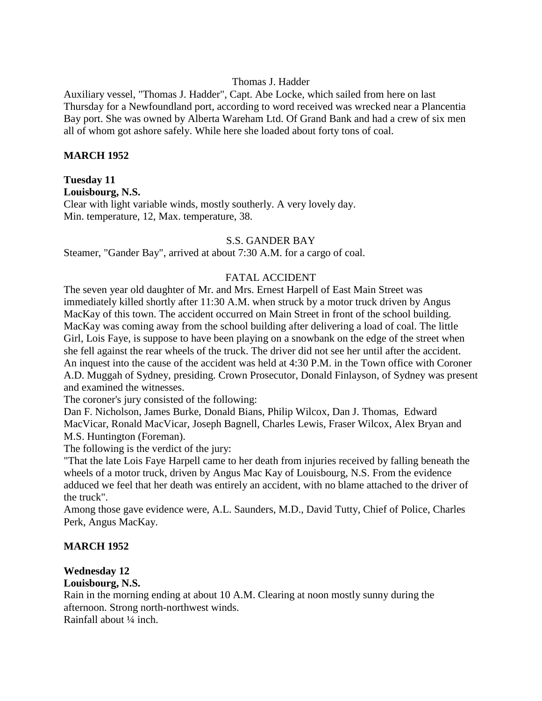## Thomas J. Hadder

Auxiliary vessel, "Thomas J. Hadder", Capt. Abe Locke, which sailed from here on last Thursday for a Newfoundland port, according to word received was wrecked near a Plancentia Bay port. She was owned by Alberta Wareham Ltd. Of Grand Bank and had a crew of six men all of whom got ashore safely. While here she loaded about forty tons of coal.

### **MARCH 1952**

## **Tuesday 11**

**Louisbourg, N.S.**

Clear with light variable winds, mostly southerly. A very lovely day. Min. temperature, 12, Max. temperature, 38.

#### S.S. GANDER BAY

Steamer, "Gander Bay", arrived at about 7:30 A.M. for a cargo of coal.

## FATAL ACCIDENT

The seven year old daughter of Mr. and Mrs. Ernest Harpell of East Main Street was immediately killed shortly after 11:30 A.M. when struck by a motor truck driven by Angus MacKay of this town. The accident occurred on Main Street in front of the school building. MacKay was coming away from the school building after delivering a load of coal. The little Girl, Lois Faye, is suppose to have been playing on a snowbank on the edge of the street when she fell against the rear wheels of the truck. The driver did not see her until after the accident. An inquest into the cause of the accident was held at 4:30 P.M. in the Town office with Coroner A.D. Muggah of Sydney, presiding. Crown Prosecutor, Donald Finlayson, of Sydney was present and examined the witnesses.

The coroner's jury consisted of the following:

Dan F. Nicholson, James Burke, Donald Bians, Philip Wilcox, Dan J. Thomas, Edward MacVicar, Ronald MacVicar, Joseph Bagnell, Charles Lewis, Fraser Wilcox, Alex Bryan and M.S. Huntington (Foreman).

The following is the verdict of the jury:

"That the late Lois Faye Harpell came to her death from injuries received by falling beneath the wheels of a motor truck, driven by Angus Mac Kay of Louisbourg, N.S. From the evidence adduced we feel that her death was entirely an accident, with no blame attached to the driver of the truck".

Among those gave evidence were, A.L. Saunders, M.D., David Tutty, Chief of Police, Charles Perk, Angus MacKay.

## **MARCH 1952**

## **Wednesday 12**

## **Louisbourg, N.S.**

Rain in the morning ending at about 10 A.M. Clearing at noon mostly sunny during the afternoon. Strong north-northwest winds.

Rainfall about ¼ inch.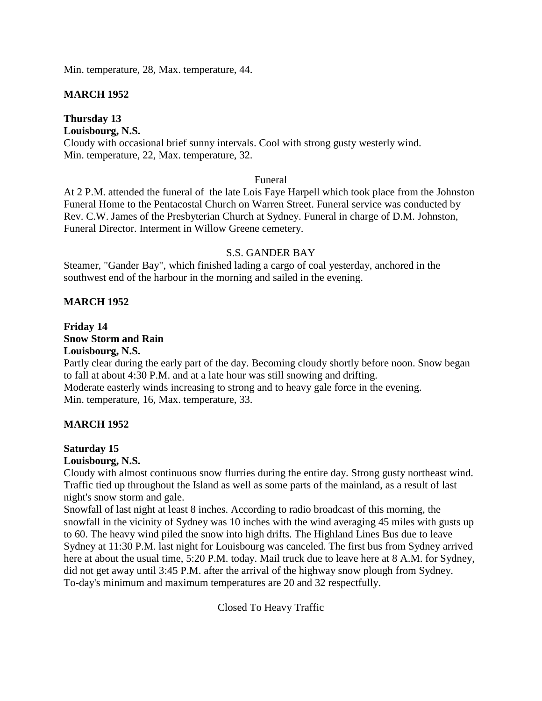Min. temperature, 28, Max. temperature, 44.

## **MARCH 1952**

## **Thursday 13**

## **Louisbourg, N.S.**

Cloudy with occasional brief sunny intervals. Cool with strong gusty westerly wind. Min. temperature, 22, Max. temperature, 32.

## Funeral

At 2 P.M. attended the funeral of the late Lois Faye Harpell which took place from the Johnston Funeral Home to the Pentacostal Church on Warren Street. Funeral service was conducted by Rev. C.W. James of the Presbyterian Church at Sydney. Funeral in charge of D.M. Johnston, Funeral Director. Interment in Willow Greene cemetery.

## S.S. GANDER BAY

Steamer, "Gander Bay", which finished lading a cargo of coal yesterday, anchored in the southwest end of the harbour in the morning and sailed in the evening.

## **MARCH 1952**

## **Friday 14 Snow Storm and Rain Louisbourg, N.S.**

Partly clear during the early part of the day. Becoming cloudy shortly before noon. Snow began to fall at about 4:30 P.M. and at a late hour was still snowing and drifting. Moderate easterly winds increasing to strong and to heavy gale force in the evening. Min. temperature, 16, Max. temperature, 33.

## **MARCH 1952**

## **Saturday 15**

## **Louisbourg, N.S.**

Cloudy with almost continuous snow flurries during the entire day. Strong gusty northeast wind. Traffic tied up throughout the Island as well as some parts of the mainland, as a result of last night's snow storm and gale.

Snowfall of last night at least 8 inches. According to radio broadcast of this morning, the snowfall in the vicinity of Sydney was 10 inches with the wind averaging 45 miles with gusts up to 60. The heavy wind piled the snow into high drifts. The Highland Lines Bus due to leave Sydney at 11:30 P.M. last night for Louisbourg was canceled. The first bus from Sydney arrived here at about the usual time, 5:20 P.M. today. Mail truck due to leave here at 8 A.M. for Sydney, did not get away until 3:45 P.M. after the arrival of the highway snow plough from Sydney. To-day's minimum and maximum temperatures are 20 and 32 respectfully.

Closed To Heavy Traffic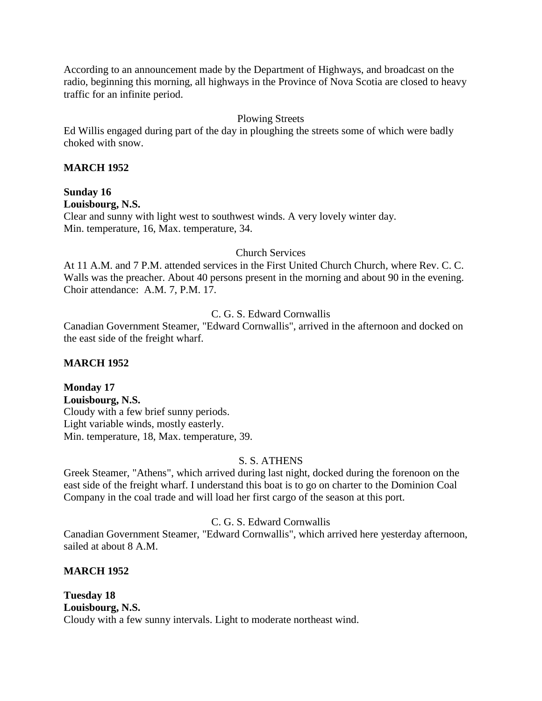According to an announcement made by the Department of Highways, and broadcast on the radio, beginning this morning, all highways in the Province of Nova Scotia are closed to heavy traffic for an infinite period.

## Plowing Streets

Ed Willis engaged during part of the day in ploughing the streets some of which were badly choked with snow.

## **MARCH 1952**

## **Sunday 16**

**Louisbourg, N.S.**

Clear and sunny with light west to southwest winds. A very lovely winter day. Min. temperature, 16, Max. temperature, 34.

## Church Services

At 11 A.M. and 7 P.M. attended services in the First United Church Church, where Rev. C. C. Walls was the preacher. About 40 persons present in the morning and about 90 in the evening. Choir attendance: A.M. 7, P.M. 17.

## C. G. S. Edward Cornwallis

Canadian Government Steamer, "Edward Cornwallis", arrived in the afternoon and docked on the east side of the freight wharf.

## **MARCH 1952**

**Monday 17 Louisbourg, N.S.** Cloudy with a few brief sunny periods. Light variable winds, mostly easterly. Min. temperature, 18, Max. temperature, 39.

## S. S. ATHENS

Greek Steamer, "Athens", which arrived during last night, docked during the forenoon on the east side of the freight wharf. I understand this boat is to go on charter to the Dominion Coal Company in the coal trade and will load her first cargo of the season at this port.

## C. G. S. Edward Cornwallis

Canadian Government Steamer, "Edward Cornwallis", which arrived here yesterday afternoon, sailed at about 8 A.M.

## **MARCH 1952**

**Tuesday 18 Louisbourg, N.S.** Cloudy with a few sunny intervals. Light to moderate northeast wind.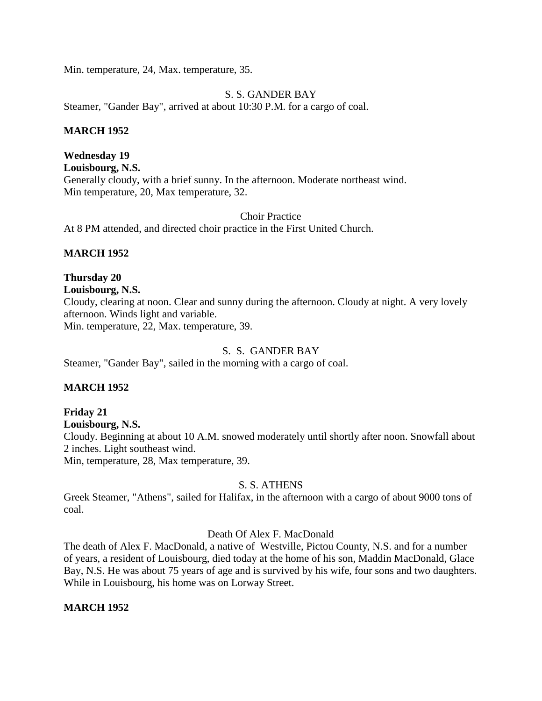Min. temperature, 24, Max. temperature, 35.

S. S. GANDER BAY Steamer, "Gander Bay", arrived at about 10:30 P.M. for a cargo of coal.

## **MARCH 1952**

**Wednesday 19 Louisbourg, N.S.** Generally cloudy, with a brief sunny. In the afternoon. Moderate northeast wind. Min temperature, 20, Max temperature, 32.

Choir Practice

At 8 PM attended, and directed choir practice in the First United Church.

## **MARCH 1952**

## **Thursday 20**

## **Louisbourg, N.S.**

Cloudy, clearing at noon. Clear and sunny during the afternoon. Cloudy at night. A very lovely afternoon. Winds light and variable.

Min. temperature, 22, Max. temperature, 39.

## S. S. GANDER BAY

Steamer, "Gander Bay", sailed in the morning with a cargo of coal.

## **MARCH 1952**

## **Friday 21**

**Louisbourg, N.S.**

Cloudy. Beginning at about 10 A.M. snowed moderately until shortly after noon. Snowfall about 2 inches. Light southeast wind.

Min, temperature, 28, Max temperature, 39.

## S. S. ATHENS

Greek Steamer, "Athens", sailed for Halifax, in the afternoon with a cargo of about 9000 tons of coal.

#### Death Of Alex F. MacDonald

The death of Alex F. MacDonald, a native of Westville, Pictou County, N.S. and for a number of years, a resident of Louisbourg, died today at the home of his son, Maddin MacDonald, Glace Bay, N.S. He was about 75 years of age and is survived by his wife, four sons and two daughters. While in Louisbourg, his home was on Lorway Street.

## **MARCH 1952**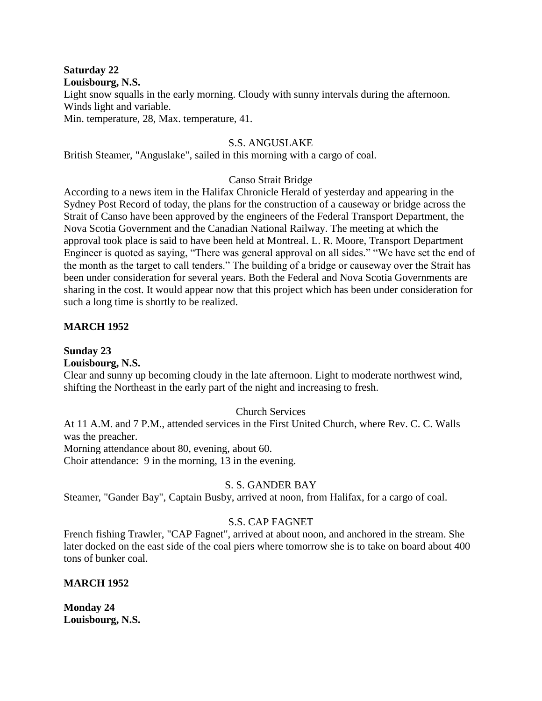## **Saturday 22**

**Louisbourg, N.S.**

Light snow squalls in the early morning. Cloudy with sunny intervals during the afternoon. Winds light and variable. Min. temperature, 28, Max. temperature, 41.

## S.S. ANGUSLAKE

British Steamer, "Anguslake", sailed in this morning with a cargo of coal.

## Canso Strait Bridge

According to a news item in the Halifax Chronicle Herald of yesterday and appearing in the Sydney Post Record of today, the plans for the construction of a causeway or bridge across the Strait of Canso have been approved by the engineers of the Federal Transport Department, the Nova Scotia Government and the Canadian National Railway. The meeting at which the approval took place is said to have been held at Montreal. L. R. Moore, Transport Department Engineer is quoted as saying, "There was general approval on all sides." "We have set the end of the month as the target to call tenders." The building of a bridge or causeway over the Strait has been under consideration for several years. Both the Federal and Nova Scotia Governments are sharing in the cost. It would appear now that this project which has been under consideration for such a long time is shortly to be realized.

## **MARCH 1952**

**Sunday 23**

## **Louisbourg, N.S.**

Clear and sunny up becoming cloudy in the late afternoon. Light to moderate northwest wind, shifting the Northeast in the early part of the night and increasing to fresh.

## Church Services

At 11 A.M. and 7 P.M., attended services in the First United Church, where Rev. C. C. Walls was the preacher.

Morning attendance about 80, evening, about 60.

Choir attendance: 9 in the morning, 13 in the evening.

## S. S. GANDER BAY

Steamer, "Gander Bay", Captain Busby, arrived at noon, from Halifax, for a cargo of coal.

## S.S. CAP FAGNET

French fishing Trawler, "CAP Fagnet", arrived at about noon, and anchored in the stream. She later docked on the east side of the coal piers where tomorrow she is to take on board about 400 tons of bunker coal.

## **MARCH 1952**

**Monday 24 Louisbourg, N.S.**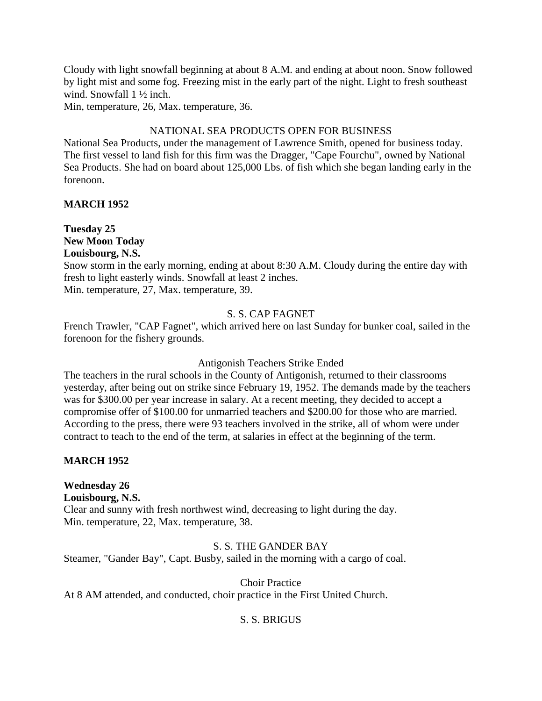Cloudy with light snowfall beginning at about 8 A.M. and ending at about noon. Snow followed by light mist and some fog. Freezing mist in the early part of the night. Light to fresh southeast wind. Snowfall  $1\frac{1}{2}$  inch.

Min, temperature, 26, Max. temperature, 36.

## NATIONAL SEA PRODUCTS OPEN FOR BUSINESS

National Sea Products, under the management of Lawrence Smith, opened for business today. The first vessel to land fish for this firm was the Dragger, "Cape Fourchu", owned by National Sea Products. She had on board about 125,000 Lbs. of fish which she began landing early in the forenoon.

## **MARCH 1952**

**Tuesday 25 New Moon Today Louisbourg, N.S.**

Snow storm in the early morning, ending at about 8:30 A.M. Cloudy during the entire day with fresh to light easterly winds. Snowfall at least 2 inches. Min. temperature, 27, Max. temperature, 39.

## S. S. CAP FAGNET

French Trawler, "CAP Fagnet", which arrived here on last Sunday for bunker coal, sailed in the forenoon for the fishery grounds.

## Antigonish Teachers Strike Ended

The teachers in the rural schools in the County of Antigonish, returned to their classrooms yesterday, after being out on strike since February 19, 1952. The demands made by the teachers was for \$300.00 per year increase in salary. At a recent meeting, they decided to accept a compromise offer of \$100.00 for unmarried teachers and \$200.00 for those who are married. According to the press, there were 93 teachers involved in the strike, all of whom were under contract to teach to the end of the term, at salaries in effect at the beginning of the term.

## **MARCH 1952**

**Wednesday 26 Louisbourg, N.S.** Clear and sunny with fresh northwest wind, decreasing to light during the day. Min. temperature, 22, Max. temperature, 38.

## S. S. THE GANDER BAY

Steamer, "Gander Bay", Capt. Busby, sailed in the morning with a cargo of coal.

Choir Practice

At 8 AM attended, and conducted, choir practice in the First United Church.

## S. S. BRIGUS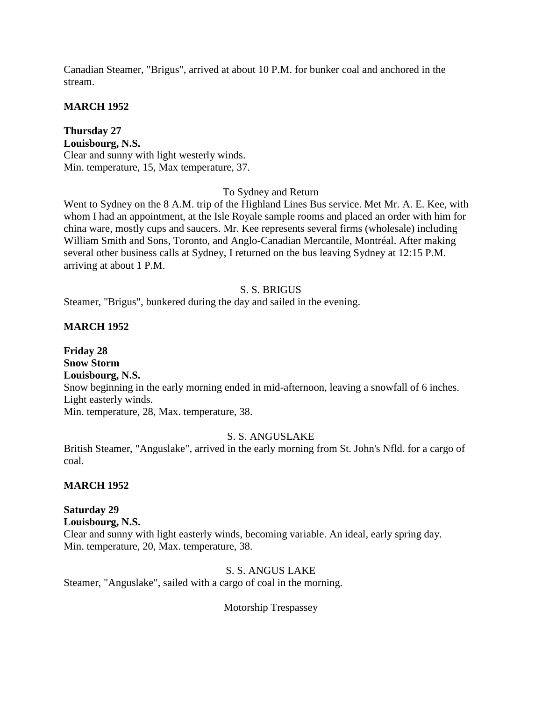Canadian Steamer, "Brigus", arrived at about 10 P.M. for bunker coal and anchored in the stream.

### **MARCH 1952**

**Thursday 27 Louisbourg, N.S.** Clear and sunny with light westerly winds. Min. temperature, 15, Max temperature, 37.

### To Sydney and Return

Went to Sydney on the 8 A.M. trip of the Highland Lines Bus service. Met Mr. A. E. Kee, with whom I had an appointment, at the Isle Royale sample rooms and placed an order with him for china ware, mostly cups and saucers. Mr. Kee represents several firms (wholesale) including William Smith and Sons, Toronto, and Anglo-Canadian Mercantile, Montréal. After making several other business calls at Sydney, I returned on the bus leaving Sydney at 12:15 P.M. arriving at about 1 P.M.

### S. S. BRIGUS

Steamer, "Brigus", bunkered during the day and sailed in the evening.

### **MARCH 1952**

**Friday 28 Snow Storm Louisbourg, N.S.** Snow beginning in the early morning ended in mid-afternoon, leaving a snowfall of 6 inches. Light easterly winds. Min. temperature, 28, Max. temperature, 38.

#### S. S. ANGUSLAKE

British Steamer, "Anguslake", arrived in the early morning from St. John's Nfld. for a cargo of coal.

#### **MARCH 1952**

#### **Saturday 29**

**Louisbourg, N.S.** Clear and sunny with light easterly winds, becoming variable. An ideal, early spring day. Min. temperature, 20, Max. temperature, 38.

### S. S. ANGUS LAKE

Steamer, "Anguslake", sailed with a cargo of coal in the morning.

Motorship Trespassey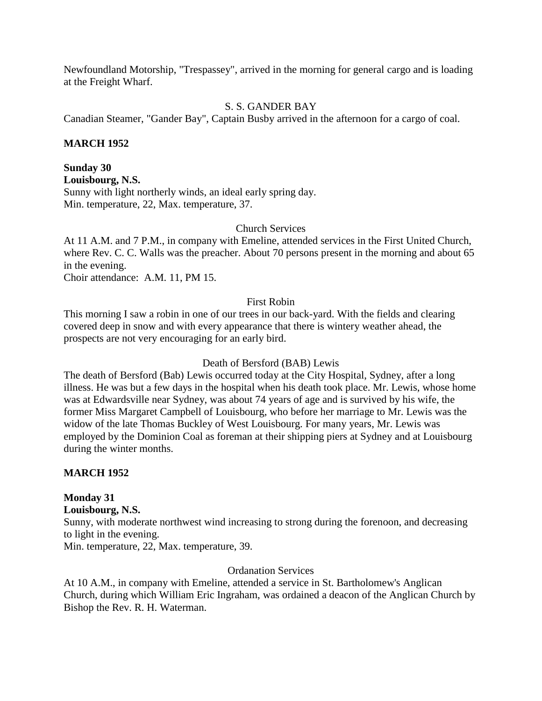Newfoundland Motorship, "Trespassey", arrived in the morning for general cargo and is loading at the Freight Wharf.

### S. S. GANDER BAY

Canadian Steamer, "Gander Bay", Captain Busby arrived in the afternoon for a cargo of coal.

### **MARCH 1952**

**Sunday 30 Louisbourg, N.S.** Sunny with light northerly winds, an ideal early spring day. Min. temperature, 22, Max. temperature, 37.

#### Church Services

At 11 A.M. and 7 P.M., in company with Emeline, attended services in the First United Church, where Rev. C. C. Walls was the preacher. About 70 persons present in the morning and about 65 in the evening.

Choir attendance: A.M. 11, PM 15.

#### First Robin

This morning I saw a robin in one of our trees in our back-yard. With the fields and clearing covered deep in snow and with every appearance that there is wintery weather ahead, the prospects are not very encouraging for an early bird.

#### Death of Bersford (BAB) Lewis

The death of Bersford (Bab) Lewis occurred today at the City Hospital, Sydney, after a long illness. He was but a few days in the hospital when his death took place. Mr. Lewis, whose home was at Edwardsville near Sydney, was about 74 years of age and is survived by his wife, the former Miss Margaret Campbell of Louisbourg, who before her marriage to Mr. Lewis was the widow of the late Thomas Buckley of West Louisbourg. For many years, Mr. Lewis was employed by the Dominion Coal as foreman at their shipping piers at Sydney and at Louisbourg during the winter months.

#### **MARCH 1952**

# **Monday 31**

#### **Louisbourg, N.S.**

Sunny, with moderate northwest wind increasing to strong during the forenoon, and decreasing to light in the evening.

Min. temperature, 22, Max. temperature, 39.

### Ordanation Services

At 10 A.M., in company with Emeline, attended a service in St. Bartholomew's Anglican Church, during which William Eric Ingraham, was ordained a deacon of the Anglican Church by Bishop the Rev. R. H. Waterman.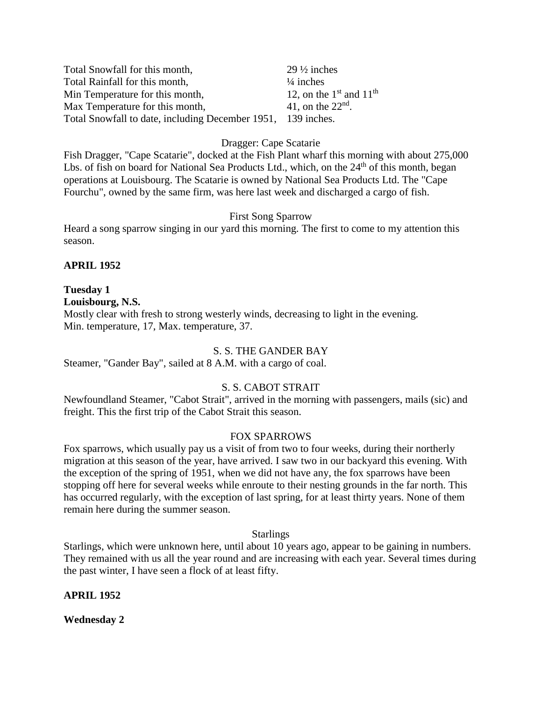| Total Snowfall for this month,                               | $29\frac{1}{2}$ inches      |
|--------------------------------------------------------------|-----------------------------|
| Total Rainfall for this month,                               | $\frac{1}{4}$ inches        |
| Min Temperature for this month,                              | 12, on the $1st$ and $11th$ |
| Max Temperature for this month,                              | 41, on the $22nd$ .         |
| Total Snowfall to date, including December 1951, 139 inches. |                             |

### Dragger: Cape Scatarie

Fish Dragger, "Cape Scatarie", docked at the Fish Plant wharf this morning with about 275,000 Lbs. of fish on board for National Sea Products Ltd., which, on the 24<sup>th</sup> of this month, began operations at Louisbourg. The Scatarie is owned by National Sea Products Ltd. The "Cape Fourchu", owned by the same firm, was here last week and discharged a cargo of fish.

#### First Song Sparrow

Heard a song sparrow singing in our yard this morning. The first to come to my attention this season.

### **APRIL 1952**

#### **Tuesday 1 Louisbourg, N.S.**

Mostly clear with fresh to strong westerly winds, decreasing to light in the evening. Min. temperature, 17, Max. temperature, 37.

#### S. S. THE GANDER BAY

Steamer, "Gander Bay", sailed at 8 A.M. with a cargo of coal.

### S. S. CABOT STRAIT

Newfoundland Steamer, "Cabot Strait", arrived in the morning with passengers, mails (sic) and freight. This the first trip of the Cabot Strait this season.

#### FOX SPARROWS

Fox sparrows, which usually pay us a visit of from two to four weeks, during their northerly migration at this season of the year, have arrived. I saw two in our backyard this evening. With the exception of the spring of 1951, when we did not have any, the fox sparrows have been stopping off here for several weeks while enroute to their nesting grounds in the far north. This has occurred regularly, with the exception of last spring, for at least thirty years. None of them remain here during the summer season.

#### **Starlings**

Starlings, which were unknown here, until about 10 years ago, appear to be gaining in numbers. They remained with us all the year round and are increasing with each year. Several times during the past winter, I have seen a flock of at least fifty.

#### **APRIL 1952**

**Wednesday 2**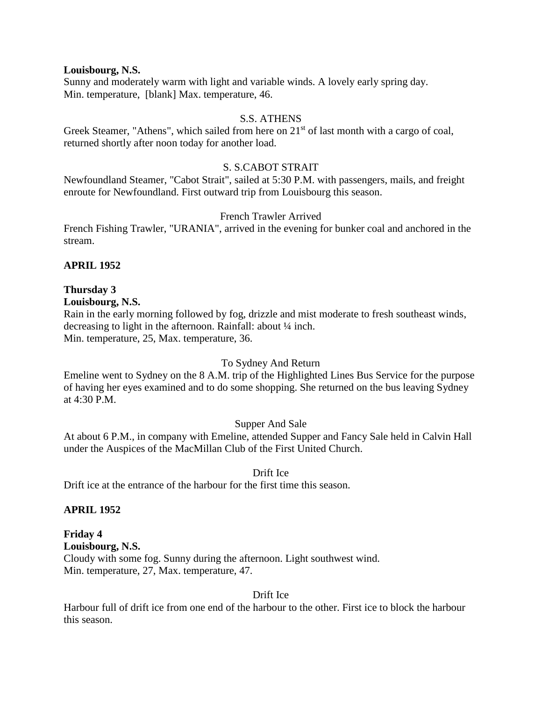#### **Louisbourg, N.S.**

Sunny and moderately warm with light and variable winds. A lovely early spring day. Min. temperature, [blank] Max. temperature, 46.

### S.S. ATHENS

Greek Steamer, "Athens", which sailed from here on 21<sup>st</sup> of last month with a cargo of coal, returned shortly after noon today for another load.

### S. S.CABOT STRAIT

Newfoundland Steamer, "Cabot Strait", sailed at 5:30 P.M. with passengers, mails, and freight enroute for Newfoundland. First outward trip from Louisbourg this season.

### French Trawler Arrived

French Fishing Trawler, "URANIA", arrived in the evening for bunker coal and anchored in the stream.

### **APRIL 1952**

#### **Thursday 3 Louisbourg, N.S.**

Rain in the early morning followed by fog, drizzle and mist moderate to fresh southeast winds, decreasing to light in the afternoon. Rainfall: about ¼ inch. Min. temperature, 25, Max. temperature, 36.

#### To Sydney And Return

Emeline went to Sydney on the 8 A.M. trip of the Highlighted Lines Bus Service for the purpose of having her eyes examined and to do some shopping. She returned on the bus leaving Sydney at 4:30 P.M.

#### Supper And Sale

At about 6 P.M., in company with Emeline, attended Supper and Fancy Sale held in Calvin Hall under the Auspices of the MacMillan Club of the First United Church.

### Drift Ice

Drift ice at the entrance of the harbour for the first time this season.

#### **APRIL 1952**

# **Friday 4**

**Louisbourg, N.S.** Cloudy with some fog. Sunny during the afternoon. Light southwest wind. Min. temperature, 27, Max. temperature, 47.

Drift Ice

Harbour full of drift ice from one end of the harbour to the other. First ice to block the harbour this season.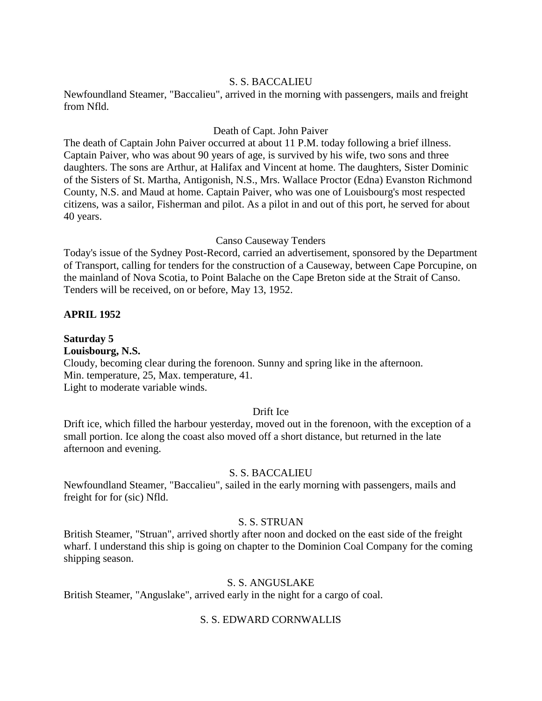#### S. S. BACCALIEU

Newfoundland Steamer, "Baccalieu", arrived in the morning with passengers, mails and freight from Nfld.

#### Death of Capt. John Paiver

The death of Captain John Paiver occurred at about 11 P.M. today following a brief illness. Captain Paiver, who was about 90 years of age, is survived by his wife, two sons and three daughters. The sons are Arthur, at Halifax and Vincent at home. The daughters, Sister Dominic of the Sisters of St. Martha, Antigonish, N.S., Mrs. Wallace Proctor (Edna) Evanston Richmond County, N.S. and Maud at home. Captain Paiver, who was one of Louisbourg's most respected citizens, was a sailor, Fisherman and pilot. As a pilot in and out of this port, he served for about 40 years.

#### Canso Causeway Tenders

Today's issue of the Sydney Post-Record, carried an advertisement, sponsored by the Department of Transport, calling for tenders for the construction of a Causeway, between Cape Porcupine, on the mainland of Nova Scotia, to Point Balache on the Cape Breton side at the Strait of Canso. Tenders will be received, on or before, May 13, 1952.

#### **APRIL 1952**

#### **Saturday 5**

#### **Louisbourg, N.S.**

Cloudy, becoming clear during the forenoon. Sunny and spring like in the afternoon. Min. temperature, 25, Max. temperature, 41. Light to moderate variable winds.

#### Drift Ice

Drift ice, which filled the harbour yesterday, moved out in the forenoon, with the exception of a small portion. Ice along the coast also moved off a short distance, but returned in the late afternoon and evening.

#### S. S. BACCALIEU

Newfoundland Steamer, "Baccalieu", sailed in the early morning with passengers, mails and freight for for (sic) Nfld.

#### S. S. STRUAN

British Steamer, "Struan", arrived shortly after noon and docked on the east side of the freight wharf. I understand this ship is going on chapter to the Dominion Coal Company for the coming shipping season.

#### S. S. ANGUSLAKE

British Steamer, "Anguslake", arrived early in the night for a cargo of coal.

#### S. S. EDWARD CORNWALLIS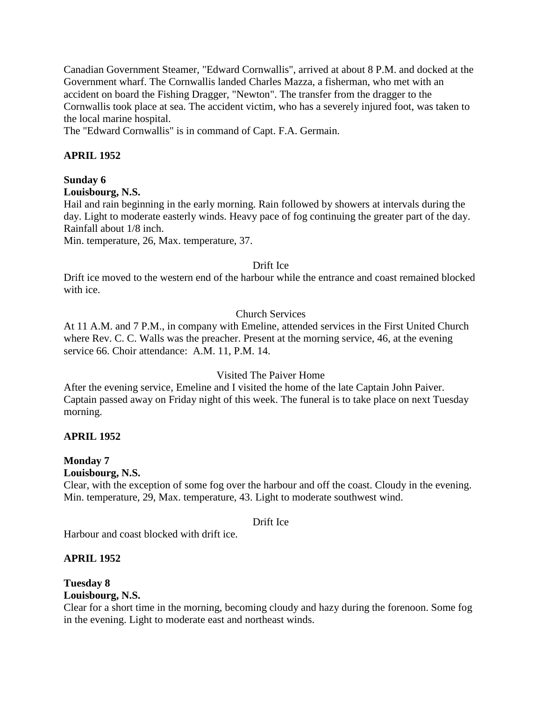Canadian Government Steamer, "Edward Cornwallis", arrived at about 8 P.M. and docked at the Government wharf. The Cornwallis landed Charles Mazza, a fisherman, who met with an accident on board the Fishing Dragger, "Newton". The transfer from the dragger to the Cornwallis took place at sea. The accident victim, who has a severely injured foot, was taken to the local marine hospital.

The "Edward Cornwallis" is in command of Capt. F.A. Germain.

# **APRIL 1952**

# **Sunday 6**

### **Louisbourg, N.S.**

Hail and rain beginning in the early morning. Rain followed by showers at intervals during the day. Light to moderate easterly winds. Heavy pace of fog continuing the greater part of the day. Rainfall about 1/8 inch.

Min. temperature, 26, Max. temperature, 37.

### Drift Ice

Drift ice moved to the western end of the harbour while the entrance and coast remained blocked with ice.

# Church Services

At 11 A.M. and 7 P.M., in company with Emeline, attended services in the First United Church where Rev. C. C. Walls was the preacher. Present at the morning service, 46, at the evening service 66. Choir attendance: A.M. 11, P.M. 14.

# Visited The Paiver Home

After the evening service, Emeline and I visited the home of the late Captain John Paiver. Captain passed away on Friday night of this week. The funeral is to take place on next Tuesday morning.

# **APRIL 1952**

# **Monday 7**

**Louisbourg, N.S.**

Clear, with the exception of some fog over the harbour and off the coast. Cloudy in the evening. Min. temperature, 29, Max. temperature, 43. Light to moderate southwest wind.

#### Drift Ice

Harbour and coast blocked with drift ice.

# **APRIL 1952**

#### **Tuesday 8 Louisbourg, N.S.**

Clear for a short time in the morning, becoming cloudy and hazy during the forenoon. Some fog in the evening. Light to moderate east and northeast winds.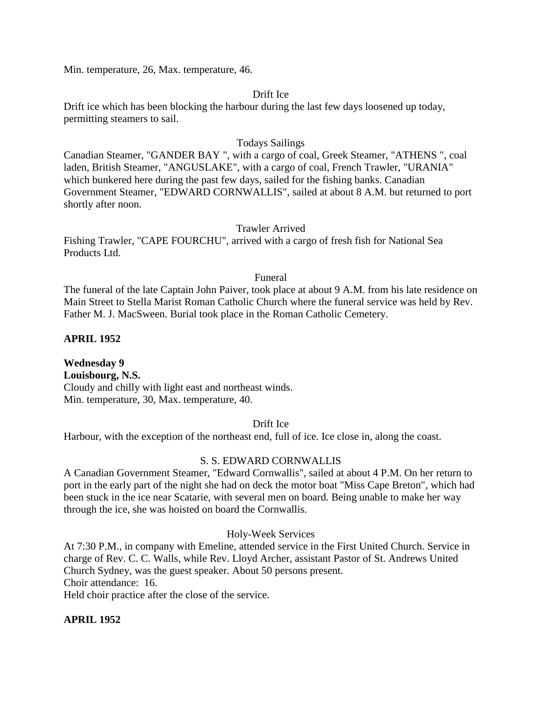Min. temperature, 26, Max. temperature, 46.

#### Drift Ice

Drift ice which has been blocking the harbour during the last few days loosened up today, permitting steamers to sail.

#### Todays Sailings

Canadian Steamer, "GANDER BAY ", with a cargo of coal, Greek Steamer, "ATHENS ", coal laden, British Steamer, "ANGUSLAKE", with a cargo of coal, French Trawler, "URANIA" which bunkered here during the past few days, sailed for the fishing banks. Canadian Government Steamer, "EDWARD CORNWALLIS", sailed at about 8 A.M. but returned to port shortly after noon.

### Trawler Arrived

Fishing Trawler, "CAPE FOURCHU", arrived with a cargo of fresh fish for National Sea Products Ltd.

#### Funeral

The funeral of the late Captain John Paiver, took place at about 9 A.M. from his late residence on Main Street to Stella Marist Roman Catholic Church where the funeral service was held by Rev. Father M. J. MacSween. Burial took place in the Roman Catholic Cemetery.

### **APRIL 1952**

**Wednesday 9 Louisbourg, N.S.** Cloudy and chilly with light east and northeast winds. Min. temperature, 30, Max. temperature, 40.

Drift Ice

Harbour, with the exception of the northeast end, full of ice. Ice close in, along the coast.

#### S. S. EDWARD CORNWALLIS

A Canadian Government Steamer, "Edward Cornwallis", sailed at about 4 P.M. On her return to port in the early part of the night she had on deck the motor boat "Miss Cape Breton", which had been stuck in the ice near Scatarie, with several men on board. Being unable to make her way through the ice, she was hoisted on board the Cornwallis.

#### Holy-Week Services

At 7:30 P.M., in company with Emeline, attended service in the First United Church. Service in charge of Rev. C. C. Walls, while Rev. Lloyd Archer, assistant Pastor of St. Andrews United Church Sydney, was the guest speaker. About 50 persons present. Choir attendance: 16. Held choir practice after the close of the service.

#### **APRIL 1952**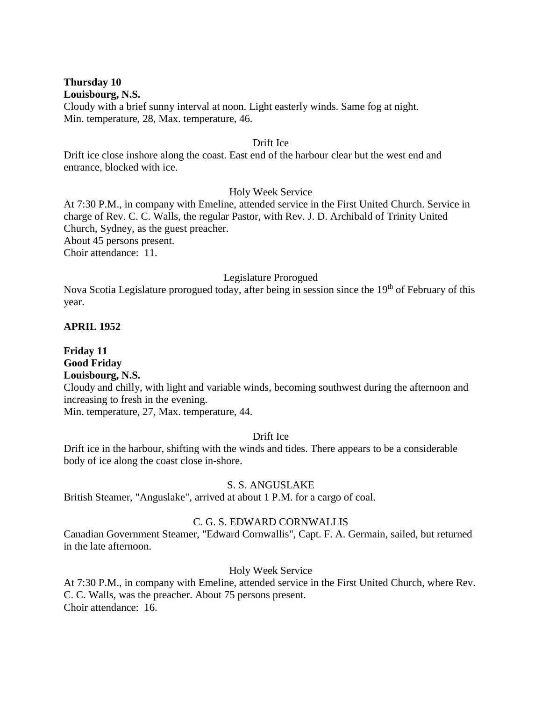**Thursday 10 Louisbourg, N.S.**

Cloudy with a brief sunny interval at noon. Light easterly winds. Same fog at night. Min. temperature, 28, Max. temperature, 46.

#### Drift Ice

Drift ice close inshore along the coast. East end of the harbour clear but the west end and entrance, blocked with ice.

#### Holy Week Service

At 7:30 P.M., in company with Emeline, attended service in the First United Church. Service in charge of Rev. C. C. Walls, the regular Pastor, with Rev. J. D. Archibald of Trinity United Church, Sydney, as the guest preacher. About 45 persons present. Choir attendance: 11.

#### Legislature Prorogued

Nova Scotia Legislature prorogued today, after being in session since the 19<sup>th</sup> of February of this year.

#### **APRIL 1952**

**Friday 11 Good Friday Louisbourg, N.S.**

Cloudy and chilly, with light and variable winds, becoming southwest during the afternoon and increasing to fresh in the evening.

Min. temperature, 27, Max. temperature, 44.

#### Drift Ice

Drift ice in the harbour, shifting with the winds and tides. There appears to be a considerable body of ice along the coast close in-shore.

#### S. S. ANGUSLAKE

British Steamer, "Anguslake", arrived at about 1 P.M. for a cargo of coal.

#### C. G. S. EDWARD CORNWALLIS

Canadian Government Steamer, "Edward Cornwallis", Capt. F. A. Germain, sailed, but returned in the late afternoon.

#### Holy Week Service

At 7:30 P.M., in company with Emeline, attended service in the First United Church, where Rev. C. C. Walls, was the preacher. About 75 persons present. Choir attendance: 16.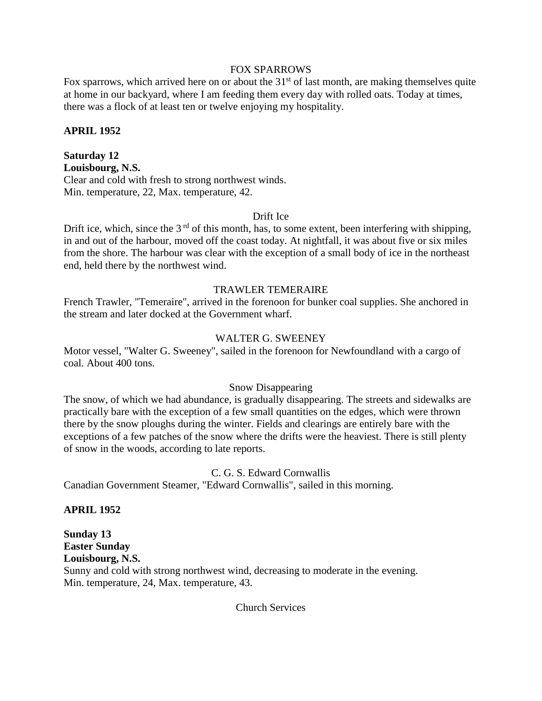### FOX SPARROWS

Fox sparrows, which arrived here on or about the  $31<sup>st</sup>$  of last month, are making themselves quite at home in our backyard, where I am feeding them every day with rolled oats. Today at times, there was a flock of at least ten or twelve enjoying my hospitality.

#### **APRIL 1952**

**Saturday 12 Louisbourg, N.S.** Clear and cold with fresh to strong northwest winds. Min. temperature, 22, Max. temperature, 42.

#### Drift Ice

Drift ice, which, since the  $3<sup>rd</sup>$  of this month, has, to some extent, been interfering with shipping, in and out of the harbour, moved off the coast today. At nightfall, it was about five or six miles from the shore. The harbour was clear with the exception of a small body of ice in the northeast end, held there by the northwest wind.

#### TRAWLER TEMERAIRE

French Trawler, "Temeraire", arrived in the forenoon for bunker coal supplies. She anchored in the stream and later docked at the Government wharf.

#### WALTER G. SWEENEY

Motor vessel, "Walter G. Sweeney", sailed in the forenoon for Newfoundland with a cargo of coal. About 400 tons.

#### Snow Disappearing

The snow, of which we had abundance, is gradually disappearing. The streets and sidewalks are practically bare with the exception of a few small quantities on the edges, which were thrown there by the snow ploughs during the winter. Fields and clearings are entirely bare with the exceptions of a few patches of the snow where the drifts were the heaviest. There is still plenty of snow in the woods, according to late reports.

#### C. G. S. Edward Cornwallis

Canadian Government Steamer, "Edward Cornwallis", sailed in this morning.

#### **APRIL 1952**

# **Sunday 13 Easter Sunday**

**Louisbourg, N.S.**

Sunny and cold with strong northwest wind, decreasing to moderate in the evening. Min. temperature, 24, Max. temperature, 43.

#### Church Services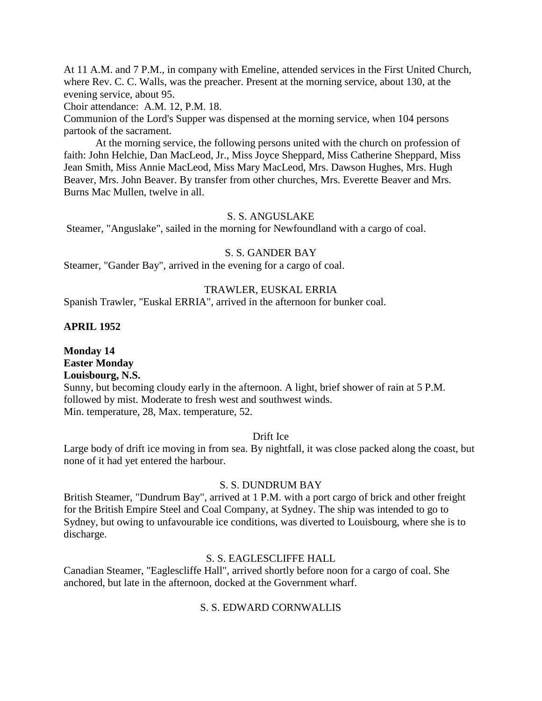At 11 A.M. and 7 P.M., in company with Emeline, attended services in the First United Church, where Rev. C. C. Walls, was the preacher. Present at the morning service, about 130, at the evening service, about 95.

Choir attendance: A.M. 12, P.M. 18.

Communion of the Lord's Supper was dispensed at the morning service, when 104 persons partook of the sacrament.

At the morning service, the following persons united with the church on profession of faith: John Helchie, Dan MacLeod, Jr., Miss Joyce Sheppard, Miss Catherine Sheppard, Miss Jean Smith, Miss Annie MacLeod, Miss Mary MacLeod, Mrs. Dawson Hughes, Mrs. Hugh Beaver, Mrs. John Beaver. By transfer from other churches, Mrs. Everette Beaver and Mrs. Burns Mac Mullen, twelve in all.

#### S. S. ANGUSLAKE

Steamer, "Anguslake", sailed in the morning for Newfoundland with a cargo of coal.

#### S. S. GANDER BAY

Steamer, "Gander Bay", arrived in the evening for a cargo of coal.

#### TRAWLER, EUSKAL ERRIA

Spanish Trawler, "Euskal ERRIA", arrived in the afternoon for bunker coal.

#### **APRIL 1952**

**Monday 14 Easter Monday Louisbourg, N.S.** Sunny, but becoming cloudy early in the afternoon. A light, brief shower of rain at 5 P.M. followed by mist. Moderate to fresh west and southwest winds. Min. temperature, 28, Max. temperature, 52.

#### Drift Ice

Large body of drift ice moving in from sea. By nightfall, it was close packed along the coast, but none of it had yet entered the harbour.

#### S. S. DUNDRUM BAY

British Steamer, "Dundrum Bay", arrived at 1 P.M. with a port cargo of brick and other freight for the British Empire Steel and Coal Company, at Sydney. The ship was intended to go to Sydney, but owing to unfavourable ice conditions, was diverted to Louisbourg, where she is to discharge.

#### S. S. EAGLESCLIFFE HALL

Canadian Steamer, "Eaglescliffe Hall", arrived shortly before noon for a cargo of coal. She anchored, but late in the afternoon, docked at the Government wharf.

#### S. S. EDWARD CORNWALLIS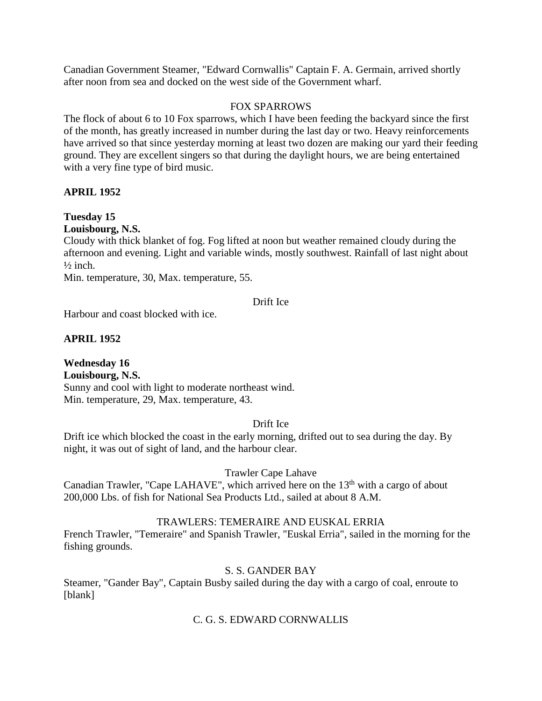Canadian Government Steamer, "Edward Cornwallis" Captain F. A. Germain, arrived shortly after noon from sea and docked on the west side of the Government wharf.

### FOX SPARROWS

The flock of about 6 to 10 Fox sparrows, which I have been feeding the backyard since the first of the month, has greatly increased in number during the last day or two. Heavy reinforcements have arrived so that since yesterday morning at least two dozen are making our yard their feeding ground. They are excellent singers so that during the daylight hours, we are being entertained with a very fine type of bird music.

# **APRIL 1952**

# **Tuesday 15**

**Louisbourg, N.S.**

Cloudy with thick blanket of fog. Fog lifted at noon but weather remained cloudy during the afternoon and evening. Light and variable winds, mostly southwest. Rainfall of last night about  $\frac{1}{2}$  inch.

Min. temperature, 30, Max. temperature, 55.

#### Drift Ice

Harbour and coast blocked with ice.

# **APRIL 1952**

**Wednesday 16 Louisbourg, N.S.** Sunny and cool with light to moderate northeast wind. Min. temperature, 29, Max. temperature, 43.

### Drift Ice

Drift ice which blocked the coast in the early morning, drifted out to sea during the day. By night, it was out of sight of land, and the harbour clear.

#### Trawler Cape Lahave

Canadian Trawler, "Cape LAHAVE", which arrived here on the  $13<sup>th</sup>$  with a cargo of about 200,000 Lbs. of fish for National Sea Products Ltd., sailed at about 8 A.M.

# TRAWLERS: TEMERAIRE AND EUSKAL ERRIA

French Trawler, "Temeraire" and Spanish Trawler, "Euskal Erria", sailed in the morning for the fishing grounds.

# S. S. GANDER BAY

Steamer, "Gander Bay", Captain Busby sailed during the day with a cargo of coal, enroute to [blank]

# C. G. S. EDWARD CORNWALLIS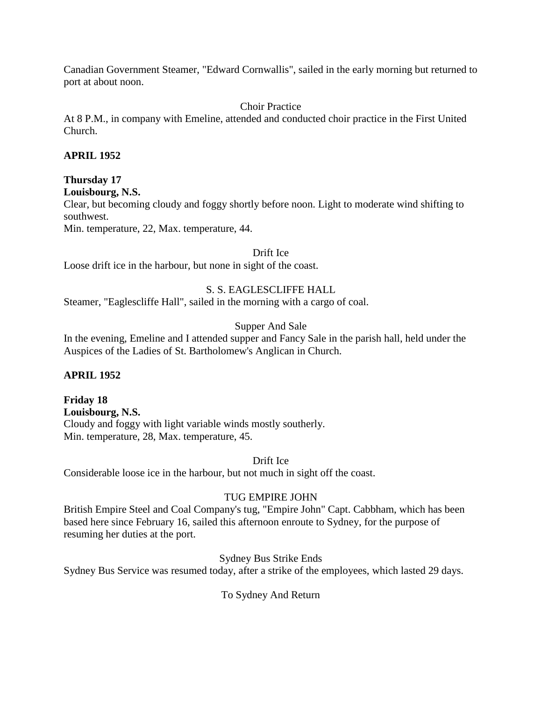Canadian Government Steamer, "Edward Cornwallis", sailed in the early morning but returned to port at about noon.

# Choir Practice

At 8 P.M., in company with Emeline, attended and conducted choir practice in the First United Church.

# **APRIL 1952**

# **Thursday 17**

```
Louisbourg, N.S.
```
Clear, but becoming cloudy and foggy shortly before noon. Light to moderate wind shifting to southwest.

Min. temperature, 22, Max. temperature, 44.

Drift Ice

Loose drift ice in the harbour, but none in sight of the coast.

# S. S. EAGLESCLIFFE HALL

Steamer, "Eaglescliffe Hall", sailed in the morning with a cargo of coal.

# Supper And Sale

In the evening, Emeline and I attended supper and Fancy Sale in the parish hall, held under the Auspices of the Ladies of St. Bartholomew's Anglican in Church.

# **APRIL 1952**

**Friday 18 Louisbourg, N.S.** Cloudy and foggy with light variable winds mostly southerly. Min. temperature, 28, Max. temperature, 45.

Drift Ice

Considerable loose ice in the harbour, but not much in sight off the coast.

# TUG EMPIRE JOHN

British Empire Steel and Coal Company's tug, "Empire John" Capt. Cabbham, which has been based here since February 16, sailed this afternoon enroute to Sydney, for the purpose of resuming her duties at the port.

# Sydney Bus Strike Ends

Sydney Bus Service was resumed today, after a strike of the employees, which lasted 29 days.

To Sydney And Return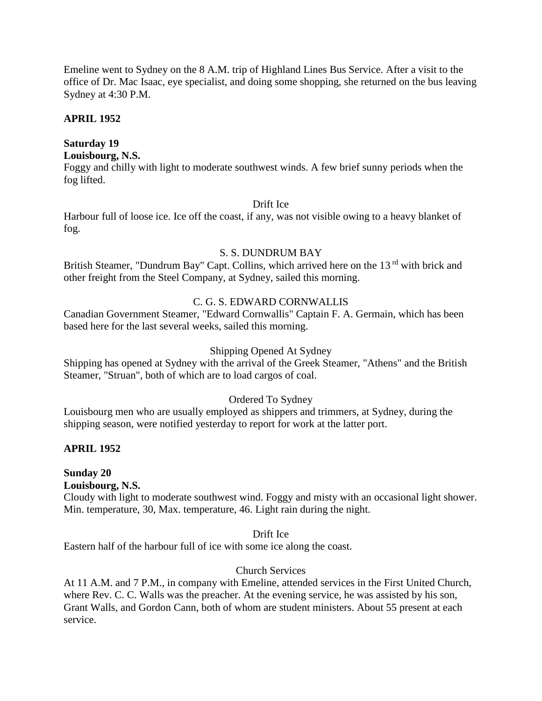Emeline went to Sydney on the 8 A.M. trip of Highland Lines Bus Service. After a visit to the office of Dr. Mac Isaac, eye specialist, and doing some shopping, she returned on the bus leaving Sydney at 4:30 P.M.

### **APRIL 1952**

# **Saturday 19**

### **Louisbourg, N.S.**

Foggy and chilly with light to moderate southwest winds. A few brief sunny periods when the fog lifted.

### Drift Ice

Harbour full of loose ice. Ice off the coast, if any, was not visible owing to a heavy blanket of fog.

#### S. S. DUNDRUM BAY

British Steamer, "Dundrum Bay" Capt. Collins, which arrived here on the 13<sup>rd</sup> with brick and other freight from the Steel Company, at Sydney, sailed this morning.

# C. G. S. EDWARD CORNWALLIS

Canadian Government Steamer, "Edward Cornwallis" Captain F. A. Germain, which has been based here for the last several weeks, sailed this morning.

### Shipping Opened At Sydney

Shipping has opened at Sydney with the arrival of the Greek Steamer, "Athens" and the British Steamer, "Struan", both of which are to load cargos of coal.

# Ordered To Sydney

Louisbourg men who are usually employed as shippers and trimmers, at Sydney, during the shipping season, were notified yesterday to report for work at the latter port.

# **APRIL 1952**

# **Sunday 20**

#### **Louisbourg, N.S.**

Cloudy with light to moderate southwest wind. Foggy and misty with an occasional light shower. Min. temperature, 30, Max. temperature, 46. Light rain during the night.

#### Drift Ice

Eastern half of the harbour full of ice with some ice along the coast.

# Church Services

At 11 A.M. and 7 P.M., in company with Emeline, attended services in the First United Church, where Rev. C. C. Walls was the preacher. At the evening service, he was assisted by his son, Grant Walls, and Gordon Cann, both of whom are student ministers. About 55 present at each service.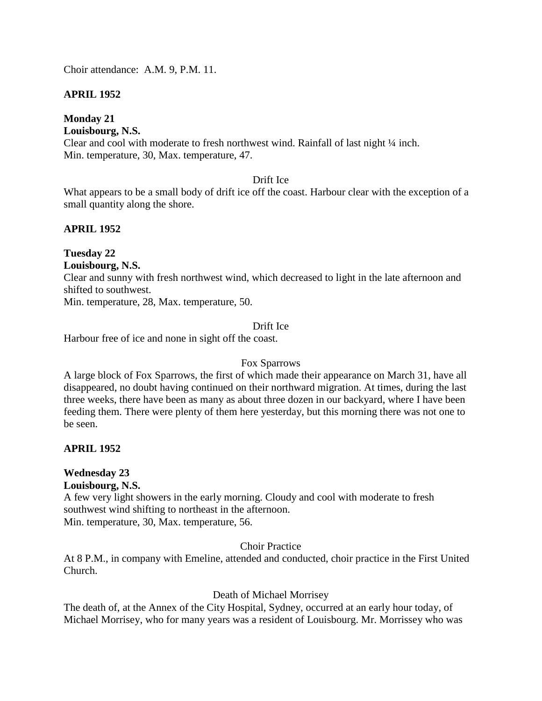Choir attendance: A.M. 9, P.M. 11.

# **APRIL 1952**

# **Monday 21**

# **Louisbourg, N.S.**

Clear and cool with moderate to fresh northwest wind. Rainfall of last night ¼ inch. Min. temperature, 30, Max. temperature, 47.

### Drift Ice

What appears to be a small body of drift ice off the coast. Harbour clear with the exception of a small quantity along the shore.

# **APRIL 1952**

#### **Tuesday 22 Louisbourg, N.S.**

Clear and sunny with fresh northwest wind, which decreased to light in the late afternoon and shifted to southwest.

Min. temperature, 28, Max. temperature, 50.

# Drift Ice

Harbour free of ice and none in sight off the coast.

# Fox Sparrows

A large block of Fox Sparrows, the first of which made their appearance on March 31, have all disappeared, no doubt having continued on their northward migration. At times, during the last three weeks, there have been as many as about three dozen in our backyard, where I have been feeding them. There were plenty of them here yesterday, but this morning there was not one to be seen.

# **APRIL 1952**

# **Wednesday 23**

**Louisbourg, N.S.**

A few very light showers in the early morning. Cloudy and cool with moderate to fresh southwest wind shifting to northeast in the afternoon. Min. temperature, 30, Max. temperature, 56.

### Choir Practice

At 8 P.M., in company with Emeline, attended and conducted, choir practice in the First United Church.

# Death of Michael Morrisey

The death of, at the Annex of the City Hospital, Sydney, occurred at an early hour today, of Michael Morrisey, who for many years was a resident of Louisbourg. Mr. Morrissey who was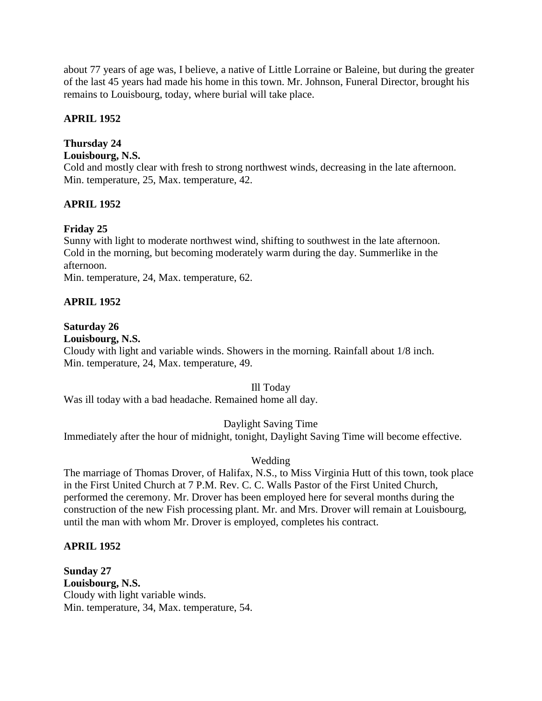about 77 years of age was, I believe, a native of Little Lorraine or Baleine, but during the greater of the last 45 years had made his home in this town. Mr. Johnson, Funeral Director, brought his remains to Louisbourg, today, where burial will take place.

# **APRIL 1952**

# **Thursday 24**

### **Louisbourg, N.S.**

Cold and mostly clear with fresh to strong northwest winds, decreasing in the late afternoon. Min. temperature, 25, Max. temperature, 42.

# **APRIL 1952**

# **Friday 25**

Sunny with light to moderate northwest wind, shifting to southwest in the late afternoon. Cold in the morning, but becoming moderately warm during the day. Summerlike in the afternoon.

Min. temperature, 24, Max. temperature, 62.

# **APRIL 1952**

# **Saturday 26**

### **Louisbourg, N.S.**

Cloudy with light and variable winds. Showers in the morning. Rainfall about 1/8 inch. Min. temperature, 24, Max. temperature, 49.

#### Ill Today

Was ill today with a bad headache. Remained home all day.

# Daylight Saving Time

Immediately after the hour of midnight, tonight, Daylight Saving Time will become effective.

# Wedding

The marriage of Thomas Drover, of Halifax, N.S., to Miss Virginia Hutt of this town, took place in the First United Church at 7 P.M. Rev. C. C. Walls Pastor of the First United Church, performed the ceremony. Mr. Drover has been employed here for several months during the construction of the new Fish processing plant. Mr. and Mrs. Drover will remain at Louisbourg, until the man with whom Mr. Drover is employed, completes his contract.

# **APRIL 1952**

**Sunday 27 Louisbourg, N.S.** Cloudy with light variable winds. Min. temperature, 34, Max. temperature, 54.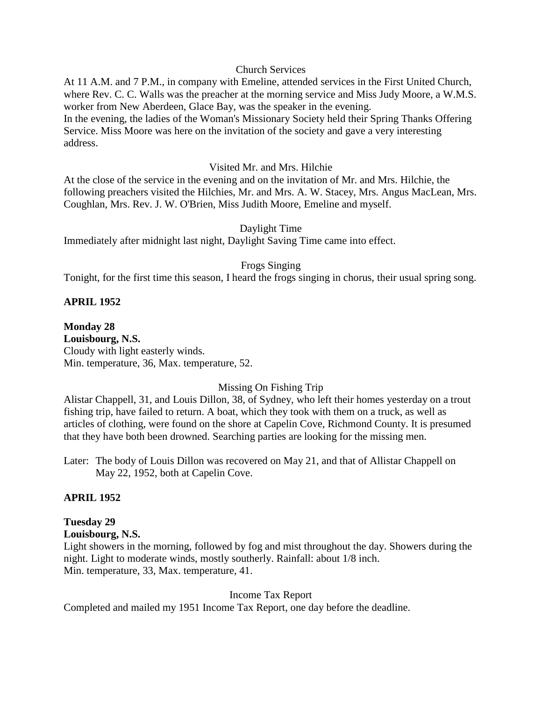#### Church Services

At 11 A.M. and 7 P.M., in company with Emeline, attended services in the First United Church, where Rev. C. C. Walls was the preacher at the morning service and Miss Judy Moore, a W.M.S. worker from New Aberdeen, Glace Bay, was the speaker in the evening. In the evening, the ladies of the Woman's Missionary Society held their Spring Thanks Offering Service. Miss Moore was here on the invitation of the society and gave a very interesting address.

#### Visited Mr. and Mrs. Hilchie

At the close of the service in the evening and on the invitation of Mr. and Mrs. Hilchie, the following preachers visited the Hilchies, Mr. and Mrs. A. W. Stacey, Mrs. Angus MacLean, Mrs. Coughlan, Mrs. Rev. J. W. O'Brien, Miss Judith Moore, Emeline and myself.

#### Daylight Time

Immediately after midnight last night, Daylight Saving Time came into effect.

#### Frogs Singing

Tonight, for the first time this season, I heard the frogs singing in chorus, their usual spring song.

#### **APRIL 1952**

**Monday 28 Louisbourg, N.S.** Cloudy with light easterly winds. Min. temperature, 36, Max. temperature, 52.

#### Missing On Fishing Trip

Alistar Chappell, 31, and Louis Dillon, 38, of Sydney, who left their homes yesterday on a trout fishing trip, have failed to return. A boat, which they took with them on a truck, as well as articles of clothing, were found on the shore at Capelin Cove, Richmond County. It is presumed that they have both been drowned. Searching parties are looking for the missing men.

Later: The body of Louis Dillon was recovered on May 21, and that of Allistar Chappell on May 22, 1952, both at Capelin Cove.

#### **APRIL 1952**

# **Tuesday 29**

### **Louisbourg, N.S.**

Light showers in the morning, followed by fog and mist throughout the day. Showers during the night. Light to moderate winds, mostly southerly. Rainfall: about 1/8 inch. Min. temperature, 33, Max. temperature, 41.

#### Income Tax Report

Completed and mailed my 1951 Income Tax Report, one day before the deadline.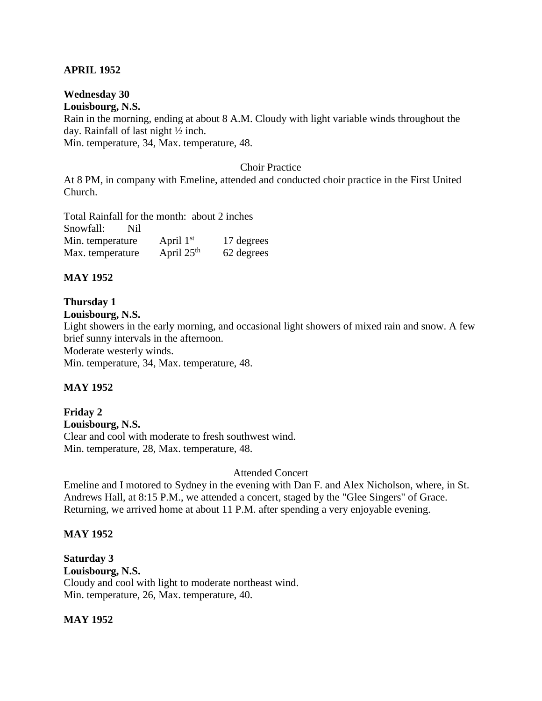### **APRIL 1952**

**Wednesday 30 Louisbourg, N.S.** Rain in the morning, ending at about 8 A.M. Cloudy with light variable winds throughout the day. Rainfall of last night ½ inch. Min. temperature, 34, Max. temperature, 48.

#### Choir Practice

At 8 PM, in company with Emeline, attended and conducted choir practice in the First United Church.

Total Rainfall for the month: about 2 inches Snowfall: Nil Min. temperature April  $1<sup>st</sup>$ 17 degrees Max. temperature April  $25<sup>th</sup>$ 62 degrees

#### **MAY 1952**

# **Thursday 1**

**Louisbourg, N.S.**

Light showers in the early morning, and occasional light showers of mixed rain and snow. A few brief sunny intervals in the afternoon.

Moderate westerly winds.

Min. temperature, 34, Max. temperature, 48.

#### **MAY 1952**

**Friday 2 Louisbourg, N.S.** Clear and cool with moderate to fresh southwest wind. Min. temperature, 28, Max. temperature, 48.

#### Attended Concert

Emeline and I motored to Sydney in the evening with Dan F. and Alex Nicholson, where, in St. Andrews Hall, at 8:15 P.M., we attended a concert, staged by the "Glee Singers" of Grace. Returning, we arrived home at about 11 P.M. after spending a very enjoyable evening.

#### **MAY 1952**

**Saturday 3 Louisbourg, N.S.** Cloudy and cool with light to moderate northeast wind. Min. temperature, 26, Max. temperature, 40.

#### **MAY 1952**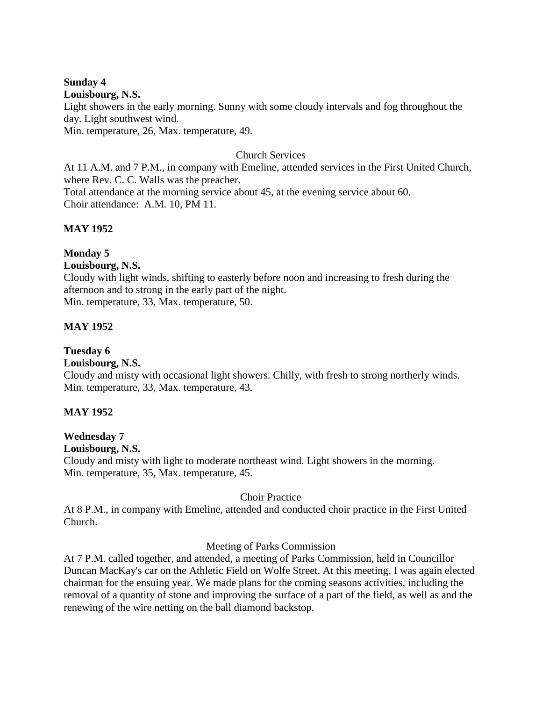### **Sunday 4**

#### **Louisbourg, N.S.**

Light showers in the early morning. Sunny with some cloudy intervals and fog throughout the day. Light southwest wind.

Min. temperature, 26, Max. temperature, 49.

### Church Services

At 11 A.M. and 7 P.M., in company with Emeline, attended services in the First United Church, where Rev. C. C. Walls was the preacher. Total attendance at the morning service about 45, at the evening service about 60. Choir attendance: A.M. 10, PM 11.

# **MAY 1952**

# **Monday 5**

### **Louisbourg, N.S.**

Cloudy with light winds, shifting to easterly before noon and increasing to fresh during the afternoon and to strong in the early part of the night. Min. temperature, 33, Max. temperature, 50.

# **MAY 1952**

# **Tuesday 6**

### **Louisbourg, N.S.**

Cloudy and misty with occasional light showers. Chilly, with fresh to strong northerly winds. Min. temperature, 33, Max. temperature, 43.

# **MAY 1952**

# **Wednesday 7**

### **Louisbourg, N.S.**

Cloudy and misty with light to moderate northeast wind. Light showers in the morning. Min. temperature, 35, Max. temperature, 45.

# Choir Practice

At 8 P.M., in company with Emeline, attended and conducted choir practice in the First United Church.

#### Meeting of Parks Commission

At 7 P.M. called together, and attended, a meeting of Parks Commission, held in Councillor Duncan MacKay's car on the Athletic Field on Wolfe Street. At this meeting, I was again elected chairman for the ensuing year. We made plans for the coming seasons activities, including the removal of a quantity of stone and improving the surface of a part of the field, as well as and the renewing of the wire netting on the ball diamond backstop.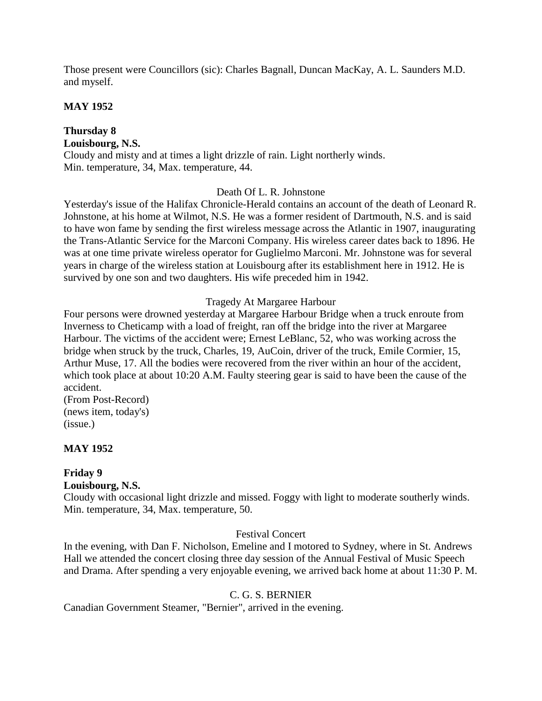Those present were Councillors (sic): Charles Bagnall, Duncan MacKay, A. L. Saunders M.D. and myself.

### **MAY 1952**

### **Thursday 8 Louisbourg, N.S.** Cloudy and misty and at times a light drizzle of rain. Light northerly winds. Min. temperature, 34, Max. temperature, 44.

# Death Of L. R. Johnstone

Yesterday's issue of the Halifax Chronicle-Herald contains an account of the death of Leonard R. Johnstone, at his home at Wilmot, N.S. He was a former resident of Dartmouth, N.S. and is said to have won fame by sending the first wireless message across the Atlantic in 1907, inaugurating the Trans-Atlantic Service for the Marconi Company. His wireless career dates back to 1896. He was at one time private wireless operator for Guglielmo Marconi. Mr. Johnstone was for several years in charge of the wireless station at Louisbourg after its establishment here in 1912. He is survived by one son and two daughters. His wife preceded him in 1942.

Tragedy At Margaree Harbour

Four persons were drowned yesterday at Margaree Harbour Bridge when a truck enroute from Inverness to Cheticamp with a load of freight, ran off the bridge into the river at Margaree Harbour. The victims of the accident were; Ernest LeBlanc, 52, who was working across the bridge when struck by the truck, Charles, 19, AuCoin, driver of the truck, Emile Cormier, 15, Arthur Muse, 17. All the bodies were recovered from the river within an hour of the accident, which took place at about 10:20 A.M. Faulty steering gear is said to have been the cause of the accident.

(From Post-Record) (news item, today's) (issue.)

# **MAY 1952**

# **Friday 9**

**Louisbourg, N.S.**

Cloudy with occasional light drizzle and missed. Foggy with light to moderate southerly winds. Min. temperature, 34, Max. temperature, 50.

#### Festival Concert

In the evening, with Dan F. Nicholson, Emeline and I motored to Sydney, where in St. Andrews Hall we attended the concert closing three day session of the Annual Festival of Music Speech and Drama. After spending a very enjoyable evening, we arrived back home at about 11:30 P. M.

#### C. G. S. BERNIER

Canadian Government Steamer, "Bernier", arrived in the evening.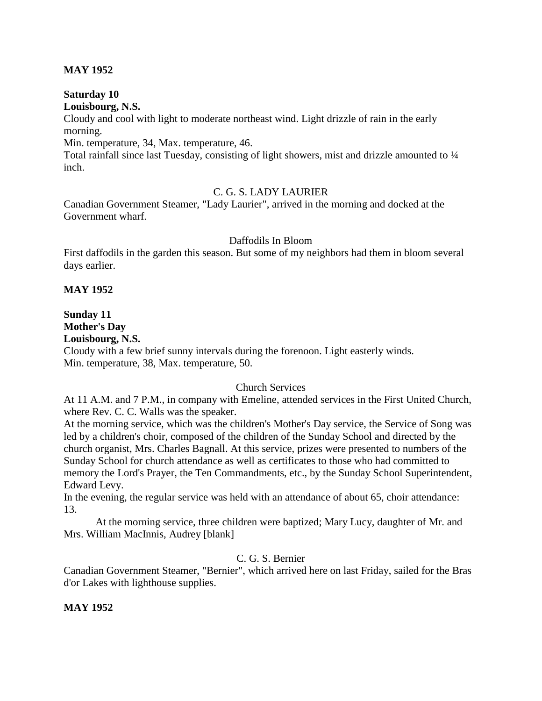### **MAY 1952**

**Saturday 10 Louisbourg, N.S.**

Cloudy and cool with light to moderate northeast wind. Light drizzle of rain in the early morning.

Min. temperature, 34, Max. temperature, 46.

Total rainfall since last Tuesday, consisting of light showers, mist and drizzle amounted to  $\frac{1}{4}$ inch.

### C. G. S. LADY LAURIER

Canadian Government Steamer, "Lady Laurier", arrived in the morning and docked at the Government wharf.

#### Daffodils In Bloom

First daffodils in the garden this season. But some of my neighbors had them in bloom several days earlier.

### **MAY 1952**

# **Sunday 11 Mother's Day**

**Louisbourg, N.S.**

Cloudy with a few brief sunny intervals during the forenoon. Light easterly winds. Min. temperature, 38, Max. temperature, 50.

# Church Services

At 11 A.M. and 7 P.M., in company with Emeline, attended services in the First United Church, where Rev. C. C. Walls was the speaker.

At the morning service, which was the children's Mother's Day service, the Service of Song was led by a children's choir, composed of the children of the Sunday School and directed by the church organist, Mrs. Charles Bagnall. At this service, prizes were presented to numbers of the Sunday School for church attendance as well as certificates to those who had committed to memory the Lord's Prayer, the Ten Commandments, etc., by the Sunday School Superintendent, Edward Levy.

In the evening, the regular service was held with an attendance of about 65, choir attendance: 13.

At the morning service, three children were baptized; Mary Lucy, daughter of Mr. and Mrs. William MacInnis, Audrey [blank]

#### C. G. S. Bernier

Canadian Government Steamer, "Bernier", which arrived here on last Friday, sailed for the Bras d'or Lakes with lighthouse supplies.

# **MAY 1952**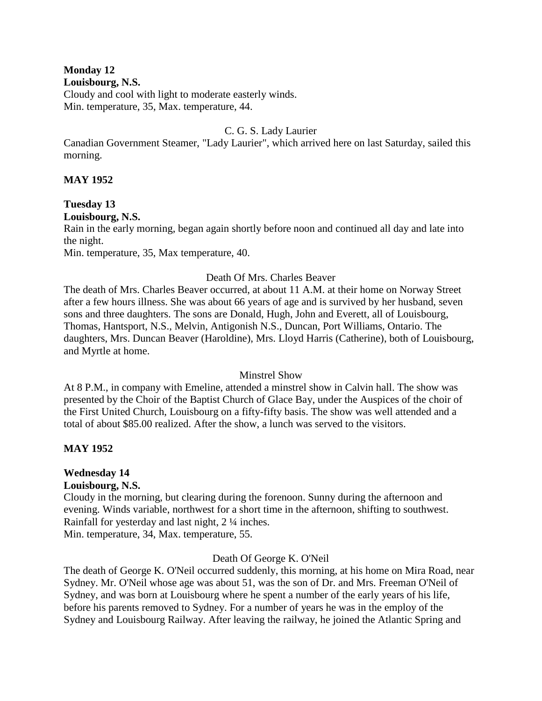### **Monday 12**

#### **Louisbourg, N.S.**

Cloudy and cool with light to moderate easterly winds. Min. temperature, 35, Max. temperature, 44.

### C. G. S. Lady Laurier

Canadian Government Steamer, "Lady Laurier", which arrived here on last Saturday, sailed this morning.

### **MAY 1952**

# **Tuesday 13**

# **Louisbourg, N.S.**

Rain in the early morning, began again shortly before noon and continued all day and late into the night.

Min. temperature, 35, Max temperature, 40.

# Death Of Mrs. Charles Beaver

The death of Mrs. Charles Beaver occurred, at about 11 A.M. at their home on Norway Street after a few hours illness. She was about 66 years of age and is survived by her husband, seven sons and three daughters. The sons are Donald, Hugh, John and Everett, all of Louisbourg, Thomas, Hantsport, N.S., Melvin, Antigonish N.S., Duncan, Port Williams, Ontario. The daughters, Mrs. Duncan Beaver (Haroldine), Mrs. Lloyd Harris (Catherine), both of Louisbourg, and Myrtle at home.

#### Minstrel Show

At 8 P.M., in company with Emeline, attended a minstrel show in Calvin hall. The show was presented by the Choir of the Baptist Church of Glace Bay, under the Auspices of the choir of the First United Church, Louisbourg on a fifty-fifty basis. The show was well attended and a total of about \$85.00 realized. After the show, a lunch was served to the visitors.

# **MAY 1952**

# **Wednesday 14**

#### **Louisbourg, N.S.**

Cloudy in the morning, but clearing during the forenoon. Sunny during the afternoon and evening. Winds variable, northwest for a short time in the afternoon, shifting to southwest. Rainfall for yesterday and last night, 2 ¼ inches.

Min. temperature, 34, Max. temperature, 55.

# Death Of George K. O'Neil

The death of George K. O'Neil occurred suddenly, this morning, at his home on Mira Road, near Sydney. Mr. O'Neil whose age was about 51, was the son of Dr. and Mrs. Freeman O'Neil of Sydney, and was born at Louisbourg where he spent a number of the early years of his life, before his parents removed to Sydney. For a number of years he was in the employ of the Sydney and Louisbourg Railway. After leaving the railway, he joined the Atlantic Spring and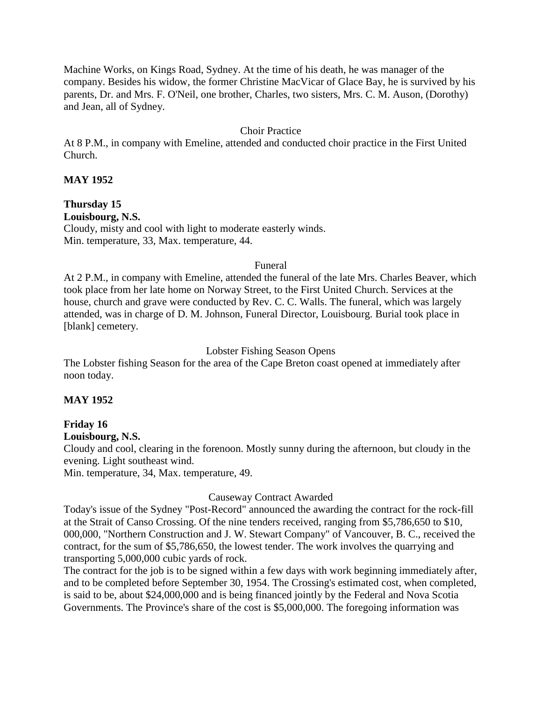Machine Works, on Kings Road, Sydney. At the time of his death, he was manager of the company. Besides his widow, the former Christine MacVicar of Glace Bay, he is survived by his parents, Dr. and Mrs. F. O'Neil, one brother, Charles, two sisters, Mrs. C. M. Auson, (Dorothy) and Jean, all of Sydney.

### Choir Practice

At 8 P.M., in company with Emeline, attended and conducted choir practice in the First United Church.

#### **MAY 1952**

# **Thursday 15**

**Louisbourg, N.S.**

Cloudy, misty and cool with light to moderate easterly winds. Min. temperature, 33, Max. temperature, 44.

#### Funeral

At 2 P.M., in company with Emeline, attended the funeral of the late Mrs. Charles Beaver, which took place from her late home on Norway Street, to the First United Church. Services at the house, church and grave were conducted by Rev. C. C. Walls. The funeral, which was largely attended, was in charge of D. M. Johnson, Funeral Director, Louisbourg. Burial took place in [blank] cemetery.

#### Lobster Fishing Season Opens

The Lobster fishing Season for the area of the Cape Breton coast opened at immediately after noon today.

#### **MAY 1952**

# **Friday 16**

**Louisbourg, N.S.**

Cloudy and cool, clearing in the forenoon. Mostly sunny during the afternoon, but cloudy in the evening. Light southeast wind.

Min. temperature, 34, Max. temperature, 49.

#### Causeway Contract Awarded

Today's issue of the Sydney "Post-Record" announced the awarding the contract for the rock-fill at the Strait of Canso Crossing. Of the nine tenders received, ranging from \$5,786,650 to \$10, 000,000, "Northern Construction and J. W. Stewart Company" of Vancouver, B. C., received the contract, for the sum of \$5,786,650, the lowest tender. The work involves the quarrying and transporting 5,000,000 cubic yards of rock.

The contract for the job is to be signed within a few days with work beginning immediately after, and to be completed before September 30, 1954. The Crossing's estimated cost, when completed, is said to be, about \$24,000,000 and is being financed jointly by the Federal and Nova Scotia Governments. The Province's share of the cost is \$5,000,000. The foregoing information was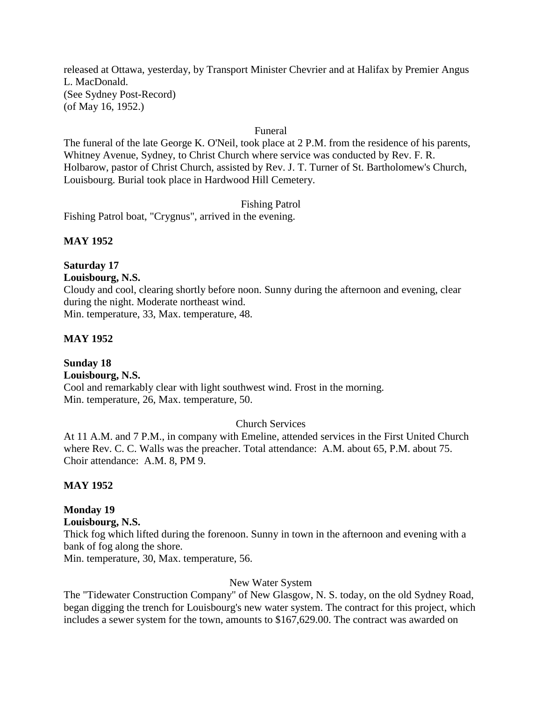released at Ottawa, yesterday, by Transport Minister Chevrier and at Halifax by Premier Angus L. MacDonald. (See Sydney Post-Record) (of May 16, 1952.)

#### Funeral

The funeral of the late George K. O'Neil, took place at 2 P.M. from the residence of his parents, Whitney Avenue, Sydney, to Christ Church where service was conducted by Rev. F. R. Holbarow, pastor of Christ Church, assisted by Rev. J. T. Turner of St. Bartholomew's Church, Louisbourg. Burial took place in Hardwood Hill Cemetery.

Fishing Patrol

Fishing Patrol boat, "Crygnus", arrived in the evening.

### **MAY 1952**

# **Saturday 17**

**Louisbourg, N.S.**

Cloudy and cool, clearing shortly before noon. Sunny during the afternoon and evening, clear during the night. Moderate northeast wind. Min. temperature, 33, Max. temperature, 48.

#### **MAY 1952**

**Sunday 18 Louisbourg, N.S.** Cool and remarkably clear with light southwest wind. Frost in the morning. Min. temperature, 26, Max. temperature, 50.

#### Church Services

At 11 A.M. and 7 P.M., in company with Emeline, attended services in the First United Church where Rev. C. C. Walls was the preacher. Total attendance: A.M. about 65, P.M. about 75. Choir attendance: A.M. 8, PM 9.

#### **MAY 1952**

#### **Monday 19**

**Louisbourg, N.S.**

Thick fog which lifted during the forenoon. Sunny in town in the afternoon and evening with a bank of fog along the shore.

Min. temperature, 30, Max. temperature, 56.

#### New Water System

The "Tidewater Construction Company" of New Glasgow, N. S. today, on the old Sydney Road, began digging the trench for Louisbourg's new water system. The contract for this project, which includes a sewer system for the town, amounts to \$167,629.00. The contract was awarded on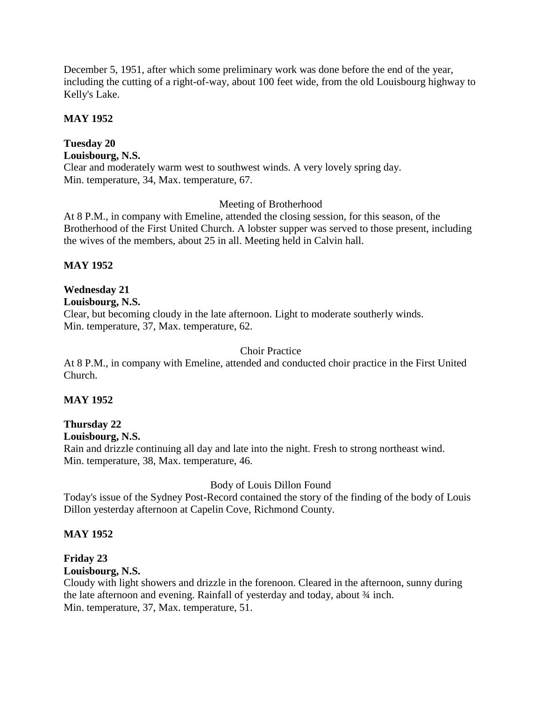December 5, 1951, after which some preliminary work was done before the end of the year, including the cutting of a right-of-way, about 100 feet wide, from the old Louisbourg highway to Kelly's Lake.

### **MAY 1952**

# **Tuesday 20**

### **Louisbourg, N.S.**

Clear and moderately warm west to southwest winds. A very lovely spring day. Min. temperature, 34, Max. temperature, 67.

### Meeting of Brotherhood

At 8 P.M., in company with Emeline, attended the closing session, for this season, of the Brotherhood of the First United Church. A lobster supper was served to those present, including the wives of the members, about 25 in all. Meeting held in Calvin hall.

# **MAY 1952**

# **Wednesday 21**

### **Louisbourg, N.S.**

Clear, but becoming cloudy in the late afternoon. Light to moderate southerly winds. Min. temperature, 37, Max. temperature, 62.

### Choir Practice

At 8 P.M., in company with Emeline, attended and conducted choir practice in the First United Church.

# **MAY 1952**

# **Thursday 22**

#### **Louisbourg, N.S.**

Rain and drizzle continuing all day and late into the night. Fresh to strong northeast wind. Min. temperature, 38, Max. temperature, 46.

# Body of Louis Dillon Found

Today's issue of the Sydney Post-Record contained the story of the finding of the body of Louis Dillon yesterday afternoon at Capelin Cove, Richmond County.

#### **MAY 1952**

# **Friday 23**

# **Louisbourg, N.S.**

Cloudy with light showers and drizzle in the forenoon. Cleared in the afternoon, sunny during the late afternoon and evening. Rainfall of yesterday and today, about  $\frac{3}{4}$  inch. Min. temperature, 37, Max. temperature, 51.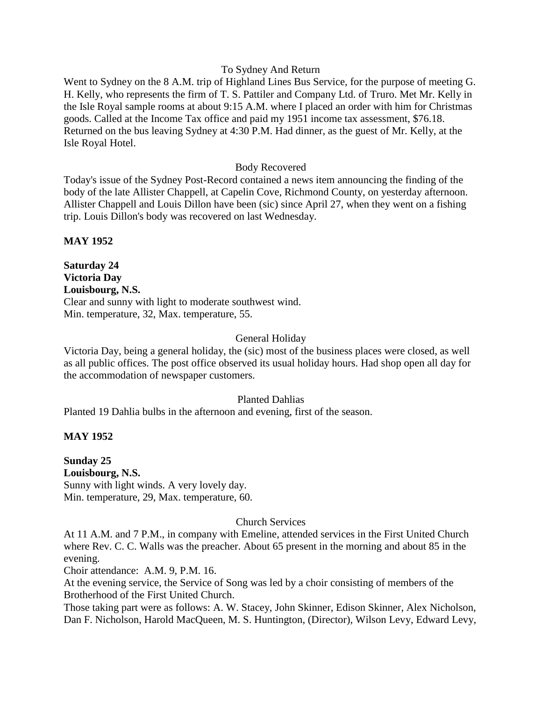#### To Sydney And Return

Went to Sydney on the 8 A.M. trip of Highland Lines Bus Service, for the purpose of meeting G. H. Kelly, who represents the firm of T. S. Pattiler and Company Ltd. of Truro. Met Mr. Kelly in the Isle Royal sample rooms at about 9:15 A.M. where I placed an order with him for Christmas goods. Called at the Income Tax office and paid my 1951 income tax assessment, \$76.18. Returned on the bus leaving Sydney at 4:30 P.M. Had dinner, as the guest of Mr. Kelly, at the Isle Royal Hotel.

#### Body Recovered

Today's issue of the Sydney Post-Record contained a news item announcing the finding of the body of the late Allister Chappell, at Capelin Cove, Richmond County, on yesterday afternoon. Allister Chappell and Louis Dillon have been (sic) since April 27, when they went on a fishing trip. Louis Dillon's body was recovered on last Wednesday.

**MAY 1952**

**Saturday 24 Victoria Day Louisbourg, N.S.** Clear and sunny with light to moderate southwest wind. Min. temperature, 32, Max. temperature, 55.

#### General Holiday

Victoria Day, being a general holiday, the (sic) most of the business places were closed, as well as all public offices. The post office observed its usual holiday hours. Had shop open all day for the accommodation of newspaper customers.

#### Planted Dahlias

Planted 19 Dahlia bulbs in the afternoon and evening, first of the season.

#### **MAY 1952**

**Sunday 25 Louisbourg, N.S.** Sunny with light winds. A very lovely day. Min. temperature, 29, Max. temperature, 60.

#### Church Services

At 11 A.M. and 7 P.M., in company with Emeline, attended services in the First United Church where Rev. C. C. Walls was the preacher. About 65 present in the morning and about 85 in the evening.

Choir attendance: A.M. 9, P.M. 16.

At the evening service, the Service of Song was led by a choir consisting of members of the Brotherhood of the First United Church.

Those taking part were as follows: A. W. Stacey, John Skinner, Edison Skinner, Alex Nicholson, Dan F. Nicholson, Harold MacQueen, M. S. Huntington, (Director), Wilson Levy, Edward Levy,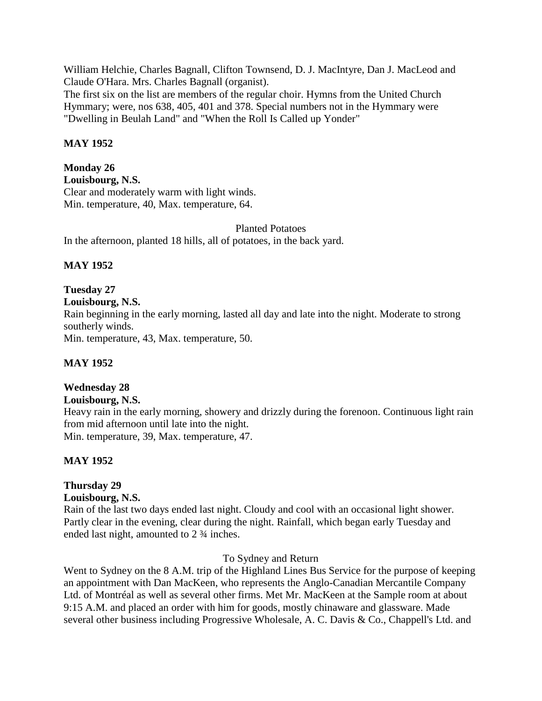William Helchie, Charles Bagnall, Clifton Townsend, D. J. MacIntyre, Dan J. MacLeod and Claude O'Hara. Mrs. Charles Bagnall (organist).

The first six on the list are members of the regular choir. Hymns from the United Church Hymmary; were, nos 638, 405, 401 and 378. Special numbers not in the Hymmary were "Dwelling in Beulah Land" and "When the Roll Is Called up Yonder"

# **MAY 1952**

**Monday 26 Louisbourg, N.S.** Clear and moderately warm with light winds. Min. temperature, 40, Max. temperature, 64.

Planted Potatoes In the afternoon, planted 18 hills, all of potatoes, in the back yard.

# **MAY 1952**

# **Tuesday 27**

**Louisbourg, N.S.**

Rain beginning in the early morning, lasted all day and late into the night. Moderate to strong southerly winds.

Min. temperature, 43, Max. temperature, 50.

# **MAY 1952**

# **Wednesday 28**

# **Louisbourg, N.S.**

Heavy rain in the early morning, showery and drizzly during the forenoon. Continuous light rain from mid afternoon until late into the night. Min. temperature, 39, Max. temperature, 47.

# **MAY 1952**

# **Thursday 29**

# **Louisbourg, N.S.**

Rain of the last two days ended last night. Cloudy and cool with an occasional light shower. Partly clear in the evening, clear during the night. Rainfall, which began early Tuesday and ended last night, amounted to 2 ¾ inches.

# To Sydney and Return

Went to Sydney on the 8 A.M. trip of the Highland Lines Bus Service for the purpose of keeping an appointment with Dan MacKeen, who represents the Anglo-Canadian Mercantile Company Ltd. of Montréal as well as several other firms. Met Mr. MacKeen at the Sample room at about 9:15 A.M. and placed an order with him for goods, mostly chinaware and glassware. Made several other business including Progressive Wholesale, A. C. Davis & Co., Chappell's Ltd. and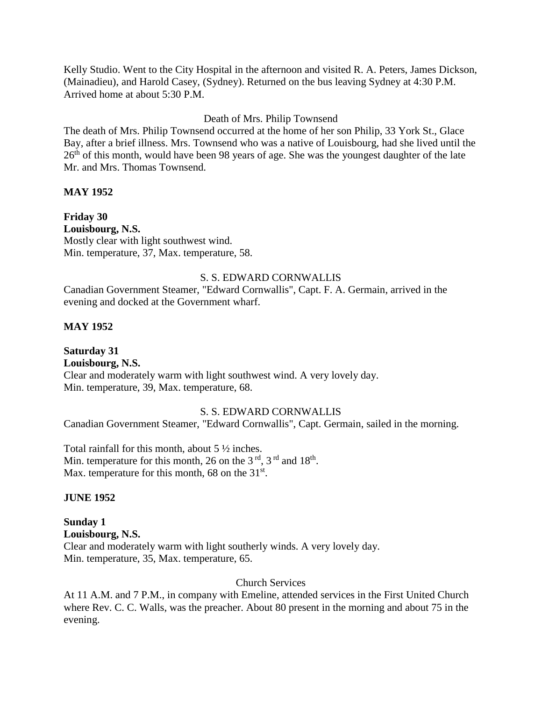Kelly Studio. Went to the City Hospital in the afternoon and visited R. A. Peters, James Dickson, (Mainadieu), and Harold Casey, (Sydney). Returned on the bus leaving Sydney at 4:30 P.M. Arrived home at about 5:30 P.M.

# Death of Mrs. Philip Townsend

The death of Mrs. Philip Townsend occurred at the home of her son Philip, 33 York St., Glace Bay, after a brief illness. Mrs. Townsend who was a native of Louisbourg, had she lived until the 26<sup>th</sup> of this month, would have been 98 years of age. She was the youngest daughter of the late Mr. and Mrs. Thomas Townsend.

# **MAY 1952**

**Friday 30 Louisbourg, N.S.** Mostly clear with light southwest wind. Min. temperature, 37, Max. temperature, 58.

### S. S. EDWARD CORNWALLIS

Canadian Government Steamer, "Edward Cornwallis", Capt. F. A. Germain, arrived in the evening and docked at the Government wharf.

# **MAY 1952**

**Saturday 31 Louisbourg, N.S.** Clear and moderately warm with light southwest wind. A very lovely day. Min. temperature, 39, Max. temperature, 68.

#### S. S. EDWARD CORNWALLIS

Canadian Government Steamer, "Edward Cornwallis", Capt. Germain, sailed in the morning.

Total rainfall for this month, about 5 ½ inches. Min. temperature for this month, 26 on the 3<sup>rd</sup>, 3<sup>rd</sup> and 18<sup>th</sup>. Max. temperature for this month, 68 on the 31<sup>st</sup>.

#### **JUNE 1952**

**Sunday 1 Louisbourg, N.S.** Clear and moderately warm with light southerly winds. A very lovely day. Min. temperature, 35, Max. temperature, 65.

#### Church Services

At 11 A.M. and 7 P.M., in company with Emeline, attended services in the First United Church where Rev. C. C. Walls, was the preacher. About 80 present in the morning and about 75 in the evening.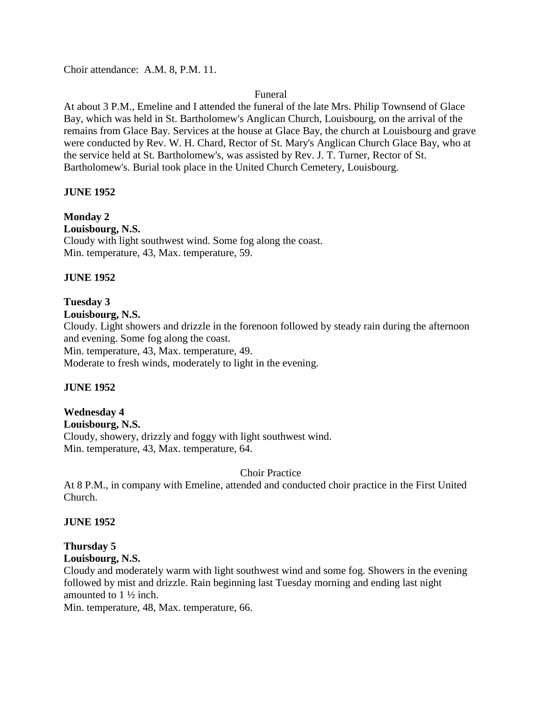Choir attendance: A.M. 8, P.M. 11.

#### Funeral

At about 3 P.M., Emeline and I attended the funeral of the late Mrs. Philip Townsend of Glace Bay, which was held in St. Bartholomew's Anglican Church, Louisbourg, on the arrival of the remains from Glace Bay. Services at the house at Glace Bay, the church at Louisbourg and grave were conducted by Rev. W. H. Chard, Rector of St. Mary's Anglican Church Glace Bay, who at the service held at St. Bartholomew's, was assisted by Rev. J. T. Turner, Rector of St. Bartholomew's. Burial took place in the United Church Cemetery, Louisbourg.

#### **JUNE 1952**

**Monday 2 Louisbourg, N.S.** Cloudy with light southwest wind. Some fog along the coast. Min. temperature, 43, Max. temperature, 59.

#### **JUNE 1952**

### **Tuesday 3**

#### **Louisbourg, N.S.**

Cloudy. Light showers and drizzle in the forenoon followed by steady rain during the afternoon and evening. Some fog along the coast. Min. temperature, 43, Max. temperature, 49.

Moderate to fresh winds, moderately to light in the evening.

#### **JUNE 1952**

# **Wednesday 4**

**Louisbourg, N.S.**

Cloudy, showery, drizzly and foggy with light southwest wind. Min. temperature, 43, Max. temperature, 64.

Choir Practice

At 8 P.M., in company with Emeline, attended and conducted choir practice in the First United Church.

#### **JUNE 1952**

#### **Thursday 5 Louisbourg, N.S.**

Cloudy and moderately warm with light southwest wind and some fog. Showers in the evening followed by mist and drizzle. Rain beginning last Tuesday morning and ending last night amounted to 1 ½ inch.

Min. temperature, 48, Max. temperature, 66.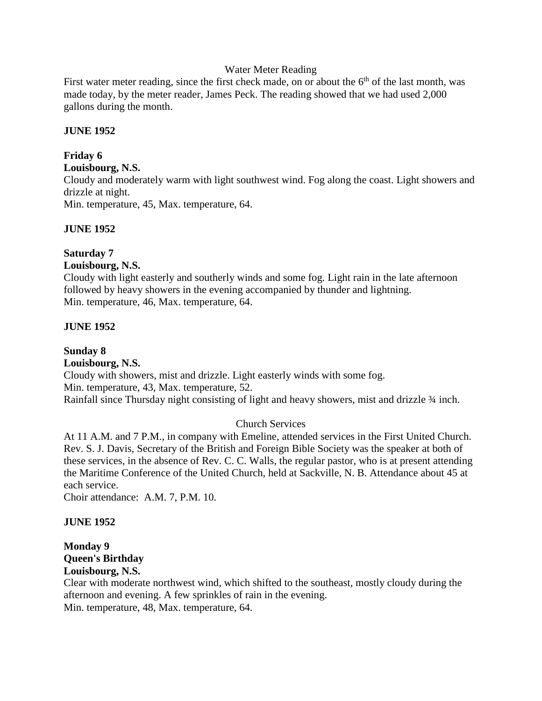#### Water Meter Reading

First water meter reading, since the first check made, on or about the  $6<sup>th</sup>$  of the last month, was made today, by the meter reader, James Peck. The reading showed that we had used 2,000 gallons during the month.

#### **JUNE 1952**

#### **Friday 6**

**Louisbourg, N.S.**

Cloudy and moderately warm with light southwest wind. Fog along the coast. Light showers and drizzle at night.

Min. temperature, 45, Max. temperature, 64.

#### **JUNE 1952**

# **Saturday 7**

### **Louisbourg, N.S.**

Cloudy with light easterly and southerly winds and some fog. Light rain in the late afternoon followed by heavy showers in the evening accompanied by thunder and lightning. Min. temperature, 46, Max. temperature, 64.

### **JUNE 1952**

# **Sunday 8 Louisbourg, N.S.** Cloudy with showers, mist and drizzle. Light easterly winds with some fog. Min. temperature, 43, Max. temperature, 52.

Rainfall since Thursday night consisting of light and heavy showers, mist and drizzle  $\frac{3}{4}$  inch.

# Church Services

At 11 A.M. and 7 P.M., in company with Emeline, attended services in the First United Church. Rev. S. J. Davis, Secretary of the British and Foreign Bible Society was the speaker at both of these services, in the absence of Rev. C. C. Walls, the regular pastor, who is at present attending the Maritime Conference of the United Church, held at Sackville, N. B. Attendance about 45 at each service.

Choir attendance: A.M. 7, P.M. 10.

#### **JUNE 1952**

# **Monday 9 Queen's Birthday Louisbourg, N.S.**

Clear with moderate northwest wind, which shifted to the southeast, mostly cloudy during the afternoon and evening. A few sprinkles of rain in the evening. Min. temperature, 48, Max. temperature, 64.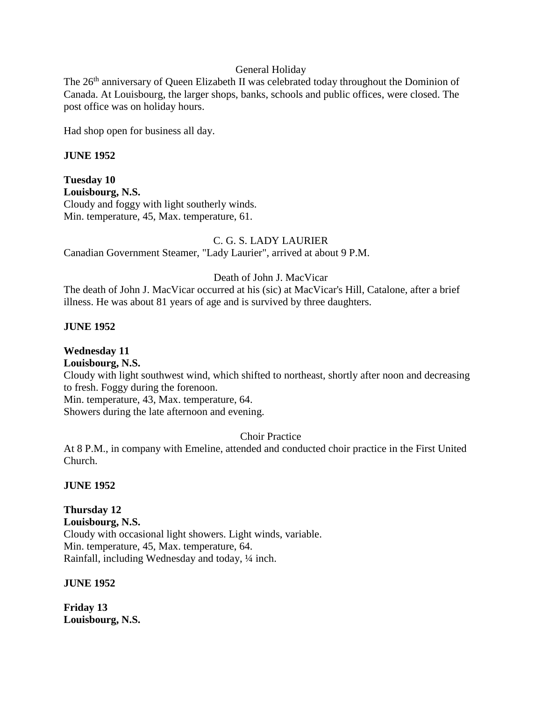### General Holiday

The 26<sup>th</sup> anniversary of Queen Elizabeth II was celebrated today throughout the Dominion of Canada. At Louisbourg, the larger shops, banks, schools and public offices, were closed. The post office was on holiday hours.

Had shop open for business all day.

#### **JUNE 1952**

**Tuesday 10 Louisbourg, N.S.** Cloudy and foggy with light southerly winds. Min. temperature, 45, Max. temperature, 61.

#### C. G. S. LADY LAURIER

Canadian Government Steamer, "Lady Laurier", arrived at about 9 P.M.

### Death of John J. MacVicar

The death of John J. MacVicar occurred at his (sic) at MacVicar's Hill, Catalone, after a brief illness. He was about 81 years of age and is survived by three daughters.

#### **JUNE 1952**

**Wednesday 11 Louisbourg, N.S.** Cloudy with light southwest wind, which shifted to northeast, shortly after noon and decreasing to fresh. Foggy during the forenoon. Min. temperature, 43, Max. temperature, 64. Showers during the late afternoon and evening.

Choir Practice

At 8 P.M., in company with Emeline, attended and conducted choir practice in the First United Church.

#### **JUNE 1952**

**Thursday 12 Louisbourg, N.S.** Cloudy with occasional light showers. Light winds, variable. Min. temperature, 45, Max. temperature, 64. Rainfall, including Wednesday and today, ¼ inch.

#### **JUNE 1952**

**Friday 13 Louisbourg, N.S.**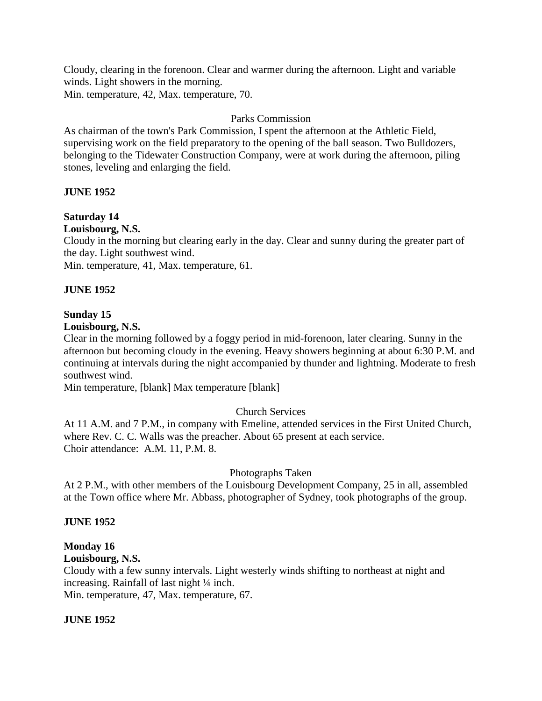Cloudy, clearing in the forenoon. Clear and warmer during the afternoon. Light and variable winds. Light showers in the morning. Min. temperature, 42, Max. temperature, 70.

### Parks Commission

As chairman of the town's Park Commission, I spent the afternoon at the Athletic Field, supervising work on the field preparatory to the opening of the ball season. Two Bulldozers, belonging to the Tidewater Construction Company, were at work during the afternoon, piling stones, leveling and enlarging the field.

### **JUNE 1952**

### **Saturday 14**

#### **Louisbourg, N.S.**

Cloudy in the morning but clearing early in the day. Clear and sunny during the greater part of the day. Light southwest wind.

Min. temperature, 41, Max. temperature, 61.

#### **JUNE 1952**

### **Sunday 15**

# **Louisbourg, N.S.**

Clear in the morning followed by a foggy period in mid-forenoon, later clearing. Sunny in the afternoon but becoming cloudy in the evening. Heavy showers beginning at about 6:30 P.M. and continuing at intervals during the night accompanied by thunder and lightning. Moderate to fresh southwest wind.

Min temperature, [blank] Max temperature [blank]

#### Church Services

At 11 A.M. and 7 P.M., in company with Emeline, attended services in the First United Church, where Rev. C. C. Walls was the preacher. About 65 present at each service. Choir attendance: A.M. 11, P.M. 8.

#### Photographs Taken

At 2 P.M., with other members of the Louisbourg Development Company, 25 in all, assembled at the Town office where Mr. Abbass, photographer of Sydney, took photographs of the group.

#### **JUNE 1952**

# **Monday 16**

#### **Louisbourg, N.S.**

Cloudy with a few sunny intervals. Light westerly winds shifting to northeast at night and increasing. Rainfall of last night ¼ inch.

Min. temperature, 47, Max. temperature, 67.

#### **JUNE 1952**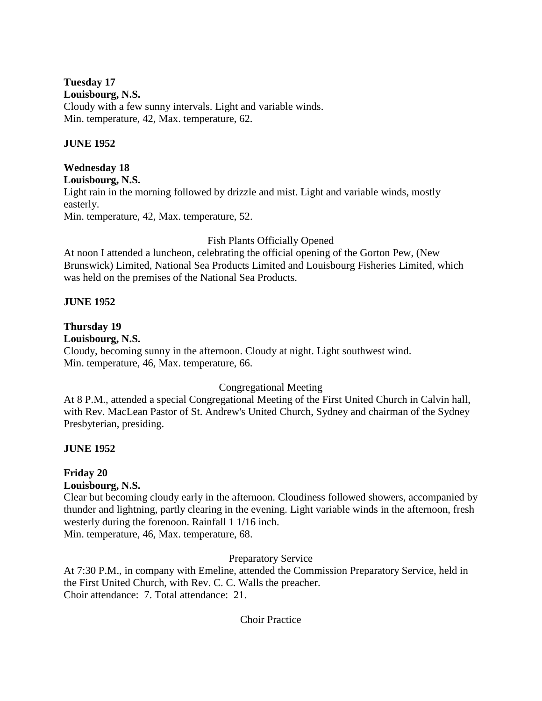# **Tuesday 17**

### **Louisbourg, N.S.**

Cloudy with a few sunny intervals. Light and variable winds. Min. temperature, 42, Max. temperature, 62.

### **JUNE 1952**

# **Wednesday 18**

**Louisbourg, N.S.**

Light rain in the morning followed by drizzle and mist. Light and variable winds, mostly easterly.

Min. temperature, 42, Max. temperature, 52.

# Fish Plants Officially Opened

At noon I attended a luncheon, celebrating the official opening of the Gorton Pew, (New Brunswick) Limited, National Sea Products Limited and Louisbourg Fisheries Limited, which was held on the premises of the National Sea Products.

# **JUNE 1952**

# **Thursday 19**

# **Louisbourg, N.S.**

Cloudy, becoming sunny in the afternoon. Cloudy at night. Light southwest wind. Min. temperature, 46, Max. temperature, 66.

# Congregational Meeting

At 8 P.M., attended a special Congregational Meeting of the First United Church in Calvin hall, with Rev. MacLean Pastor of St. Andrew's United Church, Sydney and chairman of the Sydney Presbyterian, presiding.

# **JUNE 1952**

# **Friday 20**

# **Louisbourg, N.S.**

Clear but becoming cloudy early in the afternoon. Cloudiness followed showers, accompanied by thunder and lightning, partly clearing in the evening. Light variable winds in the afternoon, fresh westerly during the forenoon. Rainfall 1 1/16 inch.

Min. temperature, 46, Max. temperature, 68.

Preparatory Service

At 7:30 P.M., in company with Emeline, attended the Commission Preparatory Service, held in the First United Church, with Rev. C. C. Walls the preacher. Choir attendance: 7. Total attendance: 21.

# Choir Practice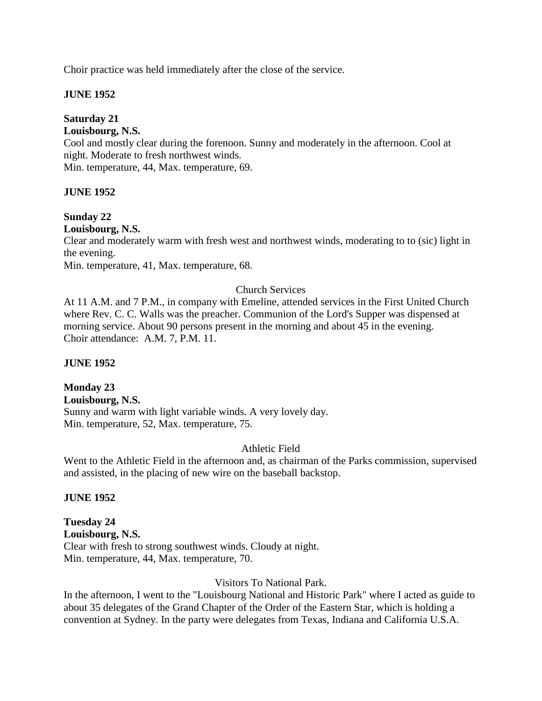Choir practice was held immediately after the close of the service.

### **JUNE 1952**

### **Saturday 21**

### **Louisbourg, N.S.**

Cool and mostly clear during the forenoon. Sunny and moderately in the afternoon. Cool at night. Moderate to fresh northwest winds.

Min. temperature, 44, Max. temperature, 69.

#### **JUNE 1952**

### **Sunday 22**

**Louisbourg, N.S.**

Clear and moderately warm with fresh west and northwest winds, moderating to to (sic) light in the evening.

Min. temperature, 41, Max. temperature, 68.

### Church Services

At 11 A.M. and 7 P.M., in company with Emeline, attended services in the First United Church where Rev. C. C. Walls was the preacher. Communion of the Lord's Supper was dispensed at morning service. About 90 persons present in the morning and about 45 in the evening. Choir attendance: A.M. 7, P.M. 11.

#### **JUNE 1952**

# **Monday 23**

**Louisbourg, N.S.** Sunny and warm with light variable winds. A very lovely day. Min. temperature, 52, Max. temperature, 75.

#### Athletic Field

Went to the Athletic Field in the afternoon and, as chairman of the Parks commission, supervised and assisted, in the placing of new wire on the baseball backstop.

#### **JUNE 1952**

**Tuesday 24 Louisbourg, N.S.** Clear with fresh to strong southwest winds. Cloudy at night. Min. temperature, 44, Max. temperature, 70.

#### Visitors To National Park.

In the afternoon, I went to the "Louisbourg National and Historic Park" where I acted as guide to about 35 delegates of the Grand Chapter of the Order of the Eastern Star, which is holding a convention at Sydney. In the party were delegates from Texas, Indiana and California U.S.A.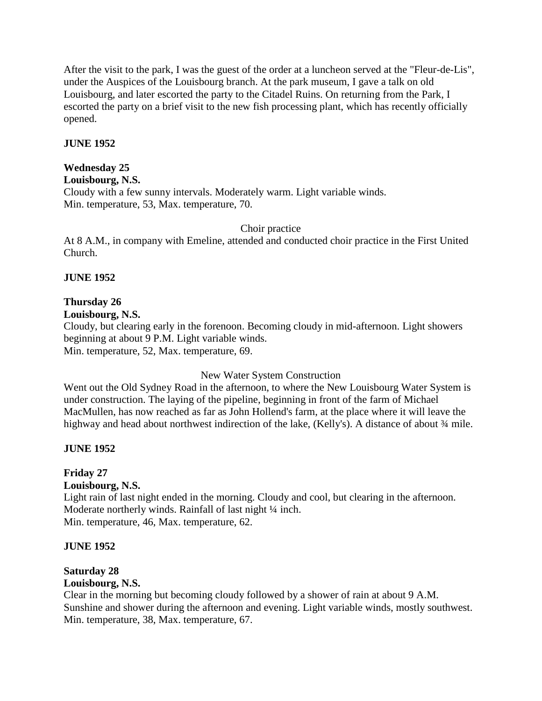After the visit to the park, I was the guest of the order at a luncheon served at the "Fleur-de-Lis", under the Auspices of the Louisbourg branch. At the park museum, I gave a talk on old Louisbourg, and later escorted the party to the Citadel Ruins. On returning from the Park, I escorted the party on a brief visit to the new fish processing plant, which has recently officially opened.

### **JUNE 1952**

# **Wednesday 25**

#### **Louisbourg, N.S.**

Cloudy with a few sunny intervals. Moderately warm. Light variable winds. Min. temperature, 53, Max. temperature, 70.

Choir practice

At 8 A.M., in company with Emeline, attended and conducted choir practice in the First United Church.

### **JUNE 1952**

# **Thursday 26**

**Louisbourg, N.S.**

Cloudy, but clearing early in the forenoon. Becoming cloudy in mid-afternoon. Light showers beginning at about 9 P.M. Light variable winds. Min. temperature, 52, Max. temperature, 69.

New Water System Construction

Went out the Old Sydney Road in the afternoon, to where the New Louisbourg Water System is under construction. The laying of the pipeline, beginning in front of the farm of Michael MacMullen, has now reached as far as John Hollend's farm, at the place where it will leave the highway and head about northwest indirection of the lake, (Kelly's). A distance of about  $\frac{3}{4}$  mile.

# **JUNE 1952**

# **Friday 27**

#### **Louisbourg, N.S.**

Light rain of last night ended in the morning. Cloudy and cool, but clearing in the afternoon. Moderate northerly winds. Rainfall of last night 1/4 inch. Min. temperature, 46, Max. temperature, 62.

#### **JUNE 1952**

# **Saturday 28**

#### **Louisbourg, N.S.**

Clear in the morning but becoming cloudy followed by a shower of rain at about 9 A.M. Sunshine and shower during the afternoon and evening. Light variable winds, mostly southwest. Min. temperature, 38, Max. temperature, 67.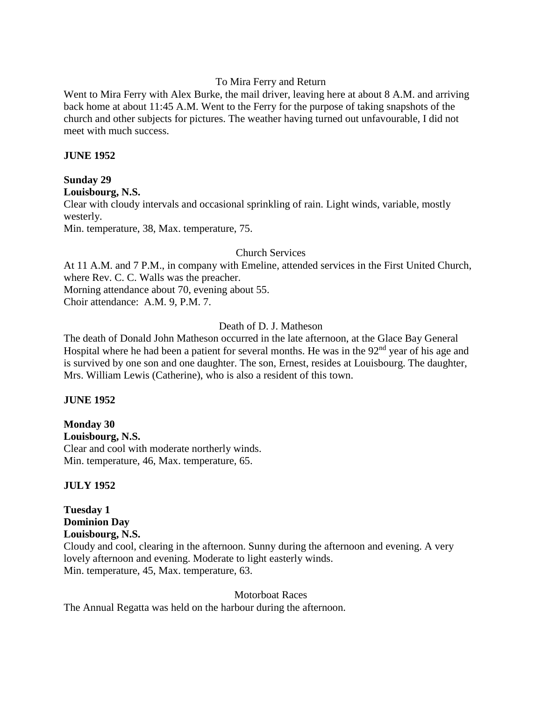### To Mira Ferry and Return

Went to Mira Ferry with Alex Burke, the mail driver, leaving here at about 8 A.M. and arriving back home at about 11:45 A.M. Went to the Ferry for the purpose of taking snapshots of the church and other subjects for pictures. The weather having turned out unfavourable, I did not meet with much success.

#### **JUNE 1952**

### **Sunday 29**

```
Louisbourg, N.S.
```
Clear with cloudy intervals and occasional sprinkling of rain. Light winds, variable, mostly westerly.

Min. temperature, 38, Max. temperature, 75.

### Church Services

At 11 A.M. and 7 P.M., in company with Emeline, attended services in the First United Church, where Rev. C. C. Walls was the preacher. Morning attendance about 70, evening about 55.

Choir attendance: A.M. 9, P.M. 7.

# Death of D. J. Matheson

The death of Donald John Matheson occurred in the late afternoon, at the Glace Bay General Hospital where he had been a patient for several months. He was in the 92<sup>nd</sup> year of his age and is survived by one son and one daughter. The son, Ernest, resides at Louisbourg. The daughter, Mrs. William Lewis (Catherine), who is also a resident of this town.

#### **JUNE 1952**

**Monday 30 Louisbourg, N.S.** Clear and cool with moderate northerly winds. Min. temperature, 46, Max. temperature, 65.

# **JULY 1952**

**Tuesday 1 Dominion Day Louisbourg, N.S.** Cloudy and cool, clearing in the afternoon. Sunny during the afternoon and evening. A very lovely afternoon and evening. Moderate to light easterly winds. Min. temperature, 45, Max. temperature, 63.

Motorboat Races

The Annual Regatta was held on the harbour during the afternoon.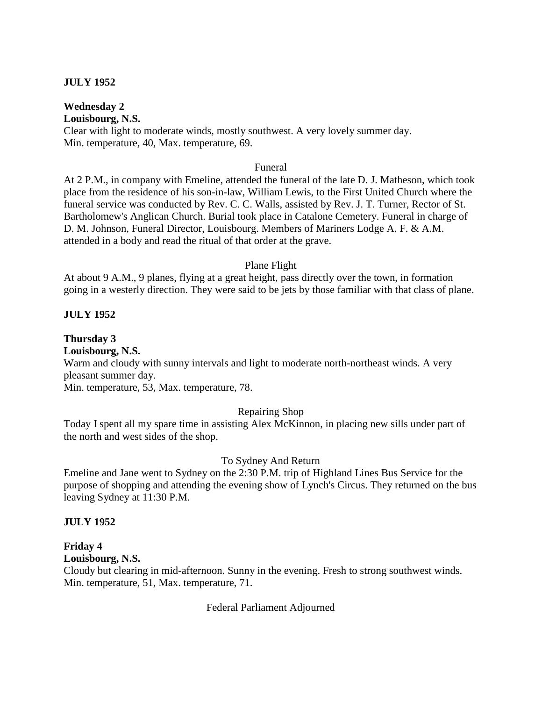### **JULY 1952**

**Wednesday 2**

**Louisbourg, N.S.**

Clear with light to moderate winds, mostly southwest. A very lovely summer day. Min. temperature, 40, Max. temperature, 69.

#### Funeral

At 2 P.M., in company with Emeline, attended the funeral of the late D. J. Matheson, which took place from the residence of his son-in-law, William Lewis, to the First United Church where the funeral service was conducted by Rev. C. C. Walls, assisted by Rev. J. T. Turner, Rector of St. Bartholomew's Anglican Church. Burial took place in Catalone Cemetery. Funeral in charge of D. M. Johnson, Funeral Director, Louisbourg. Members of Mariners Lodge A. F. & A.M. attended in a body and read the ritual of that order at the grave.

#### Plane Flight

At about 9 A.M., 9 planes, flying at a great height, pass directly over the town, in formation going in a westerly direction. They were said to be jets by those familiar with that class of plane.

#### **JULY 1952**

#### **Thursday 3**

**Louisbourg, N.S.**

Warm and cloudy with sunny intervals and light to moderate north-northeast winds. A very pleasant summer day.

Min. temperature, 53, Max. temperature, 78.

#### Repairing Shop

Today I spent all my spare time in assisting Alex McKinnon, in placing new sills under part of the north and west sides of the shop.

#### To Sydney And Return

Emeline and Jane went to Sydney on the 2:30 P.M. trip of Highland Lines Bus Service for the purpose of shopping and attending the evening show of Lynch's Circus. They returned on the bus leaving Sydney at 11:30 P.M.

#### **JULY 1952**

# **Friday 4**

#### **Louisbourg, N.S.**

Cloudy but clearing in mid-afternoon. Sunny in the evening. Fresh to strong southwest winds. Min. temperature, 51, Max. temperature, 71.

Federal Parliament Adjourned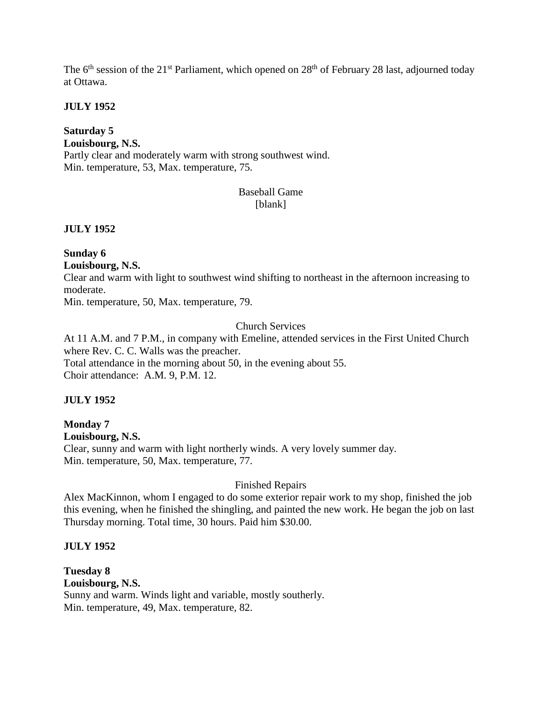The 6<sup>th</sup> session of the 21<sup>st</sup> Parliament, which opened on 28<sup>th</sup> of February 28 last, adjourned today at Ottawa.

### **JULY 1952**

# **Saturday 5**

**Louisbourg, N.S.** Partly clear and moderately warm with strong southwest wind. Min. temperature, 53, Max. temperature, 75.

# Baseball Game [blank]

# **JULY 1952**

#### **Sunday 6 Louisbourg, N.S.**

Clear and warm with light to southwest wind shifting to northeast in the afternoon increasing to moderate.

Min. temperature, 50, Max. temperature, 79.

# Church Services

At 11 A.M. and 7 P.M., in company with Emeline, attended services in the First United Church where Rev. C. C. Walls was the preacher. Total attendance in the morning about 50, in the evening about 55. Choir attendance: A.M. 9, P.M. 12.

# **JULY 1952**

#### **Monday 7 Louisbourg, N.S.** Clear, sunny and warm with light northerly winds. A very lovely summer day. Min. temperature, 50, Max. temperature, 77.

# Finished Repairs

Alex MacKinnon, whom I engaged to do some exterior repair work to my shop, finished the job this evening, when he finished the shingling, and painted the new work. He began the job on last Thursday morning. Total time, 30 hours. Paid him \$30.00.

# **JULY 1952**

**Tuesday 8 Louisbourg, N.S.** Sunny and warm. Winds light and variable, mostly southerly. Min. temperature, 49, Max. temperature, 82.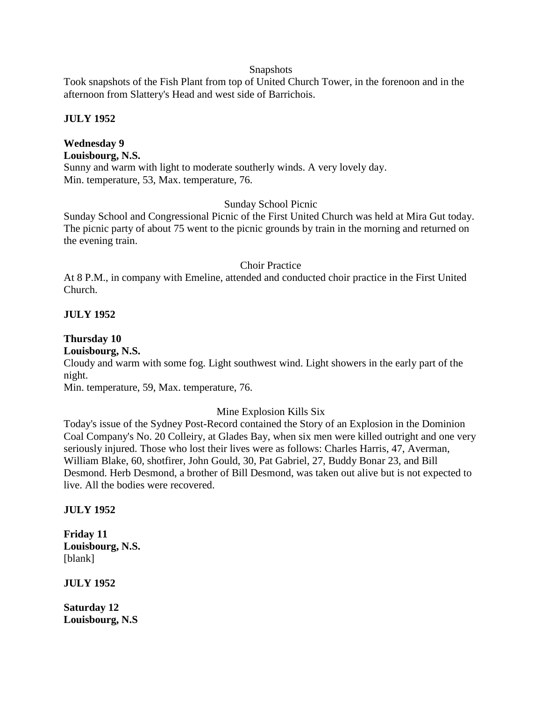#### **Snapshots**

Took snapshots of the Fish Plant from top of United Church Tower, in the forenoon and in the afternoon from Slattery's Head and west side of Barrichois.

# **JULY 1952**

# **Wednesday 9**

# **Louisbourg, N.S.**

Sunny and warm with light to moderate southerly winds. A very lovely day. Min. temperature, 53, Max. temperature, 76.

# Sunday School Picnic

Sunday School and Congressional Picnic of the First United Church was held at Mira Gut today. The picnic party of about 75 went to the picnic grounds by train in the morning and returned on the evening train.

#### Choir Practice

At 8 P.M., in company with Emeline, attended and conducted choir practice in the First United Church.

# **JULY 1952**

#### **Thursday 10**

#### **Louisbourg, N.S.**

Cloudy and warm with some fog. Light southwest wind. Light showers in the early part of the night.

Min. temperature, 59, Max. temperature, 76.

#### Mine Explosion Kills Six

Today's issue of the Sydney Post-Record contained the Story of an Explosion in the Dominion Coal Company's No. 20 Colleiry, at Glades Bay, when six men were killed outright and one very seriously injured. Those who lost their lives were as follows: Charles Harris, 47, Averman, William Blake, 60, shotfirer, John Gould, 30, Pat Gabriel, 27, Buddy Bonar 23, and Bill Desmond. Herb Desmond, a brother of Bill Desmond, was taken out alive but is not expected to live. All the bodies were recovered.

#### **JULY 1952**

**Friday 11 Louisbourg, N.S.** [blank]

**JULY 1952**

**Saturday 12 Louisbourg, N.S**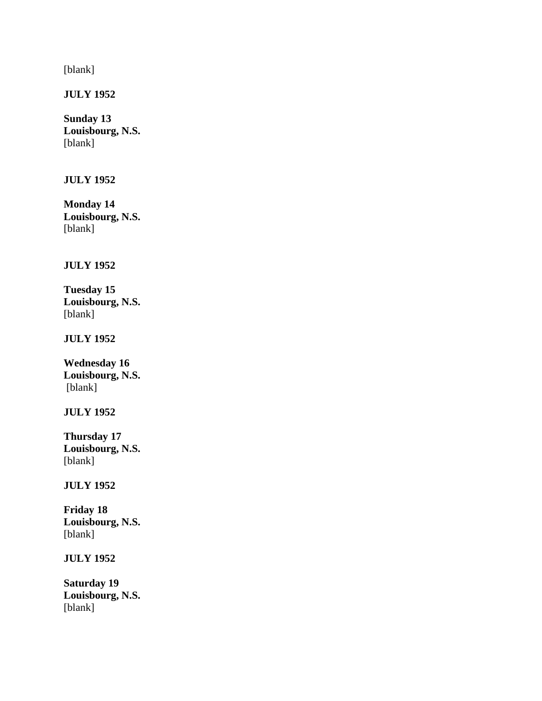[blank]

**JULY 1952**

# **Sunday 13 Louisbourg, N.S.** [blank]

# **JULY 1952**

**Monday 14 Louisbourg, N.S.** [blank]

# **JULY 1952**

**Tuesday 15 Louisbourg, N.S.** [blank]

# **JULY 1952**

**Wednesday 16 Louisbourg, N.S.** [blank]

#### **JULY 1952**

**Thursday 17 Louisbourg, N.S.** [blank]

# **JULY 1952**

**Friday 18 Louisbourg, N.S.** [blank]

**JULY 1952**

**Saturday 19 Louisbourg, N.S.** [blank]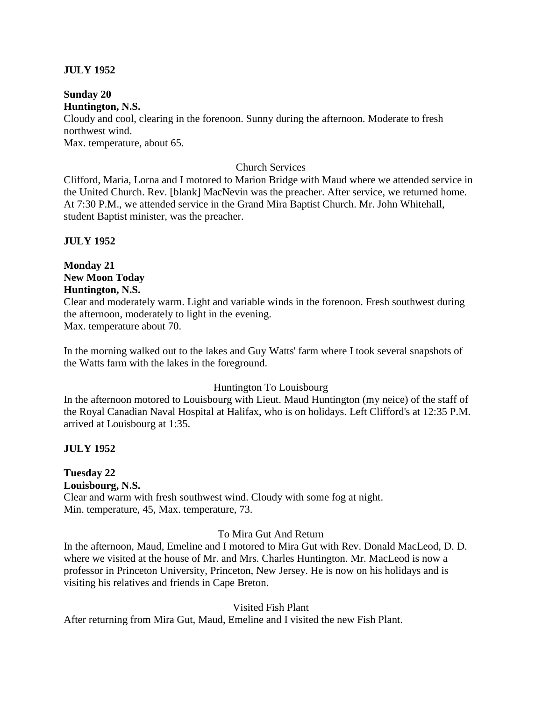# **JULY 1952**

**Sunday 20 Huntington, N.S.** Cloudy and cool, clearing in the forenoon. Sunny during the afternoon. Moderate to fresh northwest wind.

Max. temperature, about 65.

#### Church Services

Clifford, Maria, Lorna and I motored to Marion Bridge with Maud where we attended service in the United Church. Rev. [blank] MacNevin was the preacher. After service, we returned home. At 7:30 P.M., we attended service in the Grand Mira Baptist Church. Mr. John Whitehall, student Baptist minister, was the preacher.

#### **JULY 1952**

# **Monday 21 New Moon Today Huntington, N.S.**

Clear and moderately warm. Light and variable winds in the forenoon. Fresh southwest during the afternoon, moderately to light in the evening. Max. temperature about 70.

In the morning walked out to the lakes and Guy Watts' farm where I took several snapshots of the Watts farm with the lakes in the foreground.

#### Huntington To Louisbourg

In the afternoon motored to Louisbourg with Lieut. Maud Huntington (my neice) of the staff of the Royal Canadian Naval Hospital at Halifax, who is on holidays. Left Clifford's at 12:35 P.M. arrived at Louisbourg at 1:35.

#### **JULY 1952**

# **Tuesday 22**

**Louisbourg, N.S.**

Clear and warm with fresh southwest wind. Cloudy with some fog at night. Min. temperature, 45, Max. temperature, 73.

#### To Mira Gut And Return

In the afternoon, Maud, Emeline and I motored to Mira Gut with Rev. Donald MacLeod, D. D. where we visited at the house of Mr. and Mrs. Charles Huntington. Mr. MacLeod is now a professor in Princeton University, Princeton, New Jersey. He is now on his holidays and is visiting his relatives and friends in Cape Breton.

#### Visited Fish Plant

After returning from Mira Gut, Maud, Emeline and I visited the new Fish Plant.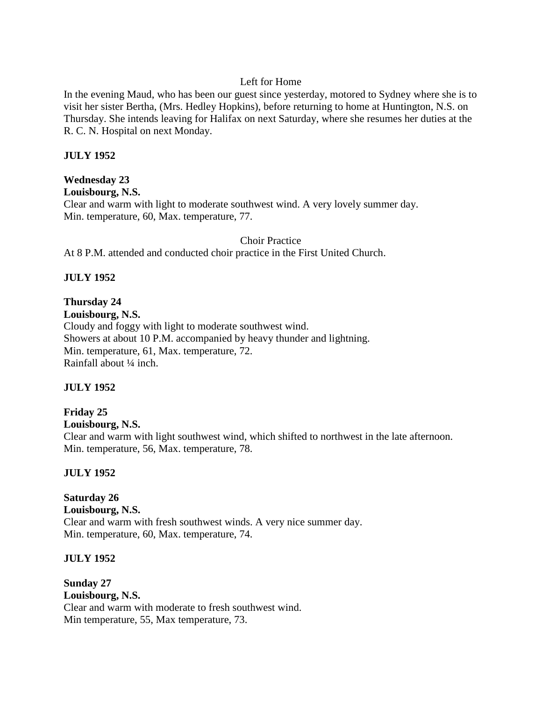# Left for Home

In the evening Maud, who has been our guest since yesterday, motored to Sydney where she is to visit her sister Bertha, (Mrs. Hedley Hopkins), before returning to home at Huntington, N.S. on Thursday. She intends leaving for Halifax on next Saturday, where she resumes her duties at the R. C. N. Hospital on next Monday.

# **JULY 1952**

# **Wednesday 23**

**Louisbourg, N.S.**

Clear and warm with light to moderate southwest wind. A very lovely summer day. Min. temperature, 60, Max. temperature, 77.

Choir Practice

At 8 P.M. attended and conducted choir practice in the First United Church.

# **JULY 1952**

# **Thursday 24**

**Louisbourg, N.S.** Cloudy and foggy with light to moderate southwest wind. Showers at about 10 P.M. accompanied by heavy thunder and lightning. Min. temperature, 61, Max. temperature, 72. Rainfall about ¼ inch.

#### **JULY 1952**

# **Friday 25**

**Louisbourg, N.S.**

Clear and warm with light southwest wind, which shifted to northwest in the late afternoon. Min. temperature, 56, Max. temperature, 78.

# **JULY 1952**

**Saturday 26 Louisbourg, N.S.** Clear and warm with fresh southwest winds. A very nice summer day. Min. temperature, 60, Max. temperature, 74.

#### **JULY 1952**

**Sunday 27 Louisbourg, N.S.** Clear and warm with moderate to fresh southwest wind. Min temperature, 55, Max temperature, 73.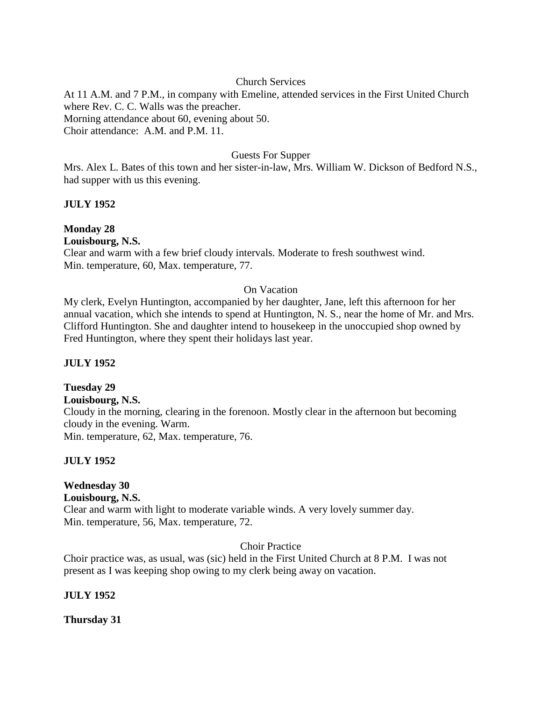# Church Services

At 11 A.M. and 7 P.M., in company with Emeline, attended services in the First United Church where Rev. C. C. Walls was the preacher. Morning attendance about 60, evening about 50. Choir attendance: A.M. and P.M. 11.

# Guests For Supper

Mrs. Alex L. Bates of this town and her sister-in-law, Mrs. William W. Dickson of Bedford N.S., had supper with us this evening.

# **JULY 1952**

# **Monday 28**

**Louisbourg, N.S.**

Clear and warm with a few brief cloudy intervals. Moderate to fresh southwest wind. Min. temperature, 60, Max. temperature, 77.

# On Vacation

My clerk, Evelyn Huntington, accompanied by her daughter, Jane, left this afternoon for her annual vacation, which she intends to spend at Huntington, N. S., near the home of Mr. and Mrs. Clifford Huntington. She and daughter intend to housekeep in the unoccupied shop owned by Fred Huntington, where they spent their holidays last year.

# **JULY 1952**

# **Tuesday 29**

#### **Louisbourg, N.S.**

Cloudy in the morning, clearing in the forenoon. Mostly clear in the afternoon but becoming cloudy in the evening. Warm. Min. temperature, 62, Max. temperature, 76.

#### **JULY 1952**

# **Wednesday 30**

#### **Louisbourg, N.S.**

Clear and warm with light to moderate variable winds. A very lovely summer day. Min. temperature, 56, Max. temperature, 72.

Choir Practice

Choir practice was, as usual, was (sic) held in the First United Church at 8 P.M. I was not present as I was keeping shop owing to my clerk being away on vacation.

#### **JULY 1952**

**Thursday 31**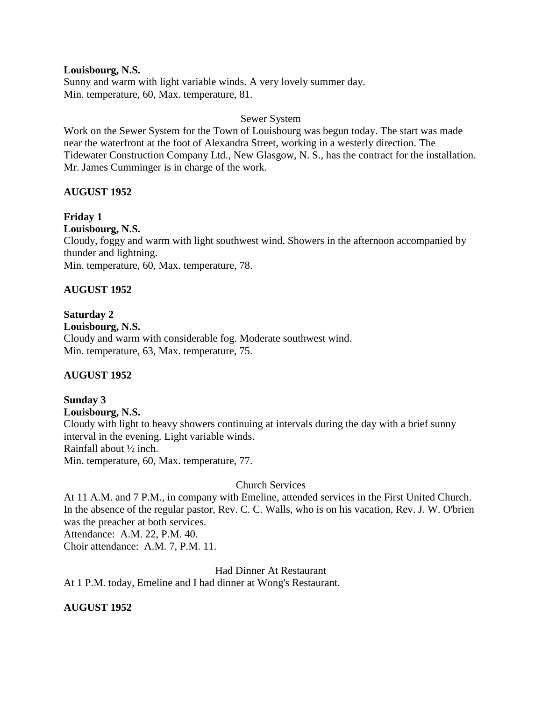**Louisbourg, N.S.** Sunny and warm with light variable winds. A very lovely summer day. Min. temperature, 60, Max. temperature, 81.

#### Sewer System

Work on the Sewer System for the Town of Louisbourg was begun today. The start was made near the waterfront at the foot of Alexandra Street, working in a westerly direction. The Tidewater Construction Company Ltd., New Glasgow, N. S., has the contract for the installation. Mr. James Cumminger is in charge of the work.

#### **AUGUST 1952**

#### **Friday 1**

#### **Louisbourg, N.S.**

Cloudy, foggy and warm with light southwest wind. Showers in the afternoon accompanied by thunder and lightning.

Min. temperature, 60, Max. temperature, 78.

#### **AUGUST 1952**

#### **Saturday 2**

# **Louisbourg, N.S.**

Cloudy and warm with considerable fog. Moderate southwest wind. Min. temperature, 63, Max. temperature, 75.

#### **AUGUST 1952**

# **Sunday 3**

**Louisbourg, N.S.**

Cloudy with light to heavy showers continuing at intervals during the day with a brief sunny interval in the evening. Light variable winds. Rainfall about ½ inch. Min. temperature, 60, Max. temperature, 77.

Church Services

At 11 A.M. and 7 P.M., in company with Emeline, attended services in the First United Church. In the absence of the regular pastor, Rev. C. C. Walls, who is on his vacation, Rev. J. W. O'brien was the preacher at both services.

Attendance: A.M. 22, P.M. 40.

Choir attendance: A.M. 7, P.M. 11.

Had Dinner At Restaurant

At 1 P.M. today, Emeline and I had dinner at Wong's Restaurant.

#### **AUGUST 1952**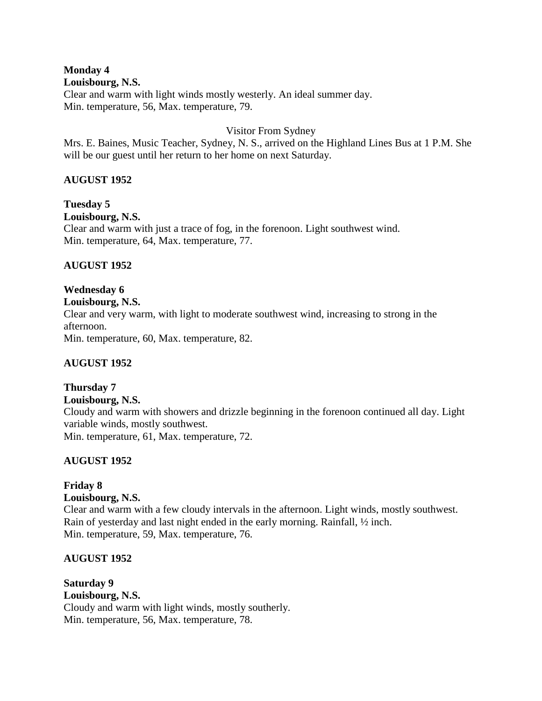# **Monday 4**

#### **Louisbourg, N.S.**

Clear and warm with light winds mostly westerly. An ideal summer day. Min. temperature, 56, Max. temperature, 79.

### Visitor From Sydney

Mrs. E. Baines, Music Teacher, Sydney, N. S., arrived on the Highland Lines Bus at 1 P.M. She will be our guest until her return to her home on next Saturday.

# **AUGUST 1952**

**Tuesday 5 Louisbourg, N.S.** Clear and warm with just a trace of fog, in the forenoon. Light southwest wind. Min. temperature, 64, Max. temperature, 77.

# **AUGUST 1952**

#### **Wednesday 6 Louisbourg, N.S.**

Clear and very warm, with light to moderate southwest wind, increasing to strong in the afternoon.

Min. temperature, 60, Max. temperature, 82.

# **AUGUST 1952**

# **Thursday 7**

#### **Louisbourg, N.S.**

Cloudy and warm with showers and drizzle beginning in the forenoon continued all day. Light variable winds, mostly southwest.

Min. temperature, 61, Max. temperature, 72.

# **AUGUST 1952**

# **Friday 8**

#### **Louisbourg, N.S.**

Clear and warm with a few cloudy intervals in the afternoon. Light winds, mostly southwest. Rain of yesterday and last night ended in the early morning. Rainfall, ½ inch. Min. temperature, 59, Max. temperature, 76.

# **AUGUST 1952**

**Saturday 9 Louisbourg, N.S.** Cloudy and warm with light winds, mostly southerly. Min. temperature, 56, Max. temperature, 78.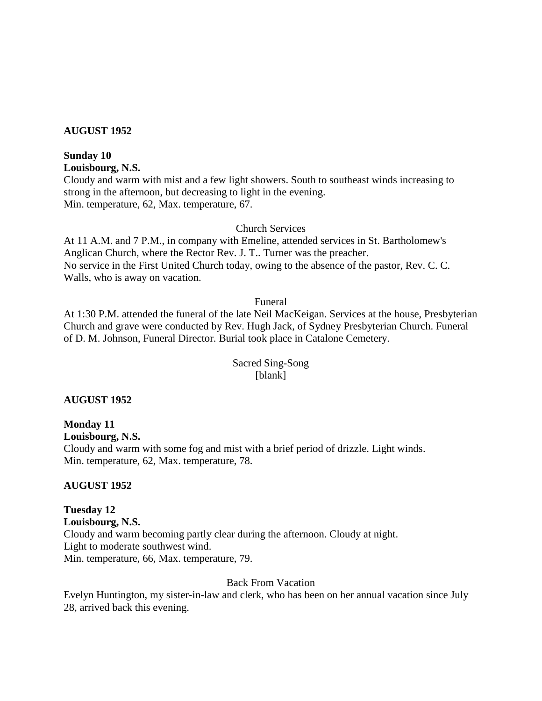#### **AUGUST 1952**

# **Sunday 10**

**Louisbourg, N.S.**

Cloudy and warm with mist and a few light showers. South to southeast winds increasing to strong in the afternoon, but decreasing to light in the evening. Min. temperature, 62, Max. temperature, 67.

Church Services

At 11 A.M. and 7 P.M., in company with Emeline, attended services in St. Bartholomew's Anglican Church, where the Rector Rev. J. T.. Turner was the preacher. No service in the First United Church today, owing to the absence of the pastor, Rev. C. C. Walls, who is away on vacation.

Funeral

At 1:30 P.M. attended the funeral of the late Neil MacKeigan. Services at the house, Presbyterian Church and grave were conducted by Rev. Hugh Jack, of Sydney Presbyterian Church. Funeral of D. M. Johnson, Funeral Director. Burial took place in Catalone Cemetery.

# Sacred Sing-Song [blank]

#### **AUGUST 1952**

# **Monday 11**

**Louisbourg, N.S.**

Cloudy and warm with some fog and mist with a brief period of drizzle. Light winds. Min. temperature, 62, Max. temperature, 78.

#### **AUGUST 1952**

**Tuesday 12 Louisbourg, N.S.** Cloudy and warm becoming partly clear during the afternoon. Cloudy at night. Light to moderate southwest wind. Min. temperature, 66, Max. temperature, 79.

#### Back From Vacation

Evelyn Huntington, my sister-in-law and clerk, who has been on her annual vacation since July 28, arrived back this evening.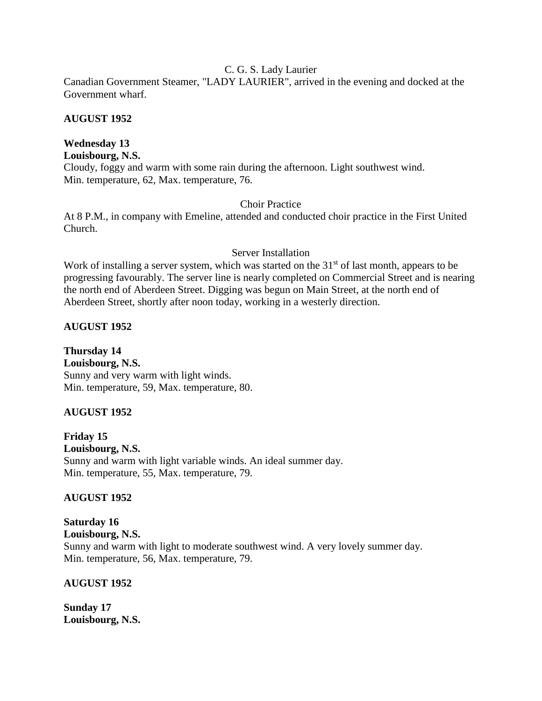#### C. G. S. Lady Laurier

Canadian Government Steamer, "LADY LAURIER", arrived in the evening and docked at the Government wharf.

### **AUGUST 1952**

# **Wednesday 13**

**Louisbourg, N.S.**

Cloudy, foggy and warm with some rain during the afternoon. Light southwest wind. Min. temperature, 62, Max. temperature, 76.

# Choir Practice

At 8 P.M., in company with Emeline, attended and conducted choir practice in the First United Church.

# Server Installation

Work of installing a server system, which was started on the 31<sup>st</sup> of last month, appears to be progressing favourably. The server line is nearly completed on Commercial Street and is nearing the north end of Aberdeen Street. Digging was begun on Main Street, at the north end of Aberdeen Street, shortly after noon today, working in a westerly direction.

# **AUGUST 1952**

**Thursday 14 Louisbourg, N.S.** Sunny and very warm with light winds. Min. temperature, 59, Max. temperature, 80.

# **AUGUST 1952**

**Friday 15 Louisbourg, N.S.** Sunny and warm with light variable winds. An ideal summer day. Min. temperature, 55, Max. temperature, 79.

# **AUGUST 1952**

**Saturday 16 Louisbourg, N.S.** Sunny and warm with light to moderate southwest wind. A very lovely summer day. Min. temperature, 56, Max. temperature, 79.

# **AUGUST 1952**

**Sunday 17 Louisbourg, N.S.**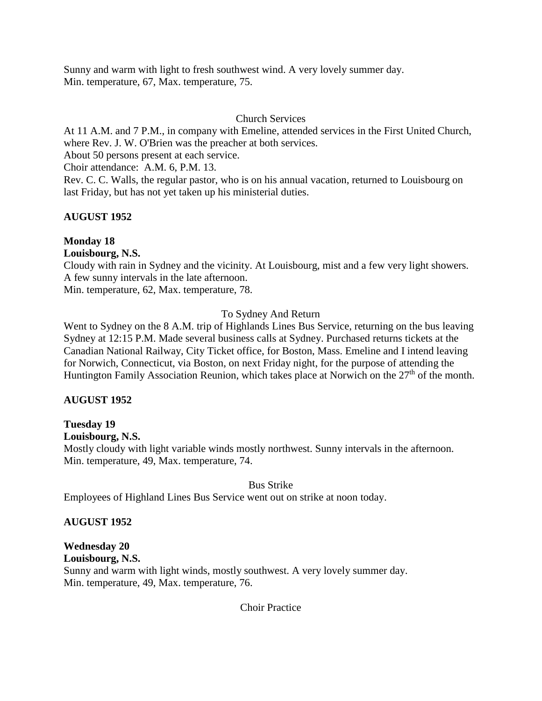Sunny and warm with light to fresh southwest wind. A very lovely summer day. Min. temperature, 67, Max. temperature, 75.

# Church Services

At 11 A.M. and 7 P.M., in company with Emeline, attended services in the First United Church, where Rev. J. W. O'Brien was the preacher at both services.

About 50 persons present at each service.

Choir attendance: A.M. 6, P.M. 13.

Rev. C. C. Walls, the regular pastor, who is on his annual vacation, returned to Louisbourg on last Friday, but has not yet taken up his ministerial duties.

# **AUGUST 1952**

# **Monday 18**

**Louisbourg, N.S.**

Cloudy with rain in Sydney and the vicinity. At Louisbourg, mist and a few very light showers. A few sunny intervals in the late afternoon.

Min. temperature, 62, Max. temperature, 78.

# To Sydney And Return

Went to Sydney on the 8 A.M. trip of Highlands Lines Bus Service, returning on the bus leaving Sydney at 12:15 P.M. Made several business calls at Sydney. Purchased returns tickets at the Canadian National Railway, City Ticket office, for Boston, Mass. Emeline and I intend leaving for Norwich, Connecticut, via Boston, on next Friday night, for the purpose of attending the Huntington Family Association Reunion, which takes place at Norwich on the 27<sup>th</sup> of the month.

# **AUGUST 1952**

# **Tuesday 19**

#### **Louisbourg, N.S.**

Mostly cloudy with light variable winds mostly northwest. Sunny intervals in the afternoon. Min. temperature, 49, Max. temperature, 74.

#### Bus Strike

Employees of Highland Lines Bus Service went out on strike at noon today.

# **AUGUST 1952**

# **Wednesday 20**

**Louisbourg, N.S.** Sunny and warm with light winds, mostly southwest. A very lovely summer day. Min. temperature, 49, Max. temperature, 76.

Choir Practice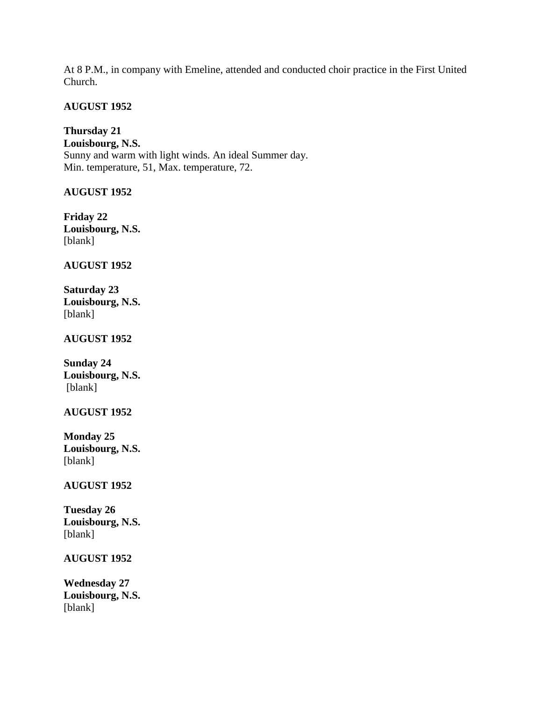At 8 P.M., in company with Emeline, attended and conducted choir practice in the First United Church.

# **AUGUST 1952**

**Thursday 21 Louisbourg, N.S.** Sunny and warm with light winds. An ideal Summer day. Min. temperature, 51, Max. temperature, 72.

# **AUGUST 1952**

**Friday 22 Louisbourg, N.S.** [blank]

# **AUGUST 1952**

**Saturday 23 Louisbourg, N.S.** [blank]

# **AUGUST 1952**

**Sunday 24 Louisbourg, N.S.** [blank]

#### **AUGUST 1952**

**Monday 25 Louisbourg, N.S.** [blank]

#### **AUGUST 1952**

**Tuesday 26 Louisbourg, N.S.** [blank]

#### **AUGUST 1952**

**Wednesday 27 Louisbourg, N.S.** [blank]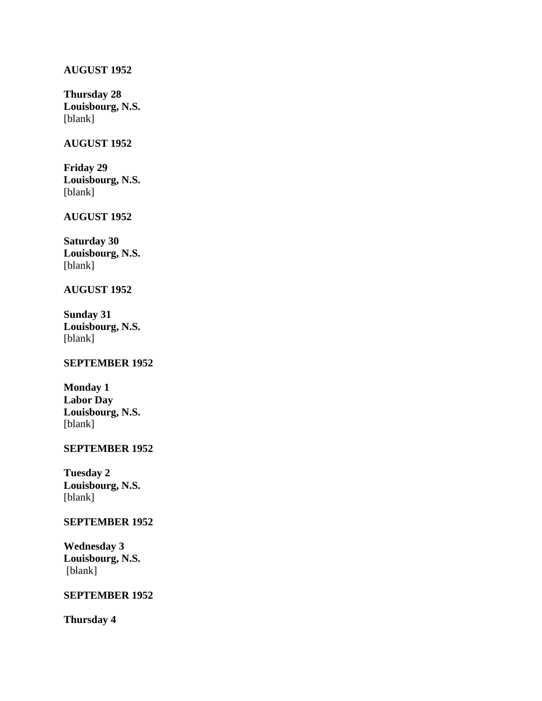# **AUGUST 1952**

**Thursday 28 Louisbourg, N.S.** [blank]

#### **AUGUST 1952**

**Friday 29 Louisbourg, N.S.** [blank]

# **AUGUST 1952**

**Saturday 30 Louisbourg, N.S.** [blank]

#### **AUGUST 1952**

**Sunday 31 Louisbourg, N.S.** [blank]

#### **SEPTEMBER 1952**

| <b>Monday 1</b>  |
|------------------|
| <b>Labor Day</b> |
| Louisbourg, N.S. |
| [blank]          |

# **SEPTEMBER 1952**

**Tuesday 2 Louisbourg, N.S.** [blank]

#### **SEPTEMBER 1952**

**Wednesday 3 Louisbourg, N.S.** [blank]

# **SEPTEMBER 1952**

**Thursday 4**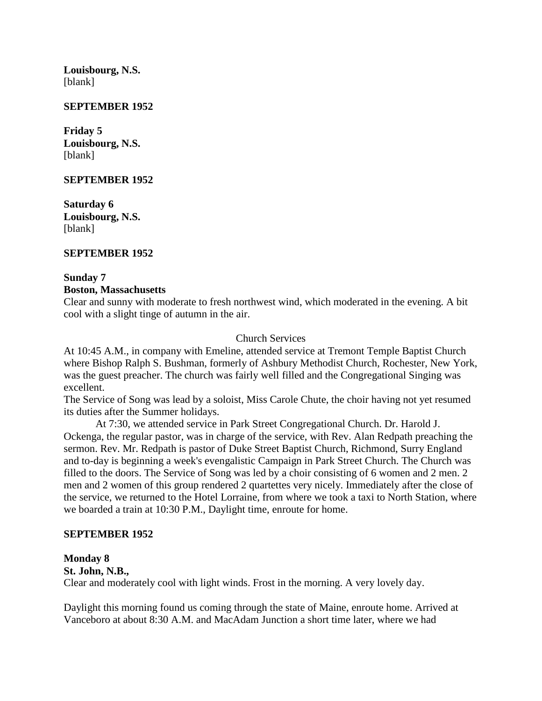**Louisbourg, N.S.** [blank]

#### **SEPTEMBER 1952**

**Friday 5 Louisbourg, N.S.** [blank]

#### **SEPTEMBER 1952**

**Saturday 6 Louisbourg, N.S.** [blank]

### **SEPTEMBER 1952**

#### **Sunday 7**

#### **Boston, Massachusetts**

Clear and sunny with moderate to fresh northwest wind, which moderated in the evening. A bit cool with a slight tinge of autumn in the air.

#### Church Services

At 10:45 A.M., in company with Emeline, attended service at Tremont Temple Baptist Church where Bishop Ralph S. Bushman, formerly of Ashbury Methodist Church, Rochester, New York, was the guest preacher. The church was fairly well filled and the Congregational Singing was excellent.

The Service of Song was lead by a soloist, Miss Carole Chute, the choir having not yet resumed its duties after the Summer holidays.

At 7:30, we attended service in Park Street Congregational Church. Dr. Harold J. Ockenga, the regular pastor, was in charge of the service, with Rev. Alan Redpath preaching the sermon. Rev. Mr. Redpath is pastor of Duke Street Baptist Church, Richmond, Surry England and to-day is beginning a week's evengalistic Campaign in Park Street Church. The Church was filled to the doors. The Service of Song was led by a choir consisting of 6 women and 2 men. 2 men and 2 women of this group rendered 2 quartettes very nicely. Immediately after the close of the service, we returned to the Hotel Lorraine, from where we took a taxi to North Station, where we boarded a train at 10:30 P.M., Daylight time, enroute for home.

#### **SEPTEMBER 1952**

#### **Monday 8**

**St. John, N.B.,**

Clear and moderately cool with light winds. Frost in the morning. A very lovely day.

Daylight this morning found us coming through the state of Maine, enroute home. Arrived at Vanceboro at about 8:30 A.M. and MacAdam Junction a short time later, where we had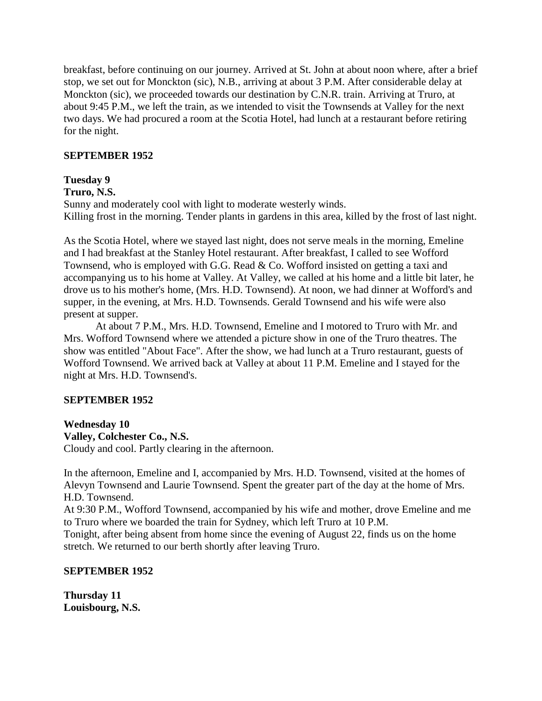breakfast, before continuing on our journey. Arrived at St. John at about noon where, after a brief stop, we set out for Monckton (sic), N.B., arriving at about 3 P.M. After considerable delay at Monckton (sic), we proceeded towards our destination by C.N.R. train. Arriving at Truro, at about 9:45 P.M., we left the train, as we intended to visit the Townsends at Valley for the next two days. We had procured a room at the Scotia Hotel, had lunch at a restaurant before retiring for the night.

# **SEPTEMBER 1952**

# **Tuesday 9**

#### **Truro, N.S.**

Sunny and moderately cool with light to moderate westerly winds. Killing frost in the morning. Tender plants in gardens in this area, killed by the frost of last night.

As the Scotia Hotel, where we stayed last night, does not serve meals in the morning, Emeline and I had breakfast at the Stanley Hotel restaurant. After breakfast, I called to see Wofford Townsend, who is employed with G.G. Read & Co. Wofford insisted on getting a taxi and accompanying us to his home at Valley. At Valley, we called at his home and a little bit later, he drove us to his mother's home, (Mrs. H.D. Townsend). At noon, we had dinner at Wofford's and supper, in the evening, at Mrs. H.D. Townsends. Gerald Townsend and his wife were also present at supper.

At about 7 P.M., Mrs. H.D. Townsend, Emeline and I motored to Truro with Mr. and Mrs. Wofford Townsend where we attended a picture show in one of the Truro theatres. The show was entitled "About Face". After the show, we had lunch at a Truro restaurant, guests of Wofford Townsend. We arrived back at Valley at about 11 P.M. Emeline and I stayed for the night at Mrs. H.D. Townsend's.

# **SEPTEMBER 1952**

**Wednesday 10 Valley, Colchester Co., N.S.** Cloudy and cool. Partly clearing in the afternoon.

In the afternoon, Emeline and I, accompanied by Mrs. H.D. Townsend, visited at the homes of Alevyn Townsend and Laurie Townsend. Spent the greater part of the day at the home of Mrs. H.D. Townsend.

At 9:30 P.M., Wofford Townsend, accompanied by his wife and mother, drove Emeline and me to Truro where we boarded the train for Sydney, which left Truro at 10 P.M.

Tonight, after being absent from home since the evening of August 22, finds us on the home stretch. We returned to our berth shortly after leaving Truro.

#### **SEPTEMBER 1952**

**Thursday 11 Louisbourg, N.S.**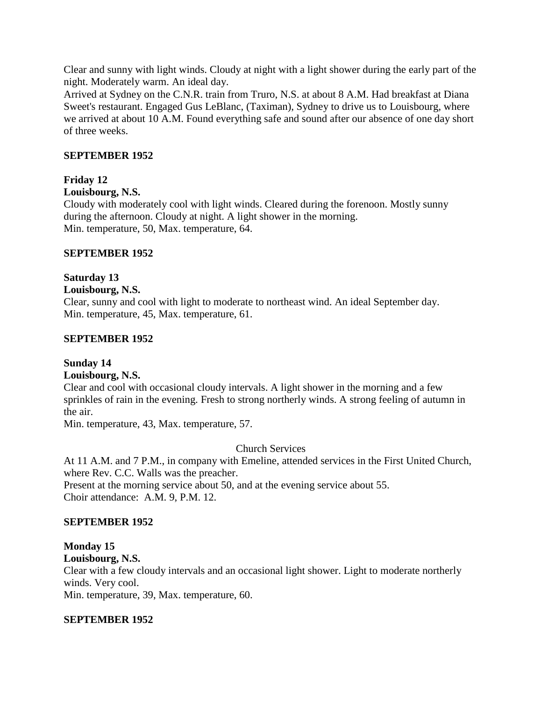Clear and sunny with light winds. Cloudy at night with a light shower during the early part of the night. Moderately warm. An ideal day.

Arrived at Sydney on the C.N.R. train from Truro, N.S. at about 8 A.M. Had breakfast at Diana Sweet's restaurant. Engaged Gus LeBlanc, (Taximan), Sydney to drive us to Louisbourg, where we arrived at about 10 A.M. Found everything safe and sound after our absence of one day short of three weeks.

# **SEPTEMBER 1952**

# **Friday 12**

# **Louisbourg, N.S.**

Cloudy with moderately cool with light winds. Cleared during the forenoon. Mostly sunny during the afternoon. Cloudy at night. A light shower in the morning. Min. temperature, 50, Max. temperature, 64.

# **SEPTEMBER 1952**

# **Saturday 13**

#### **Louisbourg, N.S.**

Clear, sunny and cool with light to moderate to northeast wind. An ideal September day. Min. temperature, 45, Max. temperature, 61.

#### **SEPTEMBER 1952**

# **Sunday 14**

#### **Louisbourg, N.S.**

Clear and cool with occasional cloudy intervals. A light shower in the morning and a few sprinkles of rain in the evening. Fresh to strong northerly winds. A strong feeling of autumn in the air.

Min. temperature, 43, Max. temperature, 57.

#### Church Services

At 11 A.M. and 7 P.M., in company with Emeline, attended services in the First United Church, where Rev. C.C. Walls was the preacher.

Present at the morning service about 50, and at the evening service about 55. Choir attendance: A.M. 9, P.M. 12.

#### **SEPTEMBER 1952**

# **Monday 15**

### **Louisbourg, N.S.**

Clear with a few cloudy intervals and an occasional light shower. Light to moderate northerly winds. Very cool.

Min. temperature, 39, Max. temperature, 60.

#### **SEPTEMBER 1952**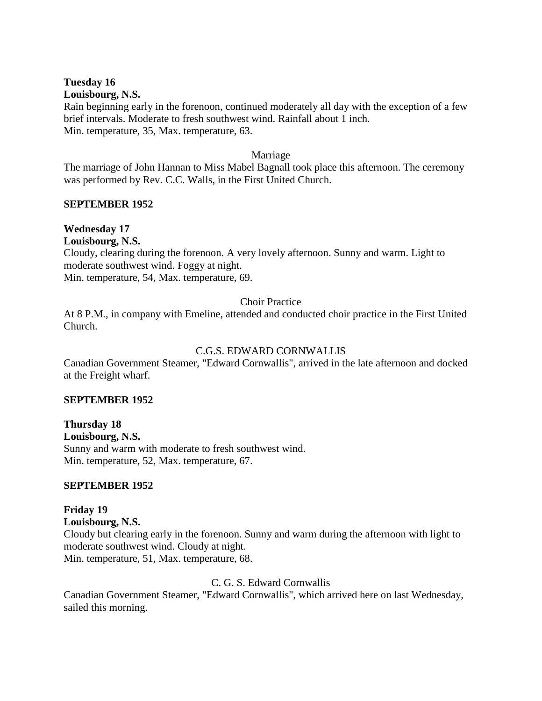#### **Tuesday 16 Louisbourg, N.S.**

Rain beginning early in the forenoon, continued moderately all day with the exception of a few brief intervals. Moderate to fresh southwest wind. Rainfall about 1 inch. Min. temperature, 35, Max. temperature, 63.

### Marriage

The marriage of John Hannan to Miss Mabel Bagnall took place this afternoon. The ceremony was performed by Rev. C.C. Walls, in the First United Church.

# **SEPTEMBER 1952**

# **Wednesday 17**

**Louisbourg, N.S.**

Cloudy, clearing during the forenoon. A very lovely afternoon. Sunny and warm. Light to moderate southwest wind. Foggy at night.

Min. temperature, 54, Max. temperature, 69.

# Choir Practice

At 8 P.M., in company with Emeline, attended and conducted choir practice in the First United Church.

# C.G.S. EDWARD CORNWALLIS

Canadian Government Steamer, "Edward Cornwallis", arrived in the late afternoon and docked at the Freight wharf.

#### **SEPTEMBER 1952**

**Thursday 18 Louisbourg, N.S.** Sunny and warm with moderate to fresh southwest wind. Min. temperature, 52, Max. temperature, 67.

# **SEPTEMBER 1952**

**Friday 19 Louisbourg, N.S.** Cloudy but clearing early in the forenoon. Sunny and warm during the afternoon with light to moderate southwest wind. Cloudy at night. Min. temperature, 51, Max. temperature, 68.

#### C. G. S. Edward Cornwallis

Canadian Government Steamer, "Edward Cornwallis", which arrived here on last Wednesday, sailed this morning.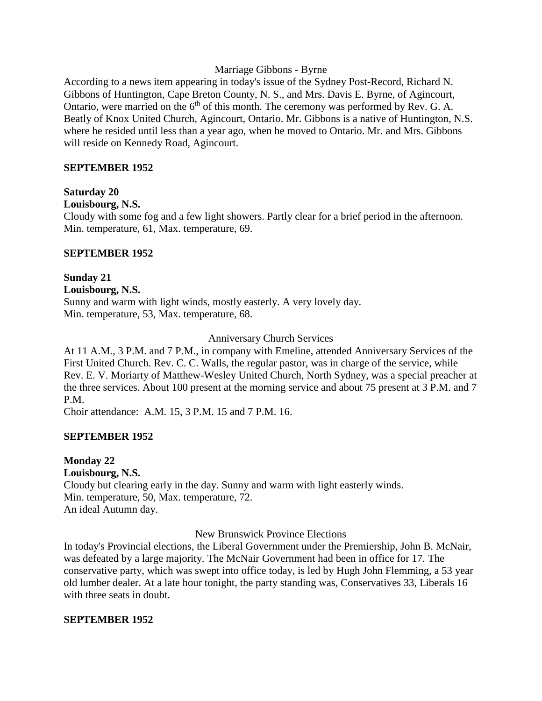#### Marriage Gibbons - Byrne

According to a news item appearing in today's issue of the Sydney Post-Record, Richard N. Gibbons of Huntington, Cape Breton County, N. S., and Mrs. Davis E. Byrne, of Agincourt, Ontario, were married on the 6<sup>th</sup> of this month. The ceremony was performed by Rev. G. A. Beatly of Knox United Church, Agincourt, Ontario. Mr. Gibbons is a native of Huntington, N.S. where he resided until less than a year ago, when he moved to Ontario. Mr. and Mrs. Gibbons will reside on Kennedy Road, Agincourt.

# **SEPTEMBER 1952**

#### **Saturday 20**

#### **Louisbourg, N.S.**

Cloudy with some fog and a few light showers. Partly clear for a brief period in the afternoon. Min. temperature, 61, Max. temperature, 69.

#### **SEPTEMBER 1952**

#### **Sunday 21 Louisbourg, N.S.** Sunny and warm with light winds, mostly easterly. A very lovely day. Min. temperature, 53, Max. temperature, 68.

#### Anniversary Church Services

At 11 A.M., 3 P.M. and 7 P.M., in company with Emeline, attended Anniversary Services of the First United Church. Rev. C. C. Walls, the regular pastor, was in charge of the service, while Rev. E. V. Moriarty of Matthew-Wesley United Church, North Sydney, was a special preacher at the three services. About 100 present at the morning service and about 75 present at 3 P.M. and 7 P.M.

Choir attendance: A.M. 15, 3 P.M. 15 and 7 P.M. 16.

#### **SEPTEMBER 1952**

# **Monday 22 Louisbourg, N.S.** Cloudy but clearing early in the day. Sunny and warm with light easterly winds. Min. temperature, 50, Max. temperature, 72. An ideal Autumn day.

New Brunswick Province Elections

In today's Provincial elections, the Liberal Government under the Premiership, John B. McNair, was defeated by a large majority. The McNair Government had been in office for 17. The conservative party, which was swept into office today, is led by Hugh John Flemming, a 53 year old lumber dealer. At a late hour tonight, the party standing was, Conservatives 33, Liberals 16 with three seats in doubt.

#### **SEPTEMBER 1952**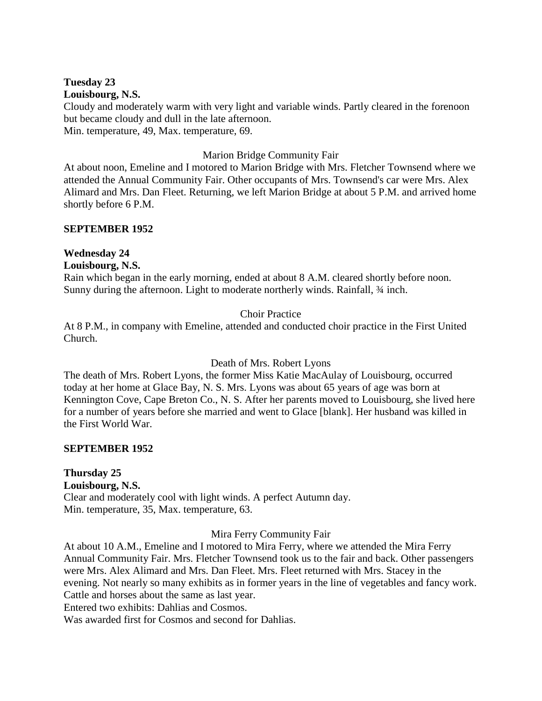#### **Tuesday 23 Louisbourg, N.S.**

Cloudy and moderately warm with very light and variable winds. Partly cleared in the forenoon but became cloudy and dull in the late afternoon. Min. temperature, 49, Max. temperature, 69.

### Marion Bridge Community Fair

At about noon, Emeline and I motored to Marion Bridge with Mrs. Fletcher Townsend where we attended the Annual Community Fair. Other occupants of Mrs. Townsend's car were Mrs. Alex Alimard and Mrs. Dan Fleet. Returning, we left Marion Bridge at about 5 P.M. and arrived home shortly before 6 P.M.

# **SEPTEMBER 1952**

#### **Wednesday 24 Louisbourg, N.S.**

Rain which began in the early morning, ended at about 8 A.M. cleared shortly before noon. Sunny during the afternoon. Light to moderate northerly winds. Rainfall,  $\frac{3}{4}$  inch.

# Choir Practice

At 8 P.M., in company with Emeline, attended and conducted choir practice in the First United Church.

Death of Mrs. Robert Lyons

The death of Mrs. Robert Lyons, the former Miss Katie MacAulay of Louisbourg, occurred today at her home at Glace Bay, N. S. Mrs. Lyons was about 65 years of age was born at Kennington Cove, Cape Breton Co., N. S. After her parents moved to Louisbourg, she lived here for a number of years before she married and went to Glace [blank]. Her husband was killed in the First World War.

#### **SEPTEMBER 1952**

# **Thursday 25**

**Louisbourg, N.S.**

Clear and moderately cool with light winds. A perfect Autumn day. Min. temperature, 35, Max. temperature, 63.

Mira Ferry Community Fair

At about 10 A.M., Emeline and I motored to Mira Ferry, where we attended the Mira Ferry Annual Community Fair. Mrs. Fletcher Townsend took us to the fair and back. Other passengers were Mrs. Alex Alimard and Mrs. Dan Fleet. Mrs. Fleet returned with Mrs. Stacey in the evening. Not nearly so many exhibits as in former years in the line of vegetables and fancy work. Cattle and horses about the same as last year.

Entered two exhibits: Dahlias and Cosmos.

Was awarded first for Cosmos and second for Dahlias.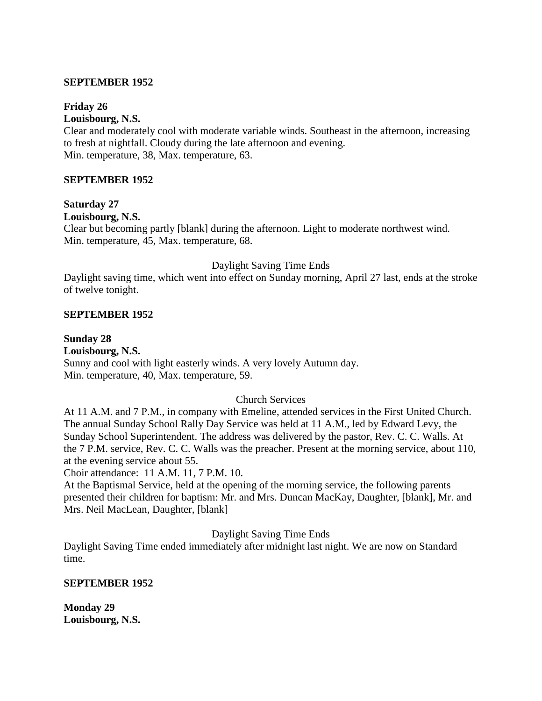#### **SEPTEMBER 1952**

#### **Friday 26**

**Louisbourg, N.S.**

Clear and moderately cool with moderate variable winds. Southeast in the afternoon, increasing to fresh at nightfall. Cloudy during the late afternoon and evening. Min. temperature, 38, Max. temperature, 63.

#### **SEPTEMBER 1952**

# **Saturday 27**

**Louisbourg, N.S.**

Clear but becoming partly [blank] during the afternoon. Light to moderate northwest wind. Min. temperature, 45, Max. temperature, 68.

#### Daylight Saving Time Ends

Daylight saving time, which went into effect on Sunday morning, April 27 last, ends at the stroke of twelve tonight.

#### **SEPTEMBER 1952**

#### **Sunday 28**

**Louisbourg, N.S.** Sunny and cool with light easterly winds. A very lovely Autumn day. Min. temperature, 40, Max. temperature, 59.

#### Church Services

At 11 A.M. and 7 P.M., in company with Emeline, attended services in the First United Church. The annual Sunday School Rally Day Service was held at 11 A.M., led by Edward Levy, the Sunday School Superintendent. The address was delivered by the pastor, Rev. C. C. Walls. At the 7 P.M. service, Rev. C. C. Walls was the preacher. Present at the morning service, about 110, at the evening service about 55.

Choir attendance: 11 A.M. 11, 7 P.M. 10.

At the Baptismal Service, held at the opening of the morning service, the following parents presented their children for baptism: Mr. and Mrs. Duncan MacKay, Daughter, [blank], Mr. and Mrs. Neil MacLean, Daughter, [blank]

#### Daylight Saving Time Ends

Daylight Saving Time ended immediately after midnight last night. We are now on Standard time.

#### **SEPTEMBER 1952**

**Monday 29 Louisbourg, N.S.**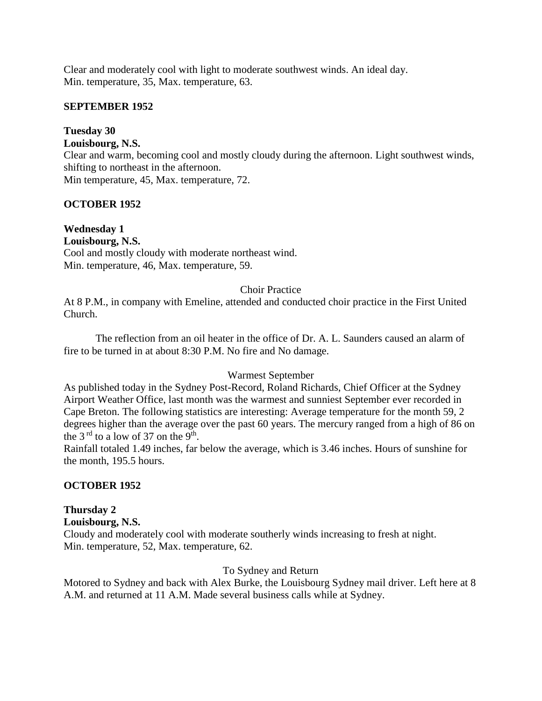Clear and moderately cool with light to moderate southwest winds. An ideal day. Min. temperature, 35, Max. temperature, 63.

# **SEPTEMBER 1952**

# **Tuesday 30**

# **Louisbourg, N.S.**

Clear and warm, becoming cool and mostly cloudy during the afternoon. Light southwest winds, shifting to northeast in the afternoon.

Min temperature, 45, Max. temperature, 72.

# **OCTOBER 1952**

# **Wednesday 1 Louisbourg, N.S.** Cool and mostly cloudy with moderate northeast wind. Min. temperature, 46, Max. temperature, 59.

# Choir Practice

At 8 P.M., in company with Emeline, attended and conducted choir practice in the First United Church.

The reflection from an oil heater in the office of Dr. A. L. Saunders caused an alarm of fire to be turned in at about 8:30 P.M. No fire and No damage.

# Warmest September

As published today in the Sydney Post-Record, Roland Richards, Chief Officer at the Sydney Airport Weather Office, last month was the warmest and sunniest September ever recorded in Cape Breton. The following statistics are interesting: Average temperature for the month 59, 2 degrees higher than the average over the past 60 years. The mercury ranged from a high of 86 on the 3<sup>rd</sup> to a low of 37 on the 9<sup>th</sup>.

Rainfall totaled 1.49 inches, far below the average, which is 3.46 inches. Hours of sunshine for the month, 195.5 hours.

# **OCTOBER 1952**

# **Thursday 2**

**Louisbourg, N.S.** Cloudy and moderately cool with moderate southerly winds increasing to fresh at night. Min. temperature, 52, Max. temperature, 62.

# To Sydney and Return

Motored to Sydney and back with Alex Burke, the Louisbourg Sydney mail driver. Left here at 8 A.M. and returned at 11 A.M. Made several business calls while at Sydney.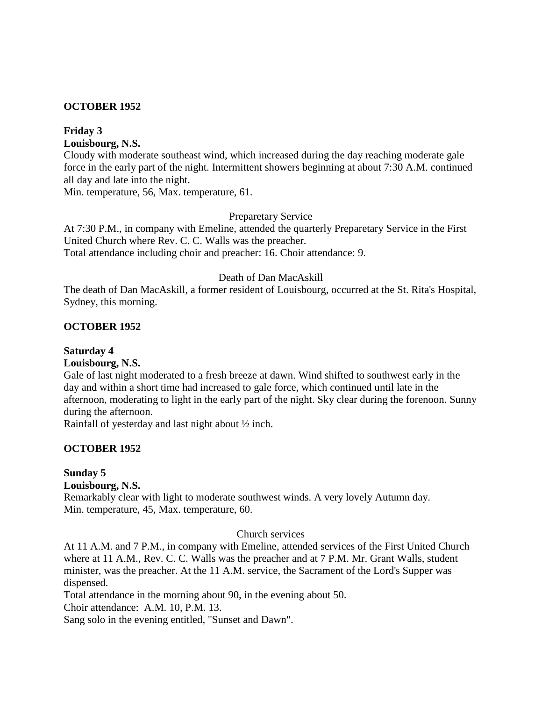### **OCTOBER 1952**

# **Friday 3**

**Louisbourg, N.S.**

Cloudy with moderate southeast wind, which increased during the day reaching moderate gale force in the early part of the night. Intermittent showers beginning at about 7:30 A.M. continued all day and late into the night.

Min. temperature, 56, Max. temperature, 61.

#### Preparetary Service

At 7:30 P.M., in company with Emeline, attended the quarterly Preparetary Service in the First United Church where Rev. C. C. Walls was the preacher. Total attendance including choir and preacher: 16. Choir attendance: 9.

#### Death of Dan MacAskill

The death of Dan MacAskill, a former resident of Louisbourg, occurred at the St. Rita's Hospital, Sydney, this morning.

# **OCTOBER 1952**

# **Saturday 4**

# **Louisbourg, N.S.**

Gale of last night moderated to a fresh breeze at dawn. Wind shifted to southwest early in the day and within a short time had increased to gale force, which continued until late in the afternoon, moderating to light in the early part of the night. Sky clear during the forenoon. Sunny during the afternoon.

Rainfall of yesterday and last night about ½ inch.

#### **OCTOBER 1952**

# **Sunday 5**

#### **Louisbourg, N.S.**

Remarkably clear with light to moderate southwest winds. A very lovely Autumn day. Min. temperature, 45, Max. temperature, 60.

#### Church services

At 11 A.M. and 7 P.M., in company with Emeline, attended services of the First United Church where at 11 A.M., Rev. C. C. Walls was the preacher and at 7 P.M. Mr. Grant Walls, student minister, was the preacher. At the 11 A.M. service, the Sacrament of the Lord's Supper was dispensed.

Total attendance in the morning about 90, in the evening about 50.

Choir attendance: A.M. 10, P.M. 13.

Sang solo in the evening entitled, "Sunset and Dawn".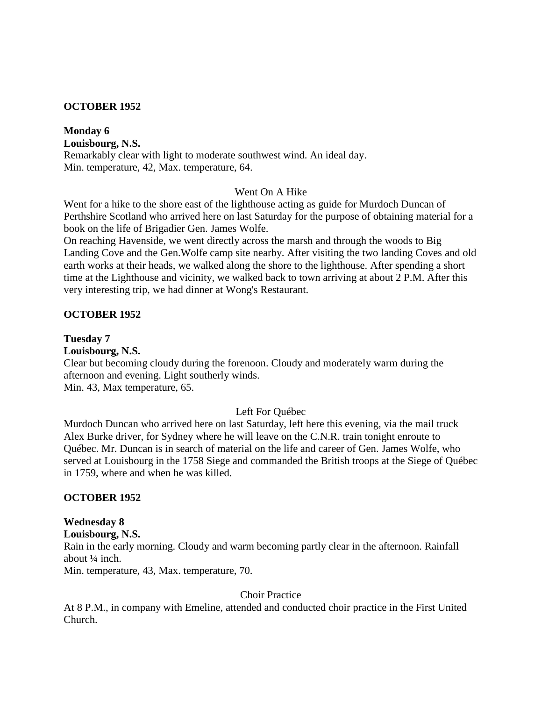### **OCTOBER 1952**

**Monday 6 Louisbourg, N.S.** Remarkably clear with light to moderate southwest wind. An ideal day. Min. temperature, 42, Max. temperature, 64.

#### Went On A Hike

Went for a hike to the shore east of the lighthouse acting as guide for Murdoch Duncan of Perthshire Scotland who arrived here on last Saturday for the purpose of obtaining material for a book on the life of Brigadier Gen. James Wolfe.

On reaching Havenside, we went directly across the marsh and through the woods to Big Landing Cove and the Gen.Wolfe camp site nearby. After visiting the two landing Coves and old earth works at their heads, we walked along the shore to the lighthouse. After spending a short time at the Lighthouse and vicinity, we walked back to town arriving at about 2 P.M. After this very interesting trip, we had dinner at Wong's Restaurant.

#### **OCTOBER 1952**

#### **Tuesday 7**

#### **Louisbourg, N.S.**

Clear but becoming cloudy during the forenoon. Cloudy and moderately warm during the afternoon and evening. Light southerly winds. Min. 43, Max temperature, 65.

#### Left For Québec

Murdoch Duncan who arrived here on last Saturday, left here this evening, via the mail truck Alex Burke driver, for Sydney where he will leave on the C.N.R. train tonight enroute to Québec. Mr. Duncan is in search of material on the life and career of Gen. James Wolfe, who served at Louisbourg in the 1758 Siege and commanded the British troops at the Siege of Québec in 1759, where and when he was killed.

#### **OCTOBER 1952**

# **Wednesday 8**

**Louisbourg, N.S.** Rain in the early morning. Cloudy and warm becoming partly clear in the afternoon. Rainfall about ¼ inch.

Min. temperature, 43, Max. temperature, 70.

# Choir Practice

At 8 P.M., in company with Emeline, attended and conducted choir practice in the First United Church.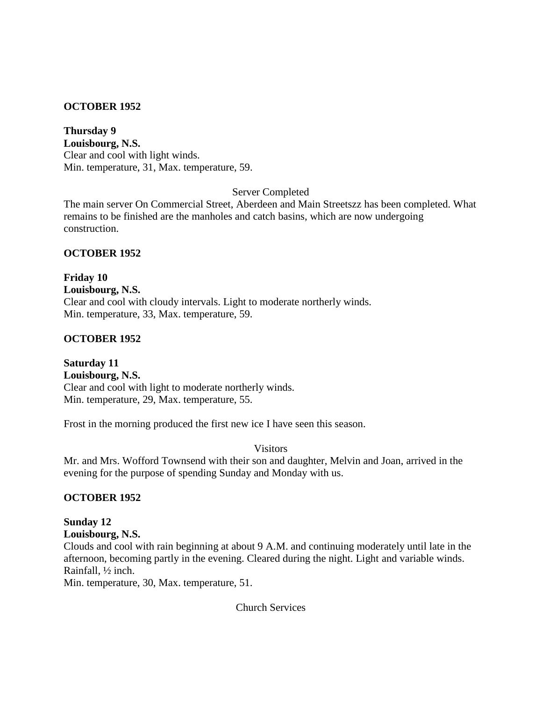# **OCTOBER 1952**

**Thursday 9 Louisbourg, N.S.** Clear and cool with light winds. Min. temperature, 31, Max. temperature, 59.

Server Completed

The main server On Commercial Street, Aberdeen and Main Streetszz has been completed. What remains to be finished are the manholes and catch basins, which are now undergoing construction.

# **OCTOBER 1952**

**Friday 10 Louisbourg, N.S.** Clear and cool with cloudy intervals. Light to moderate northerly winds. Min. temperature, 33, Max. temperature, 59.

# **OCTOBER 1952**

**Saturday 11 Louisbourg, N.S.** Clear and cool with light to moderate northerly winds. Min. temperature, 29, Max. temperature, 55.

Frost in the morning produced the first new ice I have seen this season.

Visitors

Mr. and Mrs. Wofford Townsend with their son and daughter, Melvin and Joan, arrived in the evening for the purpose of spending Sunday and Monday with us.

# **OCTOBER 1952**

#### **Sunday 12 Louisbourg, N.S.**

Clouds and cool with rain beginning at about 9 A.M. and continuing moderately until late in the afternoon, becoming partly in the evening. Cleared during the night. Light and variable winds. Rainfall, ½ inch.

Min. temperature, 30, Max. temperature, 51.

Church Services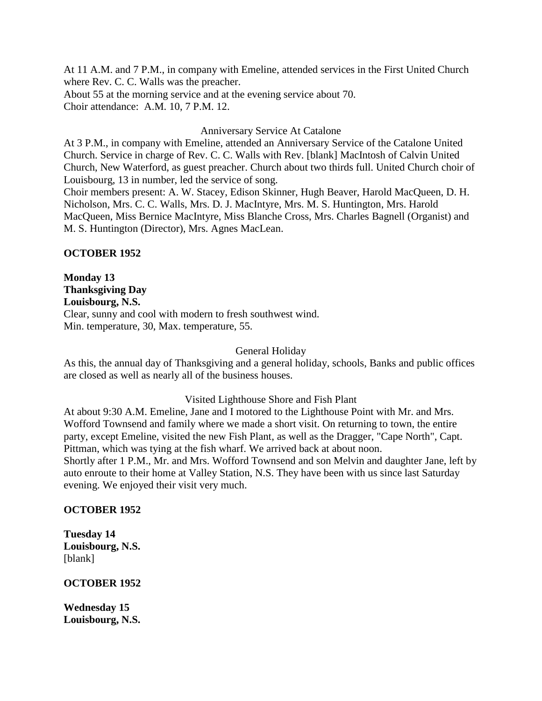At 11 A.M. and 7 P.M., in company with Emeline, attended services in the First United Church where Rev. C. C. Walls was the preacher. About 55 at the morning service and at the evening service about 70. Choir attendance: A.M. 10, 7 P.M. 12.

Anniversary Service At Catalone

At 3 P.M., in company with Emeline, attended an Anniversary Service of the Catalone United Church. Service in charge of Rev. C. C. Walls with Rev. [blank] MacIntosh of Calvin United Church, New Waterford, as guest preacher. Church about two thirds full. United Church choir of Louisbourg, 13 in number, led the service of song.

Choir members present: A. W. Stacey, Edison Skinner, Hugh Beaver, Harold MacQueen, D. H. Nicholson, Mrs. C. C. Walls, Mrs. D. J. MacIntyre, Mrs. M. S. Huntington, Mrs. Harold MacQueen, Miss Bernice MacIntyre, Miss Blanche Cross, Mrs. Charles Bagnell (Organist) and M. S. Huntington (Director), Mrs. Agnes MacLean.

#### **OCTOBER 1952**

**Monday 13 Thanksgiving Day Louisbourg, N.S.** Clear, sunny and cool with modern to fresh southwest wind. Min. temperature, 30, Max. temperature, 55.

#### General Holiday

As this, the annual day of Thanksgiving and a general holiday, schools, Banks and public offices are closed as well as nearly all of the business houses.

#### Visited Lighthouse Shore and Fish Plant

At about 9:30 A.M. Emeline, Jane and I motored to the Lighthouse Point with Mr. and Mrs. Wofford Townsend and family where we made a short visit. On returning to town, the entire party, except Emeline, visited the new Fish Plant, as well as the Dragger, "Cape North", Capt. Pittman, which was tying at the fish wharf. We arrived back at about noon. Shortly after 1 P.M., Mr. and Mrs. Wofford Townsend and son Melvin and daughter Jane, left by auto enroute to their home at Valley Station, N.S. They have been with us since last Saturday evening. We enjoyed their visit very much.

#### **OCTOBER 1952**

**Tuesday 14 Louisbourg, N.S.** [blank]

#### **OCTOBER 1952**

**Wednesday 15 Louisbourg, N.S.**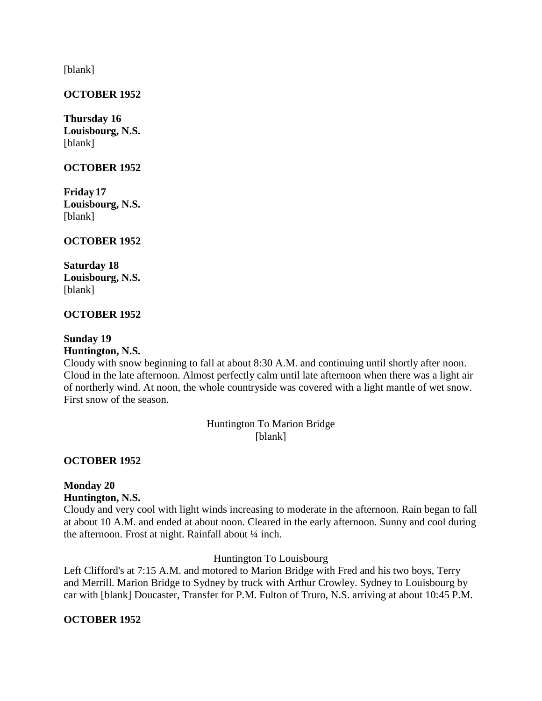[blank]

# **OCTOBER 1952**

**Thursday 16 Louisbourg, N.S.** [blank]

#### **OCTOBER 1952**

**Friday17 Louisbourg, N.S.** [blank]

#### **OCTOBER 1952**

**Saturday 18 Louisbourg, N.S.** [blank]

#### **OCTOBER 1952**

# **Sunday 19**

# **Huntington, N.S.**

Cloudy with snow beginning to fall at about 8:30 A.M. and continuing until shortly after noon. Cloud in the late afternoon. Almost perfectly calm until late afternoon when there was a light air of northerly wind. At noon, the whole countryside was covered with a light mantle of wet snow. First snow of the season.

> Huntington To Marion Bridge [blank]

#### **OCTOBER 1952**

# **Monday 20 Huntington, N.S.**

Cloudy and very cool with light winds increasing to moderate in the afternoon. Rain began to fall at about 10 A.M. and ended at about noon. Cleared in the early afternoon. Sunny and cool during the afternoon. Frost at night. Rainfall about 1/4 inch.

Huntington To Louisbourg

Left Clifford's at 7:15 A.M. and motored to Marion Bridge with Fred and his two boys, Terry and Merrill. Marion Bridge to Sydney by truck with Arthur Crowley. Sydney to Louisbourg by car with [blank] Doucaster, Transfer for P.M. Fulton of Truro, N.S. arriving at about 10:45 P.M.

#### **OCTOBER 1952**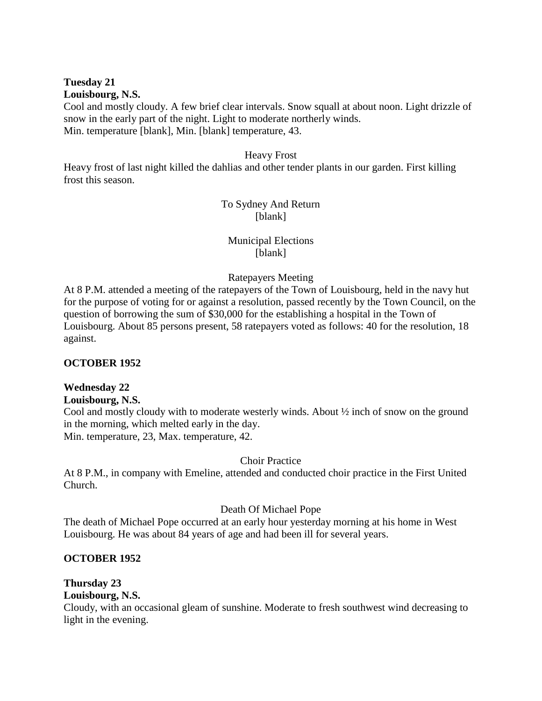#### **Tuesday 21 Louisbourg, N.S.**

Cool and mostly cloudy. A few brief clear intervals. Snow squall at about noon. Light drizzle of snow in the early part of the night. Light to moderate northerly winds. Min. temperature [blank], Min. [blank] temperature, 43.

#### Heavy Frost

Heavy frost of last night killed the dahlias and other tender plants in our garden. First killing frost this season.

# To Sydney And Return [blank]

# Municipal Elections [blank]

#### Ratepayers Meeting

At 8 P.M. attended a meeting of the ratepayers of the Town of Louisbourg, held in the navy hut for the purpose of voting for or against a resolution, passed recently by the Town Council, on the question of borrowing the sum of \$30,000 for the establishing a hospital in the Town of Louisbourg. About 85 persons present, 58 ratepayers voted as follows: 40 for the resolution, 18 against.

#### **OCTOBER 1952**

#### **Wednesday 22**

#### **Louisbourg, N.S.**

Cool and mostly cloudy with to moderate westerly winds. About ½ inch of snow on the ground in the morning, which melted early in the day. Min. temperature, 23, Max. temperature, 42.

#### Choir Practice

At 8 P.M., in company with Emeline, attended and conducted choir practice in the First United Church.

#### Death Of Michael Pope

The death of Michael Pope occurred at an early hour yesterday morning at his home in West Louisbourg. He was about 84 years of age and had been ill for several years.

#### **OCTOBER 1952**

# **Thursday 23**

# **Louisbourg, N.S.**

Cloudy, with an occasional gleam of sunshine. Moderate to fresh southwest wind decreasing to light in the evening.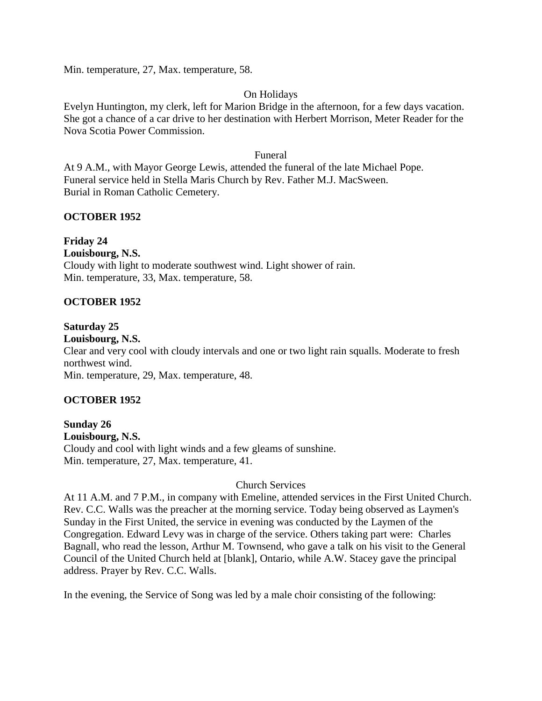Min. temperature, 27, Max. temperature, 58.

#### On Holidays

Evelyn Huntington, my clerk, left for Marion Bridge in the afternoon, for a few days vacation. She got a chance of a car drive to her destination with Herbert Morrison, Meter Reader for the Nova Scotia Power Commission.

#### Funeral

At 9 A.M., with Mayor George Lewis, attended the funeral of the late Michael Pope. Funeral service held in Stella Maris Church by Rev. Father M.J. MacSween. Burial in Roman Catholic Cemetery.

# **OCTOBER 1952**

# **Friday 24**

**Louisbourg, N.S.** Cloudy with light to moderate southwest wind. Light shower of rain. Min. temperature, 33, Max. temperature, 58.

# **OCTOBER 1952**

#### **Saturday 25**

**Louisbourg, N.S.**

Clear and very cool with cloudy intervals and one or two light rain squalls. Moderate to fresh northwest wind.

Min. temperature, 29, Max. temperature, 48.

# **OCTOBER 1952**

**Sunday 26 Louisbourg, N.S.** Cloudy and cool with light winds and a few gleams of sunshine. Min. temperature, 27, Max. temperature, 41.

#### Church Services

At 11 A.M. and 7 P.M., in company with Emeline, attended services in the First United Church. Rev. C.C. Walls was the preacher at the morning service. Today being observed as Laymen's Sunday in the First United, the service in evening was conducted by the Laymen of the Congregation. Edward Levy was in charge of the service. Others taking part were: Charles Bagnall, who read the lesson, Arthur M. Townsend, who gave a talk on his visit to the General Council of the United Church held at [blank], Ontario, while A.W. Stacey gave the principal address. Prayer by Rev. C.C. Walls.

In the evening, the Service of Song was led by a male choir consisting of the following: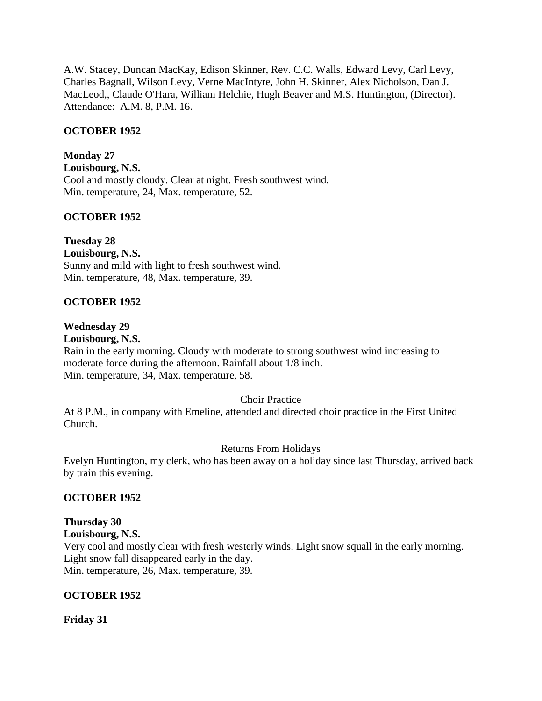A.W. Stacey, Duncan MacKay, Edison Skinner, Rev. C.C. Walls, Edward Levy, Carl Levy, Charles Bagnall, Wilson Levy, Verne MacIntyre, John H. Skinner, Alex Nicholson, Dan J. MacLeod,, Claude O'Hara, William Helchie, Hugh Beaver and M.S. Huntington, (Director). Attendance: A.M. 8, P.M. 16.

# **OCTOBER 1952**

**Monday 27 Louisbourg, N.S.** Cool and mostly cloudy. Clear at night. Fresh southwest wind. Min. temperature, 24, Max. temperature, 52.

# **OCTOBER 1952**

**Tuesday 28**

**Louisbourg, N.S.** Sunny and mild with light to fresh southwest wind. Min. temperature, 48, Max. temperature, 39.

# **OCTOBER 1952**

# **Wednesday 29**

**Louisbourg, N.S.**

Rain in the early morning. Cloudy with moderate to strong southwest wind increasing to moderate force during the afternoon. Rainfall about 1/8 inch. Min. temperature, 34, Max. temperature, 58.

#### Choir Practice

At 8 P.M., in company with Emeline, attended and directed choir practice in the First United Church.

#### Returns From Holidays

Evelyn Huntington, my clerk, who has been away on a holiday since last Thursday, arrived back by train this evening.

#### **OCTOBER 1952**

# **Thursday 30**

**Louisbourg, N.S.** Very cool and mostly clear with fresh westerly winds. Light snow squall in the early morning.

Light snow fall disappeared early in the day. Min. temperature, 26, Max. temperature, 39.

**OCTOBER 1952**

**Friday 31**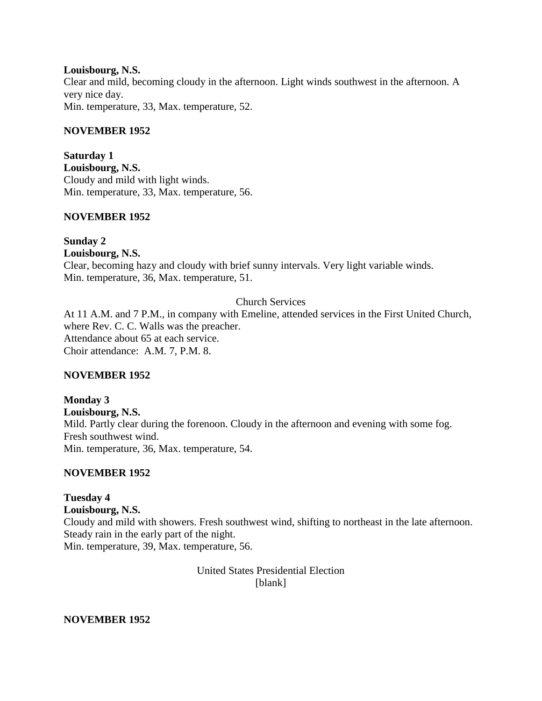**Louisbourg, N.S.** Clear and mild, becoming cloudy in the afternoon. Light winds southwest in the afternoon. A very nice day. Min. temperature, 33, Max. temperature, 52.

#### **NOVEMBER 1952**

**Saturday 1 Louisbourg, N.S.** Cloudy and mild with light winds. Min. temperature, 33, Max. temperature, 56.

#### **NOVEMBER 1952**

**Sunday 2 Louisbourg, N.S.** Clear, becoming hazy and cloudy with brief sunny intervals. Very light variable winds. Min. temperature, 36, Max. temperature, 51.

#### Church Services

At 11 A.M. and 7 P.M., in company with Emeline, attended services in the First United Church, where Rev. C. C. Walls was the preacher. Attendance about 65 at each service. Choir attendance: A.M. 7, P.M. 8.

#### **NOVEMBER 1952**

**Monday 3 Louisbourg, N.S.** Mild. Partly clear during the forenoon. Cloudy in the afternoon and evening with some fog. Fresh southwest wind. Min. temperature, 36, Max. temperature, 54.

#### **NOVEMBER 1952**

**Tuesday 4 Louisbourg, N.S.** Cloudy and mild with showers. Fresh southwest wind, shifting to northeast in the late afternoon. Steady rain in the early part of the night. Min. temperature, 39, Max. temperature, 56.

> United States Presidential Election [blank]

**NOVEMBER 1952**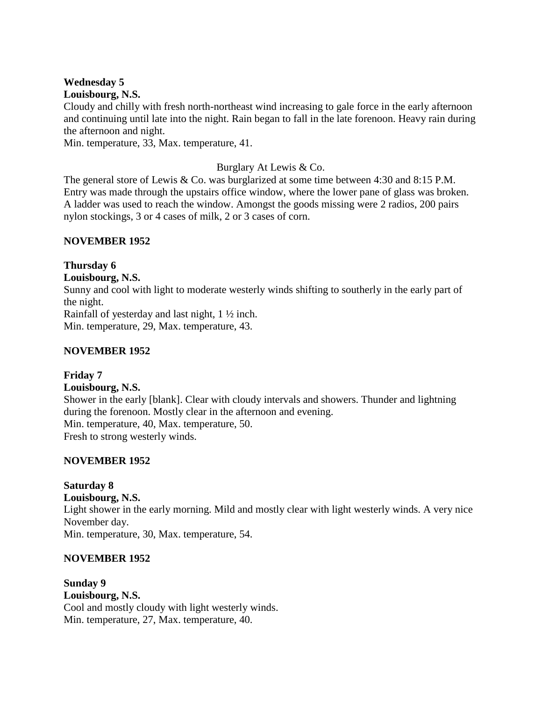# **Wednesday 5**

**Louisbourg, N.S.**

Cloudy and chilly with fresh north-northeast wind increasing to gale force in the early afternoon and continuing until late into the night. Rain began to fall in the late forenoon. Heavy rain during the afternoon and night.

Min. temperature, 33, Max. temperature, 41.

# Burglary At Lewis & Co.

The general store of Lewis & Co. was burglarized at some time between 4:30 and 8:15 P.M. Entry was made through the upstairs office window, where the lower pane of glass was broken. A ladder was used to reach the window. Amongst the goods missing were 2 radios, 200 pairs nylon stockings, 3 or 4 cases of milk, 2 or 3 cases of corn.

# **NOVEMBER 1952**

# **Thursday 6**

#### **Louisbourg, N.S.**

Sunny and cool with light to moderate westerly winds shifting to southerly in the early part of the night.

Rainfall of yesterday and last night, 1 ½ inch.

Min. temperature, 29, Max. temperature, 43.

# **NOVEMBER 1952**

#### **Friday 7**

#### **Louisbourg, N.S.**

Shower in the early [blank]. Clear with cloudy intervals and showers. Thunder and lightning during the forenoon. Mostly clear in the afternoon and evening. Min. temperature, 40, Max. temperature, 50. Fresh to strong westerly winds.

#### **NOVEMBER 1952**

# **Saturday 8**

**Louisbourg, N.S.** Light shower in the early morning. Mild and mostly clear with light westerly winds. A very nice November day. Min. temperature, 30, Max. temperature, 54.

#### **NOVEMBER 1952**

**Sunday 9 Louisbourg, N.S.** Cool and mostly cloudy with light westerly winds. Min. temperature, 27, Max. temperature, 40.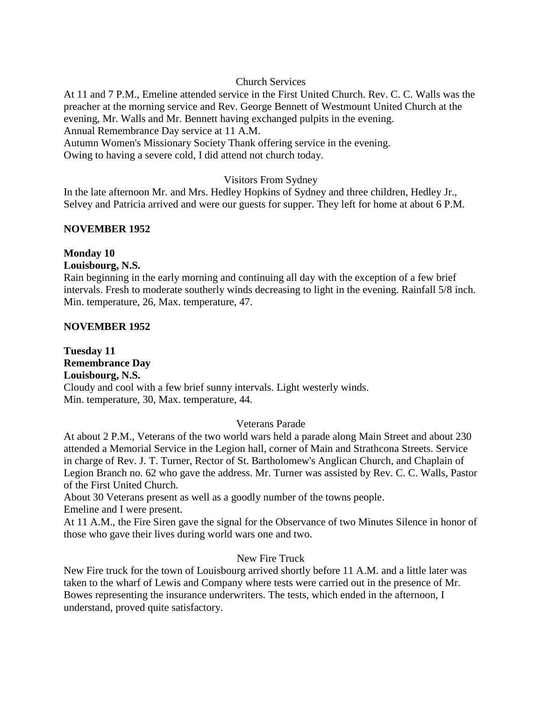# Church Services

At 11 and 7 P.M., Emeline attended service in the First United Church. Rev. C. C. Walls was the preacher at the morning service and Rev. George Bennett of Westmount United Church at the evening, Mr. Walls and Mr. Bennett having exchanged pulpits in the evening. Annual Remembrance Day service at 11 A.M.

Autumn Women's Missionary Society Thank offering service in the evening. Owing to having a severe cold, I did attend not church today.

# Visitors From Sydney

In the late afternoon Mr. and Mrs. Hedley Hopkins of Sydney and three children, Hedley Jr., Selvey and Patricia arrived and were our guests for supper. They left for home at about 6 P.M.

# **NOVEMBER 1952**

#### **Monday 10 Louisbourg, N.S.**

Rain beginning in the early morning and continuing all day with the exception of a few brief intervals. Fresh to moderate southerly winds decreasing to light in the evening. Rainfall 5/8 inch. Min. temperature, 26, Max. temperature, 47.

# **NOVEMBER 1952**

**Tuesday 11 Remembrance Day Louisbourg, N.S.** Cloudy and cool with a few brief sunny intervals. Light westerly winds. Min. temperature, 30, Max. temperature, 44.

# Veterans Parade

At about 2 P.M., Veterans of the two world wars held a parade along Main Street and about 230 attended a Memorial Service in the Legion hall, corner of Main and Strathcona Streets. Service in charge of Rev. J. T. Turner, Rector of St. Bartholomew's Anglican Church, and Chaplain of Legion Branch no. 62 who gave the address. Mr. Turner was assisted by Rev. C. C. Walls, Pastor of the First United Church.

About 30 Veterans present as well as a goodly number of the towns people. Emeline and I were present.

At 11 A.M., the Fire Siren gave the signal for the Observance of two Minutes Silence in honor of those who gave their lives during world wars one and two.

# New Fire Truck

New Fire truck for the town of Louisbourg arrived shortly before 11 A.M. and a little later was taken to the wharf of Lewis and Company where tests were carried out in the presence of Mr. Bowes representing the insurance underwriters. The tests, which ended in the afternoon, I understand, proved quite satisfactory.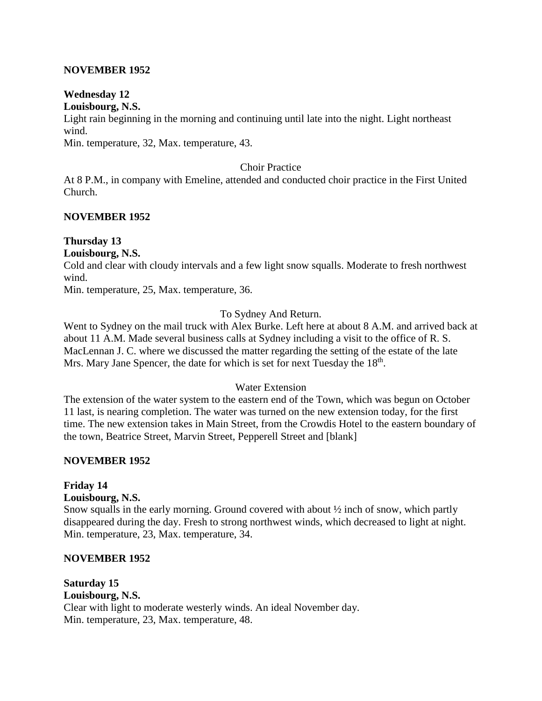#### **NOVEMBER 1952**

#### **Wednesday 12 Louisbourg, N.S.**

Light rain beginning in the morning and continuing until late into the night. Light northeast wind.

Min. temperature, 32, Max. temperature, 43.

#### Choir Practice

At 8 P.M., in company with Emeline, attended and conducted choir practice in the First United Church.

#### **NOVEMBER 1952**

#### **Thursday 13**

### **Louisbourg, N.S.**

Cold and clear with cloudy intervals and a few light snow squalls. Moderate to fresh northwest wind.

Min. temperature, 25, Max. temperature, 36.

#### To Sydney And Return.

Went to Sydney on the mail truck with Alex Burke. Left here at about 8 A.M. and arrived back at about 11 A.M. Made several business calls at Sydney including a visit to the office of R. S. MacLennan J. C. where we discussed the matter regarding the setting of the estate of the late Mrs. Mary Jane Spencer, the date for which is set for next Tuesday the 18<sup>th</sup>.

#### Water Extension

The extension of the water system to the eastern end of the Town, which was begun on October 11 last, is nearing completion. The water was turned on the new extension today, for the first time. The new extension takes in Main Street, from the Crowdis Hotel to the eastern boundary of the town, Beatrice Street, Marvin Street, Pepperell Street and [blank]

#### **NOVEMBER 1952**

# **Friday 14**

#### **Louisbourg, N.S.**

Snow squalls in the early morning. Ground covered with about ½ inch of snow, which partly disappeared during the day. Fresh to strong northwest winds, which decreased to light at night. Min. temperature, 23, Max. temperature, 34.

#### **NOVEMBER 1952**

#### **Saturday 15**

**Louisbourg, N.S.** Clear with light to moderate westerly winds. An ideal November day. Min. temperature, 23, Max. temperature, 48.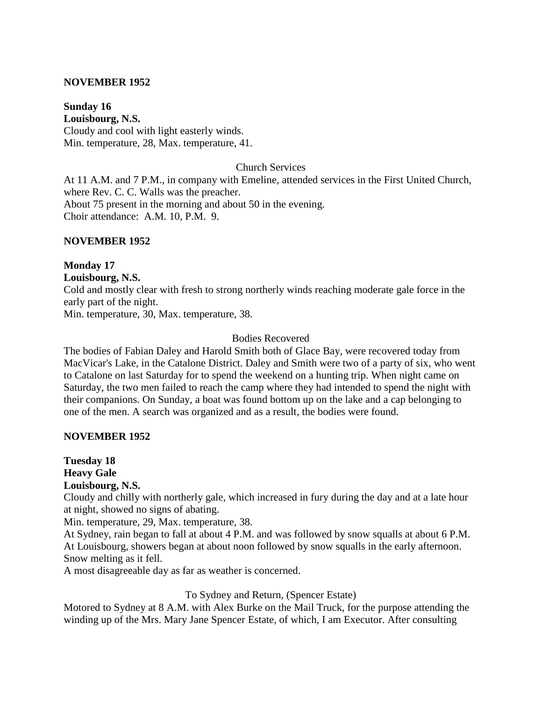#### **NOVEMBER 1952**

**Sunday 16 Louisbourg, N.S.** Cloudy and cool with light easterly winds. Min. temperature, 28, Max. temperature, 41.

Church Services

At 11 A.M. and 7 P.M., in company with Emeline, attended services in the First United Church, where Rev. C. C. Walls was the preacher. About 75 present in the morning and about 50 in the evening. Choir attendance: A.M. 10, P.M. 9.

#### **NOVEMBER 1952**

# **Monday 17**

#### **Louisbourg, N.S.**

Cold and mostly clear with fresh to strong northerly winds reaching moderate gale force in the early part of the night.

Min. temperature, 30, Max. temperature, 38.

#### Bodies Recovered

The bodies of Fabian Daley and Harold Smith both of Glace Bay, were recovered today from MacVicar's Lake, in the Catalone District. Daley and Smith were two of a party of six, who went to Catalone on last Saturday for to spend the weekend on a hunting trip. When night came on Saturday, the two men failed to reach the camp where they had intended to spend the night with their companions. On Sunday, a boat was found bottom up on the lake and a cap belonging to one of the men. A search was organized and as a result, the bodies were found.

#### **NOVEMBER 1952**

**Tuesday 18 Heavy Gale Louisbourg, N.S.**

Cloudy and chilly with northerly gale, which increased in fury during the day and at a late hour at night, showed no signs of abating.

Min. temperature, 29, Max. temperature, 38.

At Sydney, rain began to fall at about 4 P.M. and was followed by snow squalls at about 6 P.M. At Louisbourg, showers began at about noon followed by snow squalls in the early afternoon. Snow melting as it fell.

A most disagreeable day as far as weather is concerned.

#### To Sydney and Return, (Spencer Estate)

Motored to Sydney at 8 A.M. with Alex Burke on the Mail Truck, for the purpose attending the winding up of the Mrs. Mary Jane Spencer Estate, of which, I am Executor. After consulting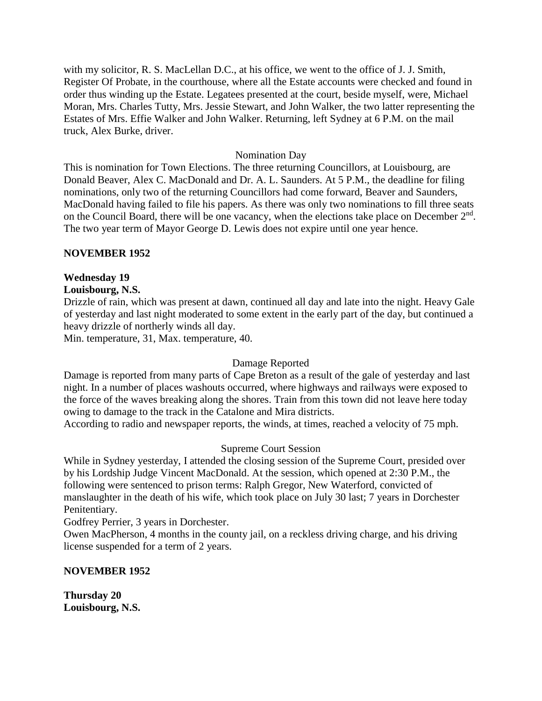with my solicitor, R. S. MacLellan D.C., at his office, we went to the office of J. J. Smith, Register Of Probate, in the courthouse, where all the Estate accounts were checked and found in order thus winding up the Estate. Legatees presented at the court, beside myself, were, Michael Moran, Mrs. Charles Tutty, Mrs. Jessie Stewart, and John Walker, the two latter representing the Estates of Mrs. Effie Walker and John Walker. Returning, left Sydney at 6 P.M. on the mail truck, Alex Burke, driver.

#### Nomination Day

This is nomination for Town Elections. The three returning Councillors, at Louisbourg, are Donald Beaver, Alex C. MacDonald and Dr. A. L. Saunders. At 5 P.M., the deadline for filing nominations, only two of the returning Councillors had come forward, Beaver and Saunders, MacDonald having failed to file his papers. As there was only two nominations to fill three seats on the Council Board, there will be one vacancy, when the elections take place on December  $2<sup>nd</sup>$ . The two year term of Mayor George D. Lewis does not expire until one year hence.

#### **NOVEMBER 1952**

#### **Wednesday 19**

#### **Louisbourg, N.S.**

Drizzle of rain, which was present at dawn, continued all day and late into the night. Heavy Gale of yesterday and last night moderated to some extent in the early part of the day, but continued a heavy drizzle of northerly winds all day.

Min. temperature, 31, Max. temperature, 40.

#### Damage Reported

Damage is reported from many parts of Cape Breton as a result of the gale of yesterday and last night. In a number of places washouts occurred, where highways and railways were exposed to the force of the waves breaking along the shores. Train from this town did not leave here today owing to damage to the track in the Catalone and Mira districts.

According to radio and newspaper reports, the winds, at times, reached a velocity of 75 mph.

#### Supreme Court Session

While in Sydney yesterday, I attended the closing session of the Supreme Court, presided over by his Lordship Judge Vincent MacDonald. At the session, which opened at 2:30 P.M., the following were sentenced to prison terms: Ralph Gregor, New Waterford, convicted of manslaughter in the death of his wife, which took place on July 30 last; 7 years in Dorchester Penitentiary.

Godfrey Perrier, 3 years in Dorchester.

Owen MacPherson, 4 months in the county jail, on a reckless driving charge, and his driving license suspended for a term of 2 years.

#### **NOVEMBER 1952**

**Thursday 20 Louisbourg, N.S.**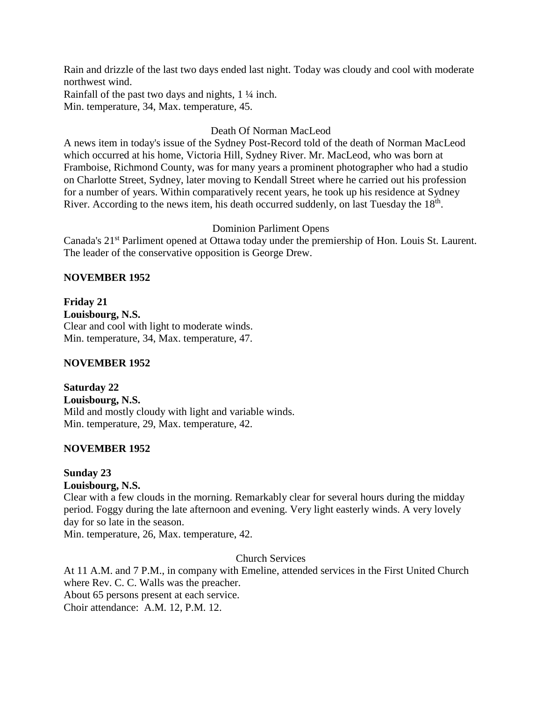Rain and drizzle of the last two days ended last night. Today was cloudy and cool with moderate northwest wind.

Rainfall of the past two days and nights, 1 ¼ inch. Min. temperature, 34, Max. temperature, 45.

# Death Of Norman MacLeod

A news item in today's issue of the Sydney Post-Record told of the death of Norman MacLeod which occurred at his home, Victoria Hill, Sydney River. Mr. MacLeod, who was born at Framboise, Richmond County, was for many years a prominent photographer who had a studio on Charlotte Street, Sydney, later moving to Kendall Street where he carried out his profession for a number of years. Within comparatively recent years, he took up his residence at Sydney River. According to the news item, his death occurred suddenly, on last Tuesday the 18<sup>th</sup>.

# Dominion Parliment Opens

Canada's 21st Parliment opened at Ottawa today under the premiership of Hon. Louis St. Laurent. The leader of the conservative opposition is George Drew.

# **NOVEMBER 1952**

**Friday 21 Louisbourg, N.S.** Clear and cool with light to moderate winds. Min. temperature, 34, Max. temperature, 47.

# **NOVEMBER 1952**

**Saturday 22 Louisbourg, N.S.** Mild and mostly cloudy with light and variable winds. Min. temperature, 29, Max. temperature, 42.

# **NOVEMBER 1952**

# **Sunday 23**

**Louisbourg, N.S.**

Clear with a few clouds in the morning. Remarkably clear for several hours during the midday period. Foggy during the late afternoon and evening. Very light easterly winds. A very lovely day for so late in the season.

Min. temperature, 26, Max. temperature, 42.

# Church Services

At 11 A.M. and 7 P.M., in company with Emeline, attended services in the First United Church where Rev. C. C. Walls was the preacher. About 65 persons present at each service. Choir attendance: A.M. 12, P.M. 12.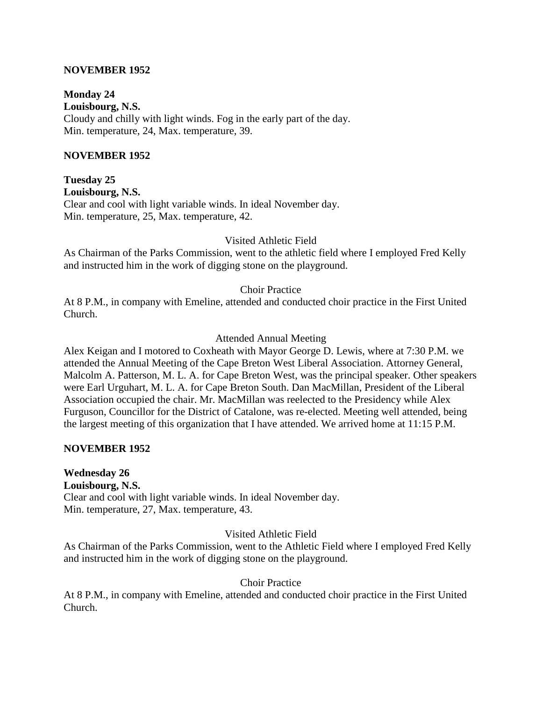#### **NOVEMBER 1952**

**Monday 24 Louisbourg, N.S.** Cloudy and chilly with light winds. Fog in the early part of the day. Min. temperature, 24, Max. temperature, 39.

#### **NOVEMBER 1952**

**Tuesday 25 Louisbourg, N.S.** Clear and cool with light variable winds. In ideal November day. Min. temperature, 25, Max. temperature, 42.

Visited Athletic Field

As Chairman of the Parks Commission, went to the athletic field where I employed Fred Kelly and instructed him in the work of digging stone on the playground.

Choir Practice

At 8 P.M., in company with Emeline, attended and conducted choir practice in the First United Church.

Attended Annual Meeting

Alex Keigan and I motored to Coxheath with Mayor George D. Lewis, where at 7:30 P.M. we attended the Annual Meeting of the Cape Breton West Liberal Association. Attorney General, Malcolm A. Patterson, M. L. A. for Cape Breton West, was the principal speaker. Other speakers were Earl Urguhart, M. L. A. for Cape Breton South. Dan MacMillan, President of the Liberal Association occupied the chair. Mr. MacMillan was reelected to the Presidency while Alex Furguson, Councillor for the District of Catalone, was re-elected. Meeting well attended, being the largest meeting of this organization that I have attended. We arrived home at 11:15 P.M.

#### **NOVEMBER 1952**

**Wednesday 26 Louisbourg, N.S.** Clear and cool with light variable winds. In ideal November day. Min. temperature, 27, Max. temperature, 43.

Visited Athletic Field

As Chairman of the Parks Commission, went to the Athletic Field where I employed Fred Kelly and instructed him in the work of digging stone on the playground.

#### Choir Practice

At 8 P.M., in company with Emeline, attended and conducted choir practice in the First United Church.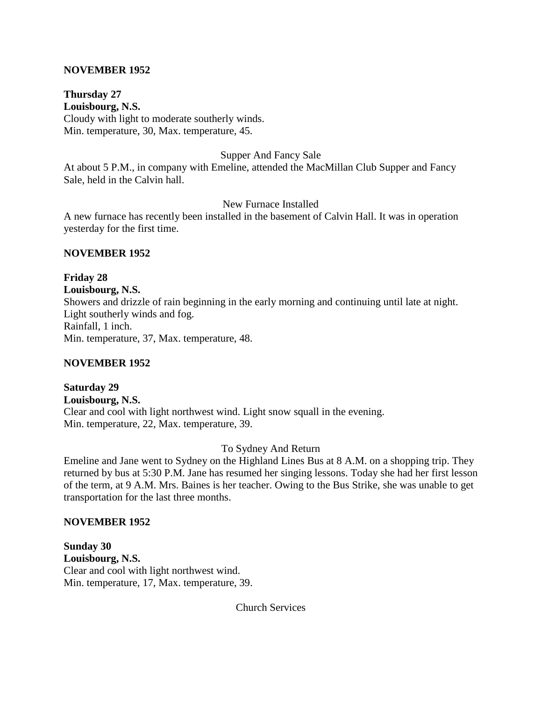#### **NOVEMBER 1952**

**Thursday 27 Louisbourg, N.S.** Cloudy with light to moderate southerly winds. Min. temperature, 30, Max. temperature, 45.

#### Supper And Fancy Sale

At about 5 P.M., in company with Emeline, attended the MacMillan Club Supper and Fancy Sale, held in the Calvin hall.

New Furnace Installed

A new furnace has recently been installed in the basement of Calvin Hall. It was in operation yesterday for the first time.

#### **NOVEMBER 1952**

**Friday 28 Louisbourg, N.S.** Showers and drizzle of rain beginning in the early morning and continuing until late at night. Light southerly winds and fog. Rainfall, 1 inch. Min. temperature, 37, Max. temperature, 48.

#### **NOVEMBER 1952**

**Saturday 29 Louisbourg, N.S.** Clear and cool with light northwest wind. Light snow squall in the evening. Min. temperature, 22, Max. temperature, 39.

#### To Sydney And Return

Emeline and Jane went to Sydney on the Highland Lines Bus at 8 A.M. on a shopping trip. They returned by bus at 5:30 P.M. Jane has resumed her singing lessons. Today she had her first lesson of the term, at 9 A.M. Mrs. Baines is her teacher. Owing to the Bus Strike, she was unable to get transportation for the last three months.

#### **NOVEMBER 1952**

**Sunday 30 Louisbourg, N.S.** Clear and cool with light northwest wind. Min. temperature, 17, Max. temperature, 39.

Church Services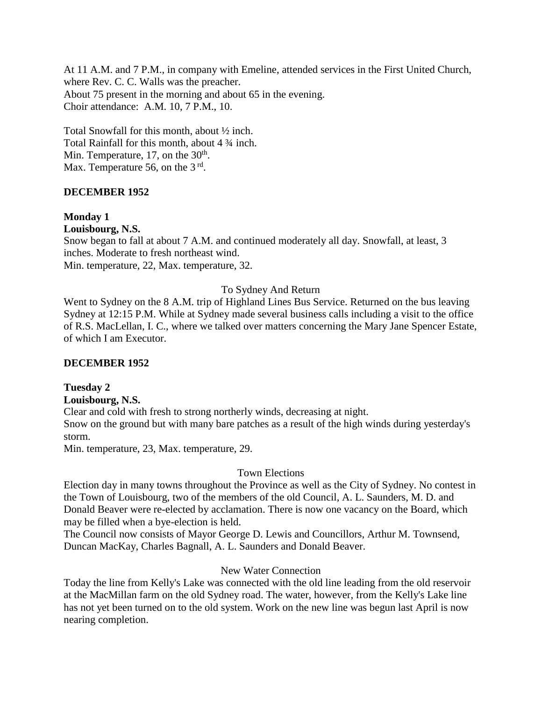At 11 A.M. and 7 P.M., in company with Emeline, attended services in the First United Church, where Rev. C. C. Walls was the preacher. About 75 present in the morning and about 65 in the evening. Choir attendance: A.M. 10, 7 P.M., 10.

Total Snowfall for this month, about ½ inch. Total Rainfall for this month, about 4 ¾ inch. Min. Temperature, 17, on the  $30<sup>th</sup>$ . Max. Temperature 56, on the  $3<sup>rd</sup>$ .

#### **DECEMBER 1952**

#### **Monday 1**

**Louisbourg, N.S.**

Snow began to fall at about 7 A.M. and continued moderately all day. Snowfall, at least, 3 inches. Moderate to fresh northeast wind. Min. temperature, 22, Max. temperature, 32.

#### To Sydney And Return

Went to Sydney on the 8 A.M. trip of Highland Lines Bus Service. Returned on the bus leaving Sydney at 12:15 P.M. While at Sydney made several business calls including a visit to the office of R.S. MacLellan, I. C., where we talked over matters concerning the Mary Jane Spencer Estate, of which I am Executor.

#### **DECEMBER 1952**

#### **Tuesday 2**

#### **Louisbourg, N.S.**

Clear and cold with fresh to strong northerly winds, decreasing at night. Snow on the ground but with many bare patches as a result of the high winds during yesterday's storm.

Min. temperature, 23, Max. temperature, 29.

#### Town Elections

Election day in many towns throughout the Province as well as the City of Sydney. No contest in the Town of Louisbourg, two of the members of the old Council, A. L. Saunders, M. D. and Donald Beaver were re-elected by acclamation. There is now one vacancy on the Board, which may be filled when a bye-election is held.

The Council now consists of Mayor George D. Lewis and Councillors, Arthur M. Townsend, Duncan MacKay, Charles Bagnall, A. L. Saunders and Donald Beaver.

#### New Water Connection

Today the line from Kelly's Lake was connected with the old line leading from the old reservoir at the MacMillan farm on the old Sydney road. The water, however, from the Kelly's Lake line has not yet been turned on to the old system. Work on the new line was begun last April is now nearing completion.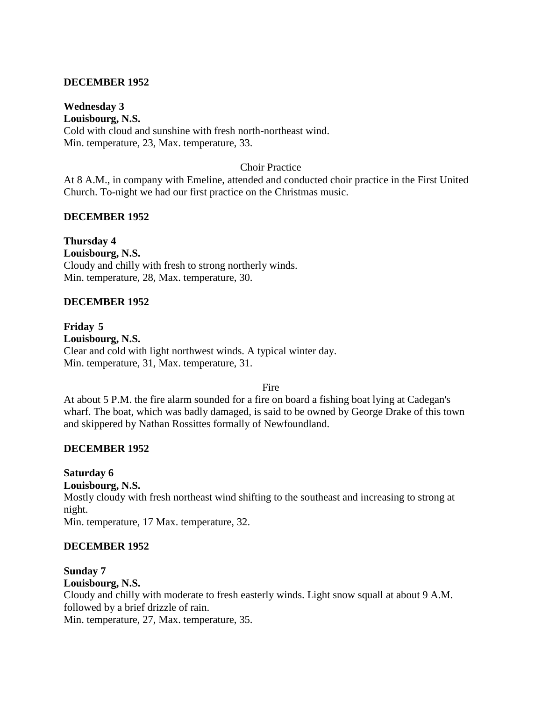#### **DECEMBER 1952**

### **Wednesday 3**

**Louisbourg, N.S.** Cold with cloud and sunshine with fresh north-northeast wind. Min. temperature, 23, Max. temperature, 33.

#### Choir Practice

At 8 A.M., in company with Emeline, attended and conducted choir practice in the First United Church. To-night we had our first practice on the Christmas music.

#### **DECEMBER 1952**

**Thursday 4 Louisbourg, N.S.** Cloudy and chilly with fresh to strong northerly winds. Min. temperature, 28, Max. temperature, 30.

#### **DECEMBER 1952**

**Friday 5 Louisbourg, N.S.** Clear and cold with light northwest winds. A typical winter day. Min. temperature, 31, Max. temperature, 31.

Fire

At about 5 P.M. the fire alarm sounded for a fire on board a fishing boat lying at Cadegan's wharf. The boat, which was badly damaged, is said to be owned by George Drake of this town and skippered by Nathan Rossittes formally of Newfoundland.

#### **DECEMBER 1952**

**Saturday 6 Louisbourg, N.S.**

Mostly cloudy with fresh northeast wind shifting to the southeast and increasing to strong at night.

Min. temperature, 17 Max. temperature, 32.

#### **DECEMBER 1952**

# **Sunday 7**

### **Louisbourg, N.S.**

Cloudy and chilly with moderate to fresh easterly winds. Light snow squall at about 9 A.M. followed by a brief drizzle of rain.

Min. temperature, 27, Max. temperature, 35.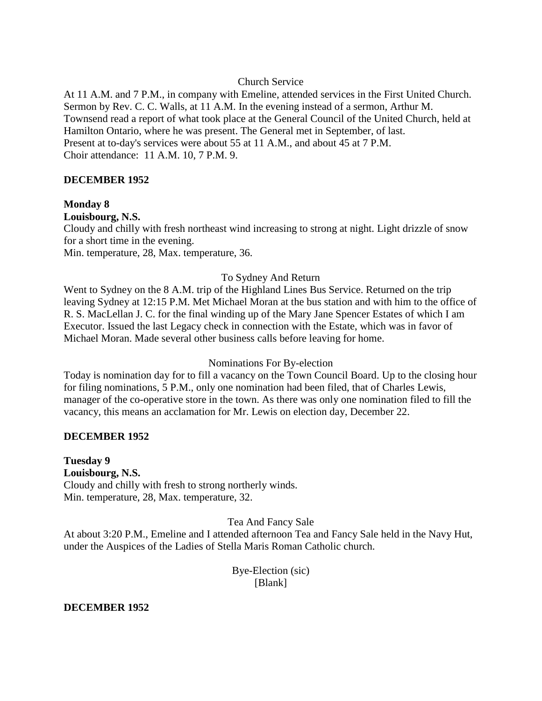#### Church Service

At 11 A.M. and 7 P.M., in company with Emeline, attended services in the First United Church. Sermon by Rev. C. C. Walls, at 11 A.M. In the evening instead of a sermon, Arthur M. Townsend read a report of what took place at the General Council of the United Church, held at Hamilton Ontario, where he was present. The General met in September, of last. Present at to-day's services were about 55 at 11 A.M., and about 45 at 7 P.M. Choir attendance: 11 A.M. 10, 7 P.M. 9.

#### **DECEMBER 1952**

#### **Monday 8**

#### **Louisbourg, N.S.**

Cloudy and chilly with fresh northeast wind increasing to strong at night. Light drizzle of snow for a short time in the evening.

Min. temperature, 28, Max. temperature, 36.

#### To Sydney And Return

Went to Sydney on the 8 A.M. trip of the Highland Lines Bus Service. Returned on the trip leaving Sydney at 12:15 P.M. Met Michael Moran at the bus station and with him to the office of R. S. MacLellan J. C. for the final winding up of the Mary Jane Spencer Estates of which I am Executor. Issued the last Legacy check in connection with the Estate, which was in favor of Michael Moran. Made several other business calls before leaving for home.

#### Nominations For By-election

Today is nomination day for to fill a vacancy on the Town Council Board. Up to the closing hour for filing nominations, 5 P.M., only one nomination had been filed, that of Charles Lewis, manager of the co-operative store in the town. As there was only one nomination filed to fill the vacancy, this means an acclamation for Mr. Lewis on election day, December 22.

#### **DECEMBER 1952**

**Tuesday 9 Louisbourg, N.S.** Cloudy and chilly with fresh to strong northerly winds. Min. temperature, 28, Max. temperature, 32.

#### Tea And Fancy Sale

At about 3:20 P.M., Emeline and I attended afternoon Tea and Fancy Sale held in the Navy Hut, under the Auspices of the Ladies of Stella Maris Roman Catholic church.

> Bye-Election (sic) [Blank]

#### **DECEMBER 1952**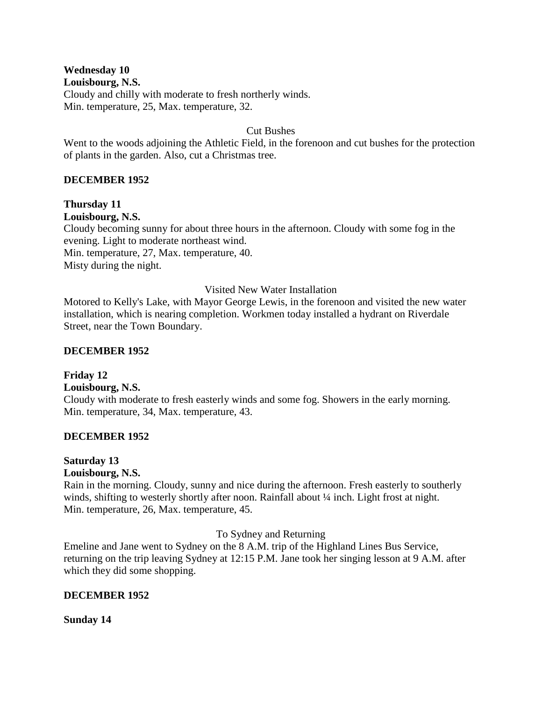**Wednesday 10**

**Louisbourg, N.S.**

Cloudy and chilly with moderate to fresh northerly winds. Min. temperature, 25, Max. temperature, 32.

### Cut Bushes

Went to the woods adjoining the Athletic Field, in the forenoon and cut bushes for the protection of plants in the garden. Also, cut a Christmas tree.

### **DECEMBER 1952**

**Thursday 11 Louisbourg, N.S.** Cloudy becoming sunny for about three hours in the afternoon. Cloudy with some fog in the evening. Light to moderate northeast wind. Min. temperature, 27, Max. temperature, 40.

Misty during the night.

#### Visited New Water Installation

Motored to Kelly's Lake, with Mayor George Lewis, in the forenoon and visited the new water installation, which is nearing completion. Workmen today installed a hydrant on Riverdale Street, near the Town Boundary.

### **DECEMBER 1952**

**Friday 12 Louisbourg, N.S.** Cloudy with moderate to fresh easterly winds and some fog. Showers in the early morning. Min. temperature, 34, Max. temperature, 43.

### **DECEMBER 1952**

#### **Saturday 13 Louisbourg, N.S.**

Rain in the morning. Cloudy, sunny and nice during the afternoon. Fresh easterly to southerly winds, shifting to westerly shortly after noon. Rainfall about  $\frac{1}{4}$  inch. Light frost at night. Min. temperature, 26, Max. temperature, 45.

To Sydney and Returning

Emeline and Jane went to Sydney on the 8 A.M. trip of the Highland Lines Bus Service, returning on the trip leaving Sydney at 12:15 P.M. Jane took her singing lesson at 9 A.M. after which they did some shopping.

### **DECEMBER 1952**

**Sunday 14**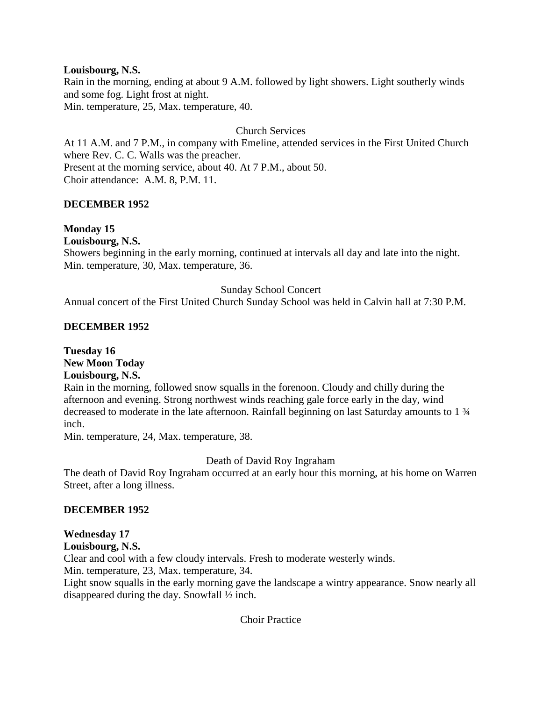#### **Louisbourg, N.S.**

Rain in the morning, ending at about 9 A.M. followed by light showers. Light southerly winds and some fog. Light frost at night.

Min. temperature, 25, Max. temperature, 40.

#### Church Services

At 11 A.M. and 7 P.M., in company with Emeline, attended services in the First United Church where Rev. C. C. Walls was the preacher. Present at the morning service, about 40. At 7 P.M., about 50. Choir attendance: A.M. 8, P.M. 11.

#### **DECEMBER 1952**

### **Monday 15**

**Louisbourg, N.S.**

Showers beginning in the early morning, continued at intervals all day and late into the night. Min. temperature, 30, Max. temperature, 36.

#### Sunday School Concert

Annual concert of the First United Church Sunday School was held in Calvin hall at 7:30 P.M.

#### **DECEMBER 1952**

**Tuesday 16 New Moon Today Louisbourg, N.S.**

Rain in the morning, followed snow squalls in the forenoon. Cloudy and chilly during the afternoon and evening. Strong northwest winds reaching gale force early in the day, wind decreased to moderate in the late afternoon. Rainfall beginning on last Saturday amounts to 1 ¾ inch.

Min. temperature, 24, Max. temperature, 38.

#### Death of David Roy Ingraham

The death of David Roy Ingraham occurred at an early hour this morning, at his home on Warren Street, after a long illness.

#### **DECEMBER 1952**

### **Wednesday 17**

**Louisbourg, N.S.**

Clear and cool with a few cloudy intervals. Fresh to moderate westerly winds.

Min. temperature, 23, Max. temperature, 34.

Light snow squalls in the early morning gave the landscape a wintry appearance. Snow nearly all disappeared during the day. Snowfall ½ inch.

#### Choir Practice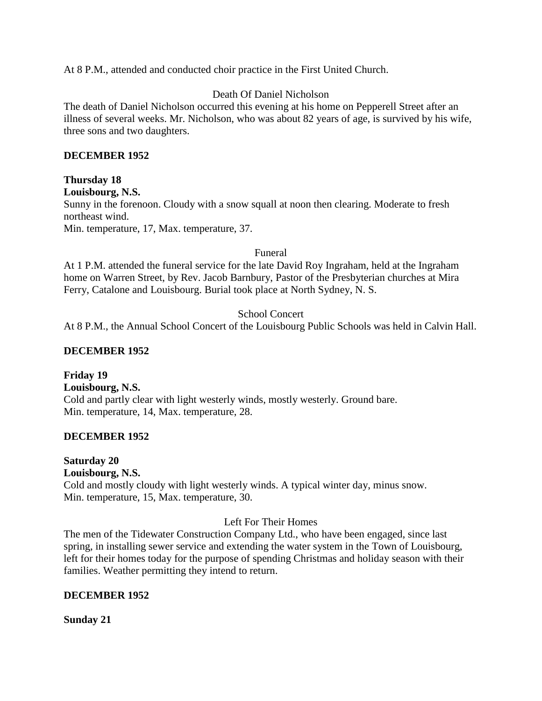At 8 P.M., attended and conducted choir practice in the First United Church.

### Death Of Daniel Nicholson

The death of Daniel Nicholson occurred this evening at his home on Pepperell Street after an illness of several weeks. Mr. Nicholson, who was about 82 years of age, is survived by his wife, three sons and two daughters.

### **DECEMBER 1952**

### **Thursday 18**

**Louisbourg, N.S.**

Sunny in the forenoon. Cloudy with a snow squall at noon then clearing. Moderate to fresh northeast wind.

Min. temperature, 17, Max. temperature, 37.

Funeral

At 1 P.M. attended the funeral service for the late David Roy Ingraham, held at the Ingraham home on Warren Street, by Rev. Jacob Barnbury, Pastor of the Presbyterian churches at Mira Ferry, Catalone and Louisbourg. Burial took place at North Sydney, N. S.

### School Concert

At 8 P.M., the Annual School Concert of the Louisbourg Public Schools was held in Calvin Hall.

### **DECEMBER 1952**

**Friday 19 Louisbourg, N.S.** Cold and partly clear with light westerly winds, mostly westerly. Ground bare. Min. temperature, 14, Max. temperature, 28.

### **DECEMBER 1952**

**Saturday 20 Louisbourg, N.S.** Cold and mostly cloudy with light westerly winds. A typical winter day, minus snow. Min. temperature, 15, Max. temperature, 30.

### Left For Their Homes

The men of the Tidewater Construction Company Ltd., who have been engaged, since last spring, in installing sewer service and extending the water system in the Town of Louisbourg, left for their homes today for the purpose of spending Christmas and holiday season with their families. Weather permitting they intend to return.

### **DECEMBER 1952**

**Sunday 21**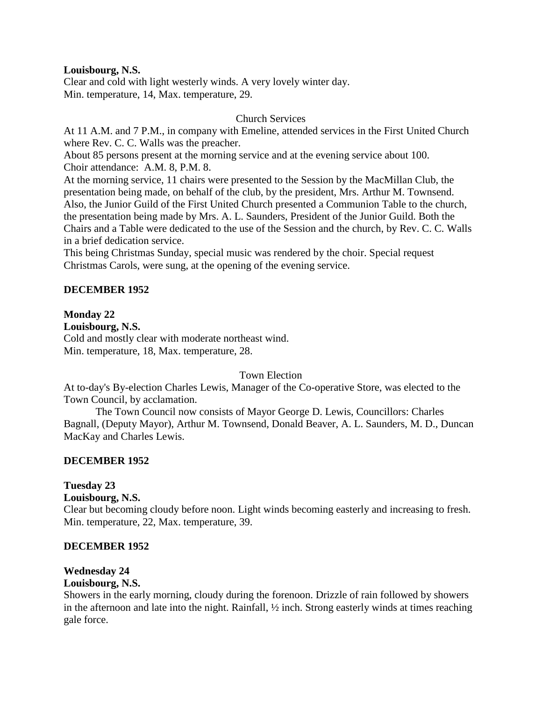#### **Louisbourg, N.S.**

Clear and cold with light westerly winds. A very lovely winter day. Min. temperature, 14, Max. temperature, 29.

#### Church Services

At 11 A.M. and 7 P.M., in company with Emeline, attended services in the First United Church where Rev. C. C. Walls was the preacher.

About 85 persons present at the morning service and at the evening service about 100. Choir attendance: A.M. 8, P.M. 8.

At the morning service, 11 chairs were presented to the Session by the MacMillan Club, the presentation being made, on behalf of the club, by the president, Mrs. Arthur M. Townsend. Also, the Junior Guild of the First United Church presented a Communion Table to the church, the presentation being made by Mrs. A. L. Saunders, President of the Junior Guild. Both the Chairs and a Table were dedicated to the use of the Session and the church, by Rev. C. C. Walls in a brief dedication service.

This being Christmas Sunday, special music was rendered by the choir. Special request Christmas Carols, were sung, at the opening of the evening service.

### **DECEMBER 1952**

#### **Monday 22**

**Louisbourg, N.S.**

Cold and mostly clear with moderate northeast wind. Min. temperature, 18, Max. temperature, 28.

### Town Election

At to-day's By-election Charles Lewis, Manager of the Co-operative Store, was elected to the Town Council, by acclamation.

The Town Council now consists of Mayor George D. Lewis, Councillors: Charles Bagnall, (Deputy Mayor), Arthur M. Townsend, Donald Beaver, A. L. Saunders, M. D., Duncan MacKay and Charles Lewis.

### **DECEMBER 1952**

### **Tuesday 23**

**Louisbourg, N.S.**

Clear but becoming cloudy before noon. Light winds becoming easterly and increasing to fresh. Min. temperature, 22, Max. temperature, 39.

#### **DECEMBER 1952**

### **Wednesday 24**

#### **Louisbourg, N.S.**

Showers in the early morning, cloudy during the forenoon. Drizzle of rain followed by showers in the afternoon and late into the night. Rainfall, ½ inch. Strong easterly winds at times reaching gale force.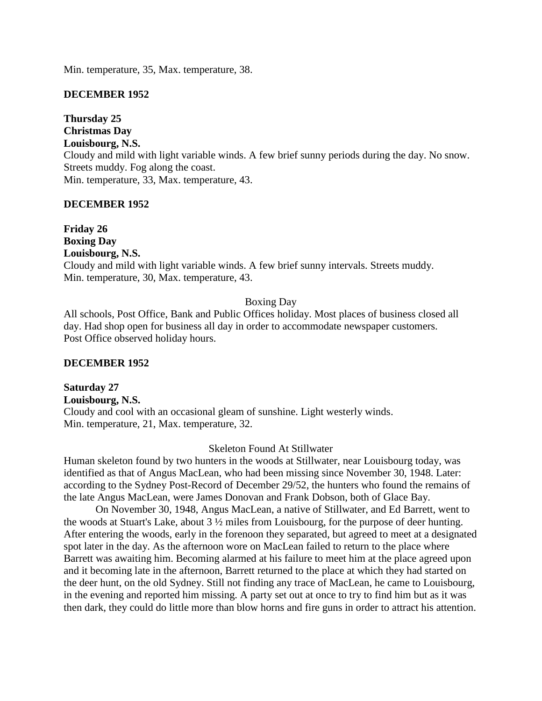Min. temperature, 35, Max. temperature, 38.

#### **DECEMBER 1952**

**Thursday 25 Christmas Day Louisbourg, N.S.** Cloudy and mild with light variable winds. A few brief sunny periods during the day. No snow. Streets muddy. Fog along the coast. Min. temperature, 33, Max. temperature, 43.

#### **DECEMBER 1952**

**Friday 26 Boxing Day Louisbourg, N.S.** Cloudy and mild with light variable winds. A few brief sunny intervals. Streets muddy. Min. temperature, 30, Max. temperature, 43.

#### Boxing Day

All schools, Post Office, Bank and Public Offices holiday. Most places of business closed all day. Had shop open for business all day in order to accommodate newspaper customers. Post Office observed holiday hours.

#### **DECEMBER 1952**

**Saturday 27 Louisbourg, N.S.** Cloudy and cool with an occasional gleam of sunshine. Light westerly winds. Min. temperature, 21, Max. temperature, 32.

#### Skeleton Found At Stillwater

Human skeleton found by two hunters in the woods at Stillwater, near Louisbourg today, was identified as that of Angus MacLean, who had been missing since November 30, 1948. Later: according to the Sydney Post-Record of December 29/52, the hunters who found the remains of the late Angus MacLean, were James Donovan and Frank Dobson, both of Glace Bay.

On November 30, 1948, Angus MacLean, a native of Stillwater, and Ed Barrett, went to the woods at Stuart's Lake, about 3 ½ miles from Louisbourg, for the purpose of deer hunting. After entering the woods, early in the forenoon they separated, but agreed to meet at a designated spot later in the day. As the afternoon wore on MacLean failed to return to the place where Barrett was awaiting him. Becoming alarmed at his failure to meet him at the place agreed upon and it becoming late in the afternoon, Barrett returned to the place at which they had started on the deer hunt, on the old Sydney. Still not finding any trace of MacLean, he came to Louisbourg, in the evening and reported him missing. A party set out at once to try to find him but as it was then dark, they could do little more than blow horns and fire guns in order to attract his attention.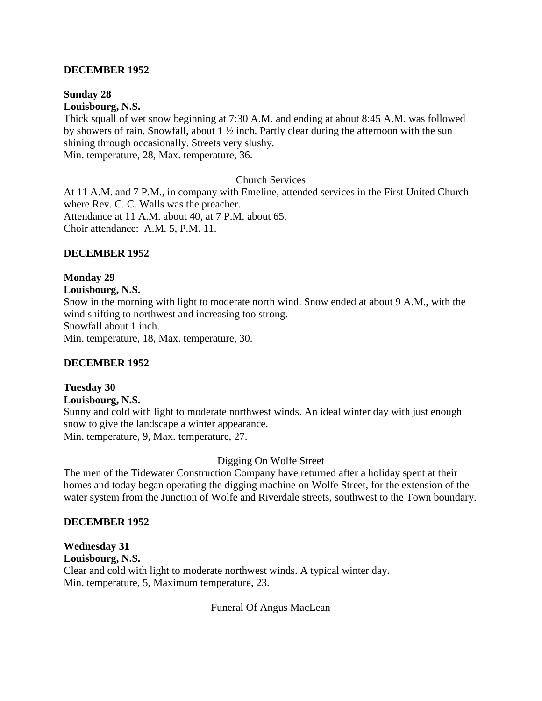#### **DECEMBER 1952**

### **Sunday 28**

**Louisbourg, N.S.**

Thick squall of wet snow beginning at 7:30 A.M. and ending at about 8:45 A.M. was followed by showers of rain. Snowfall, about 1 ½ inch. Partly clear during the afternoon with the sun shining through occasionally. Streets very slushy.

Min. temperature, 28, Max. temperature, 36.

Church Services

At 11 A.M. and 7 P.M., in company with Emeline, attended services in the First United Church where Rev. C. C. Walls was the preacher. Attendance at 11 A.M. about 40, at 7 P.M. about 65. Choir attendance: A.M. 5, P.M. 11.

#### **DECEMBER 1952**

#### **Monday 29**

#### **Louisbourg, N.S.**

Snow in the morning with light to moderate north wind. Snow ended at about 9 A.M., with the wind shifting to northwest and increasing too strong. Snowfall about 1 inch. Min. temperature, 18, Max. temperature, 30.

#### **DECEMBER 1952**

## **Tuesday 30**

#### **Louisbourg, N.S.**

Sunny and cold with light to moderate northwest winds. An ideal winter day with just enough snow to give the landscape a winter appearance. Min. temperature, 9, Max. temperature, 27.

#### Digging On Wolfe Street

The men of the Tidewater Construction Company have returned after a holiday spent at their homes and today began operating the digging machine on Wolfe Street, for the extension of the water system from the Junction of Wolfe and Riverdale streets, southwest to the Town boundary.

#### **DECEMBER 1952**

# **Wednesday 31**

**Louisbourg, N.S.** Clear and cold with light to moderate northwest winds. A typical winter day. Min. temperature, 5, Maximum temperature, 23.

Funeral Of Angus MacLean